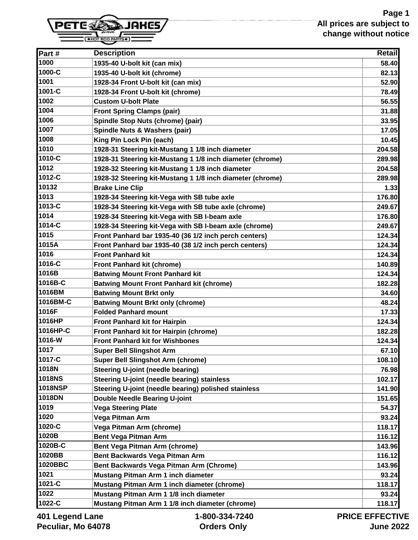

| Part#           | <b>Description</b>                                        | <b>Retail</b>  |
|-----------------|-----------------------------------------------------------|----------------|
| 1000            | 1935-40 U-bolt kit (can mix)                              | 58.40          |
| 1000-C          | 1935-40 U-bolt kit (chrome)                               | 82.13          |
| 1001            | 1928-34 Front U-bolt kit (can mix)                        | 52.90          |
| 1001-C          | 1928-34 Front U-bolt kit (chrome)                         | 78.49          |
| 1002            | <b>Custom U-bolt Plate</b>                                | 56.55          |
| 1004            | <b>Front Spring Clamps (pair)</b>                         | 31.88          |
| 1006            | Spindle Stop Nuts (chrome) (pair)                         | 33.95          |
| 1007            | Spindle Nuts & Washers (pair)                             | 17.05          |
| 1008            | King Pin Lock Pin (each)                                  | 10.45          |
| 1010            | 1928-31 Steering kit-Mustang 1 1/8 inch diameter          | 204.58         |
| 1010-C          | 1928-31 Steering kit-Mustang 1 1/8 inch diameter (chrome) | 289.98         |
| 1012            | 1928-32 Steering kit-Mustang 1 1/8 inch diameter          | 204.58         |
| 1012-C          | 1928-32 Steering kit-Mustang 1 1/8 inch diameter (chrome) | 289.98         |
| 10132           | <b>Brake Line Clip</b>                                    | 1.33           |
| 1013            | 1928-34 Steering kit-Vega with SB tube axle               | 176.80         |
| 1013-C          | 1928-34 Steering kit-Vega with SB tube axle (chrome)      | 249.67         |
| 1014            | 1928-34 Steering kit-Vega with SB I-beam axle             | 176.80         |
| 1014-C          | 1928-34 Steering kit-Vega with SB I-beam axle (chrome)    | 249.67         |
| 1015            | Front Panhard bar 1935-40 (36 1/2 inch perch centers)     | 124.34         |
| 1015A           | Front Panhard bar 1935-40 (38 1/2 inch perch centers)     | 124.34         |
| 1016            | <b>Front Panhard kit</b>                                  | 124.34         |
| 1016-C          | <b>Front Panhard kit (chrome)</b>                         | 140.89         |
| 1016B           | <b>Batwing Mount Front Panhard kit</b>                    | 124.34         |
| 1016B-C         | <b>Batwing Mount Front Panhard kit (chrome)</b>           | 182.28         |
| 1016BM          | <b>Batwing Mount Brkt only</b>                            | 34.60          |
| 1016BM-C        | <b>Batwing Mount Brkt only (chrome)</b>                   | 48.24          |
| 1016F           | <b>Folded Panhard mount</b>                               | 17.33          |
| 1016HP          | <b>Front Panhard kit for Hairpin</b>                      | 124.34         |
| 1016HP-C        | Front Panhard kit for Hairpin (chrome)                    | 182.28         |
| 1016-W          | <b>Front Panhard kit for Wishbones</b>                    | 124.34         |
| 1017            | <b>Super Bell Slingshot Arm</b>                           | 67.10          |
| 1017-C          | <b>Super Bell Slingshot Arm (chrome)</b>                  | 108.10         |
| 1018N           | <b>Steering U-joint (needle bearing)</b>                  | 76.98          |
| <b>1018NS</b>   | Steering U-joint (needle bearing) stainless               | 102.17         |
| <b>1018NSP</b>  | Steering U-joint (needle bearing) polished stainless      | 141.90         |
| 1018DN          | <b>Double Needle Bearing U-joint</b>                      | 151.65         |
| 1019            | <b>Vega Steering Plate</b>                                | 54.37          |
| 1020            | Vega Pitman Arm                                           | 93.24          |
| 1020-C          | Vega Pitman Arm (chrome)                                  | 118.17         |
| 1020B           | <b>Bent Vega Pitman Arm</b>                               | 116.12         |
| 1020B-C         | Bent Vega Pitman Arm (chrome)                             | 143.96         |
| 1020BB          | Bent Backwards Vega Pitman Arm                            | 116.12         |
| 1020BBC         | Bent Backwards Vega Pitman Arm (Chrome)                   | 143.96         |
| 1021            | Mustang Pitman Arm 1 inch diameter                        | 93.24          |
| 1021-C          | Mustang Pitman Arm 1 inch diameter (chrome)               | 118.17         |
| 1022            | Mustang Pitman Arm 1 1/8 inch diameter                    | 93.24          |
| 1022-C          | Mustang Pitman Arm 1 1/8 inch diameter (chrome)           | 118.17         |
| And Logand Lane | 1.900.224.7240                                            | DDICE EEEECTIV |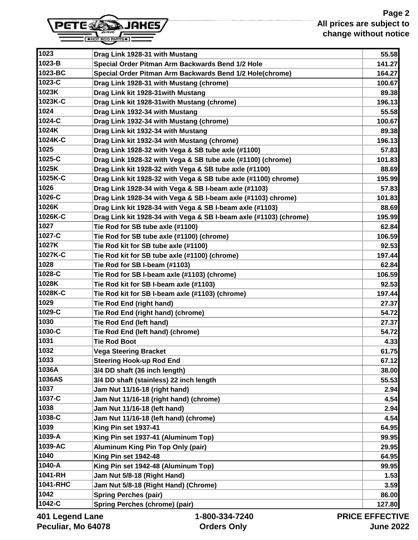

| 1023              | Drag Link 1928-31 with Mustang                                    | 55.58         |
|-------------------|-------------------------------------------------------------------|---------------|
| 1023-B            | Special Order Pitman Arm Backwards Bend 1/2 Hole                  | 141.27        |
| 1023-BC           | Special Order Pitman Arm Backwards Bend 1/2 Hole(chrome)          | 164.27        |
| 1023-C            | Drag Link 1928-31 with Mustang (chrome)                           | 100.67        |
| 1023K             | Drag Link kit 1928-31 with Mustang                                | 89.38         |
| 1023K-C           | Drag Link kit 1928-31 with Mustang (chrome)                       | 196.13        |
| 1024              | Drag Link 1932-34 with Mustang                                    | 55.58         |
| 1024-C            | Drag Link 1932-34 with Mustang (chrome)                           | 100.67        |
| 1024K             | Drag Link kit 1932-34 with Mustang                                | 89.38         |
| 1024K-C           | Drag Link kit 1932-34 with Mustang (chrome)                       | 196.13        |
| 1025              | Drag Link 1928-32 with Vega & SB tube axle (#1100)                | 57.83         |
| 1025-C            | Drag Link 1928-32 with Vega & SB tube axle (#1100) (chrome)       | 101.83        |
| 1025K             | Drag Link kit 1928-32 with Vega & SB tube axle (#1100)            | 88.69         |
| 1025K-C           | Drag Link kit 1928-32 with Vega & SB tube axle (#1100) chrome)    | 195.99        |
| 1026              | Drag Link 1928-34 with Vega & SB I-beam axle (#1103)              | 57.83         |
| 1026-C            | Drag Link 1928-34 with Vega & SB I-beam axle (#1103) chrome)      | 101.83        |
| 1026K             | Drag Link kit 1928-34 with Vega & SB I-beam axle (#1103)          | 88.69         |
| 1026K-C           | Drag Link kit 1928-34 with Vega & SB I-beam axle (#1103) (chrome) | 195.99        |
| 1027              | Tie Rod for SB tube axle (#1100)                                  | 62.84         |
| 1027-C            | Tie Rod for SB tube axle (#1100) (chrome)                         | 106.59        |
| 1027K             | Tie Rod kit for SB tube axle (#1100)                              | 92.53         |
| 1027K-C           | Tie Rod kit for SB tube axle (#1100) (chrome)                     | 197.44        |
| 1028              | Tie Rod for SB I-beam (#1103)                                     | 62.84         |
| 1028-C            | Tie Rod for SB I-beam axle (#1103) (chrome)                       | 106.59        |
| 1028K             | Tie Rod kit for SB I-beam axle (#1103)                            | 92.53         |
| 1028K-C           | Tie Rod kit for SB I-beam axle (#1103) (chrome)                   | 197.44        |
| 1029              | Tie Rod End (right hand)                                          | 27.37         |
| 1029-C            | Tie Rod End (right hand) (chrome)                                 | 54.72         |
| 1030              | Tie Rod End (left hand)                                           | 27.37         |
| 1030-C            | Tie Rod End (left hand) (chrome)                                  | 54.72         |
| 1031              | <b>Tie Rod Boot</b>                                               | 4.33          |
| 1032              | <b>Vega Steering Bracket</b>                                      | 61.75         |
| 1033              | <b>Steering Hook-up Rod End</b>                                   | 67.12         |
| 1036A             | 3/4 DD shaft (36 inch length)                                     | 38.00         |
| 1036AS            | 3/4 DD shaft (stainless) 22 inch length                           | 55.53         |
| 1037              | Jam Nut 11/16-18 (right hand)                                     | 2.94          |
| 1037-C            | Jam Nut 11/16-18 (right hand) (chrome)                            | 4.54          |
| 1038              | Jam Nut 11/16-18 (left hand)                                      | 2.94          |
| 1038-C            | Jam Nut 11/16-18 (left hand) (chrome)                             | 4.54          |
| 1039              | King Pin set 1937-41                                              | 64.95         |
| 1039-A            | King Pin set 1937-41 (Aluminum Top)                               | 99.95         |
| 1039-AC           | <b>Aluminum King Pin Top Only (pair)</b>                          | 29.95         |
| 1040              | King Pin set 1942-48                                              | 64.95         |
| 1040-A            | King Pin set 1942-48 (Aluminum Top)                               | 99.95         |
| 1041-RH           | Jam Nut 5/8-18 (Right Hand)                                       | 1.53          |
| 1041-RHC          | Jam Nut 5/8-18 (Right Hand) (Chrome)                              | 3.59          |
| 1042              | <b>Spring Perches (pair)</b>                                      | 86.00         |
| 1042-C            | <b>Spring Perches (chrome) (pair)</b>                             | 127.80        |
| ane I bagna I 10N | 1-800-334-7240                                                    | DDICE EEEECTI |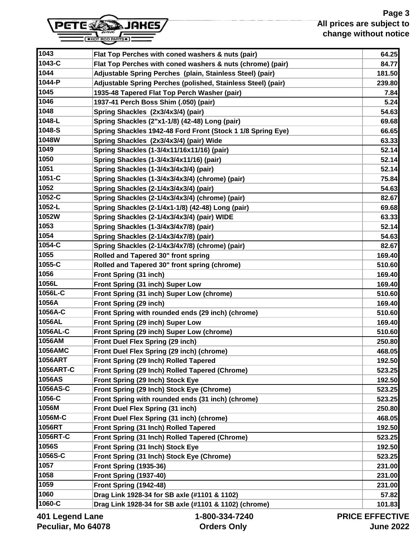

| 1045   | 1935-48 Tapered Flat Top Perch Washer (pair)                | 7.84   |
|--------|-------------------------------------------------------------|--------|
| 1046   | 1937-41 Perch Boss Shim (.050) (pair)                       | 5.24   |
| 1048   | Spring Shackles (2x3/4x3/4) (pair)                          | 54.63  |
| 1048-L | Spring Shackles (2"x1-1/8) (42-48) Long (pair)              | 69.68  |
| 1048-S | Spring Shackles 1942-48 Ford Front (Stock 1 1/8 Spring Eye) | 66.65  |
| 1048W  | Spring Shackles (2x3/4x3/4) (pair) Wide                     | 63.33  |
| 1049   | Spring Shackles (1-3/4x11/16x11/16) (pair)                  | 52.14  |
| 1050   | Spring Shackles (1-3/4x3/4x11/16) (pair)                    | 52.14  |
| 1051   | Spring Shackles (1-3/4x3/4x3/4) (pair)                      | 52.14  |
| 1051-C | Spring Shackles (1-3/4x3/4x3/4) (chrome) (pair)             | 75.84  |
| 1052   | Spring Shackles (2-1/4x3/4x3/4) (pair)                      | 54.63  |
| 1052-C | Spring Shackles (2-1/4x3/4x3/4) (chrome) (pair)             | 82.67  |
| 1052-L | Spring Shackles (2-1/4x1-1/8) (42-48) Long (pair)           | 69.68  |
| 1052W  | Spring Shackles (2-1/4x3/4x3/4) (pair) WIDE                 | 63.33  |
| 1053   | Spring Shackles (1-3/4x3/4x7/8) (pair)                      | 52.14  |
| 1054   | Spring Shackles (2-1/4x3/4x7/8) (pair)                      | 54.63  |
| 1054-C | Spring Shackles (2-1/4x3/4x7/8) (chrome) (pair)             | 82.67  |
| 1055   | Rolled and Tapered 30" front spring                         | 169.40 |
| 100000 |                                                             |        |

**1043 Flat Top Perches with coned washers & nuts (pair) 64.25**

**1043-C Flat Top Perches with coned washers & nuts (chrome) (pair) 84.77**

**1044-P Adjustable Spring Perches (polished, Stainless Steel) (pair) 239.80**

**1044 Adjustable Spring Perches (plain, Stainless Steel) (pair) 181.50**

| 1052-C          | Spring Shackles (2-1/4x3/4x3/4) (chrome) (pair)       | 82.67                |
|-----------------|-------------------------------------------------------|----------------------|
| 1052-L          | Spring Shackles (2-1/4x1-1/8) (42-48) Long (pair)     | 69.68                |
| 1052W           | Spring Shackles (2-1/4x3/4x3/4) (pair) WIDE           | 63.33                |
| 1053            | Spring Shackles (1-3/4x3/4x7/8) (pair)                | 52.14                |
| 1054            | Spring Shackles (2-1/4x3/4x7/8) (pair)                | 54.63                |
| 1054-C          | Spring Shackles (2-1/4x3/4x7/8) (chrome) (pair)       | 82.67                |
| 1055            | Rolled and Tapered 30" front spring                   | 169.40               |
| 1055-C          | Rolled and Tapered 30" front spring (chrome)          | 510.60               |
| 1056            | Front Spring (31 inch)                                | 169.40               |
| 1056L           | Front Spring (31 inch) Super Low                      | 169.40               |
| 1056L-C         | Front Spring (31 inch) Super Low (chrome)             | 510.60               |
| 1056A           | Front Spring (29 inch)                                | 169.40               |
| 1056A-C         | Front Spring with rounded ends (29 inch) (chrome)     | 510.60               |
| 1056AL          | Front Spring (29 inch) Super Low                      | 169.40               |
| 1056AL-C        | Front Spring (29 inch) Super Low (chrome)             | 510.60               |
| 1056AM          | Front Duel Flex Spring (29 inch)                      | 250.80               |
| <b>1056AMC</b>  | Front Duel Flex Spring (29 inch) (chrome)             | 468.05               |
| <b>1056ART</b>  | Front Spring (29 Inch) Rolled Tapered                 | 192.50               |
| 1056ART-C       | Front Spring (29 Inch) Rolled Tapered (Chrome)        | 523.25               |
| 1056AS          | Front Spring (29 Inch) Stock Eye                      | 192.50               |
| 1056AS-C        | Front Spring (29 Inch) Stock Eye (Chrome)             | 523.25               |
| 1056-C          | Front Spring with rounded ends (31 inch) (chrome)     | 523.25               |
| 1056M           | Front Duel Flex Spring (31 inch)                      | 250.80               |
| 1056M-C         | Front Duel Flex Spring (31 inch) (chrome)             | 468.05               |
| 1056RT          | Front Spring (31 Inch) Rolled Tapered                 | 192.50               |
| 1056RT-C        | Front Spring (31 Inch) Rolled Tapered (Chrome)        | 523.25               |
| 1056S           | Front Spring (31 Inch) Stock Eye                      | 192.50               |
| 1056S-C         | Front Spring (31 Inch) Stock Eye (Chrome)             | 523.25               |
| 1057            | <b>Front Spring (1935-36)</b>                         | 231.00               |
| 1058            | Front Spring (1937-40)                                | 231.00               |
| 1059            | Front Spring (1942-48)                                | 231.00               |
| 1060            | Drag Link 1928-34 for SB axle (#1101 & 1102)          | 57.82                |
| 1060-C          | Drag Link 1928-34 for SB axle (#1101 & 1102) (chrome) | 101.83               |
| 401 Legend Lane | 1-800-334-7240                                        | <b>PRICE EFFECTI</b> |

**Peculiar, Mo 64078**

**Orders Only**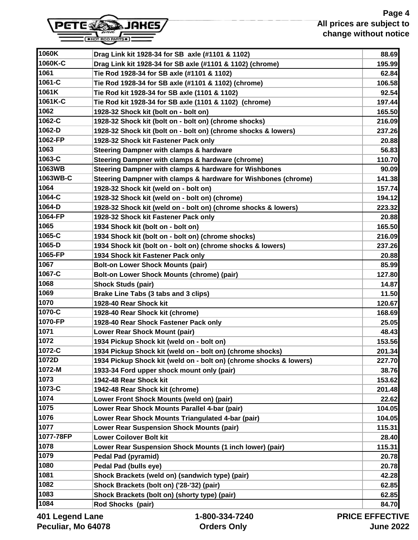#### **Page 4 All prices are subject to change without notice**



| 1060K-C           | Drag Link kit 1928-34 for SB axle (#1101 & 1102) (chrome)          | 195.99                |
|-------------------|--------------------------------------------------------------------|-----------------------|
| 1061              | Tie Rod 1928-34 for SB axle (#1101 & 1102)                         | 62.84                 |
| 1061-C            | Tie Rod 1928-34 for SB axle (#1101 & 1102) (chrome)                | 106.58                |
| 1061K             | Tie Rod kit 1928-34 for SB axle (1101 & 1102)                      | 92.54                 |
| 1061K-C           | Tie Rod kit 1928-34 for SB axle (1101 & 1102) (chrome)             | 197.44                |
| 1062              | 1928-32 Shock kit (bolt on - bolt on)                              | 165.50                |
| 1062-C            | 1928-32 Shock kit (bolt on - bolt on) (chrome shocks)              | 216.09                |
| 1062-D            | 1928-32 Shock kit (bolt on - bolt on) (chrome shocks & lowers)     | 237.26                |
| 1062-FP           | 1928-32 Shock kit Fastener Pack only                               | 20.88                 |
| 1063              | Steering Dampner with clamps & hardware                            | 56.83                 |
| 1063-C            | Steering Dampner with clamps & hardware (chrome)                   | 110.70                |
| 1063WB            | Steering Dampner with clamps & hardware for Wishbones              | 90.09                 |
| 1063WB-C          | Steering Dampner with clamps & hardware for Wishbones (chrome)     | 141.38                |
| 1064              | 1928-32 Shock kit (weld on - bolt on)                              | 157.74                |
| 1064-C            | 1928-32 Shock kit (weld on - bolt on) (chrome)                     | 194.12                |
| 1064-D            | 1928-32 Shock kit (weld on - bolt on) (chrome shocks & lowers)     | 223.32                |
| 1064-FP           | 1928-32 Shock kit Fastener Pack only                               | 20.88                 |
| 1065              | 1934 Shock kit (bolt on - bolt on)                                 | 165.50                |
| 1065-C            | 1934 Shock kit (bolt on - bolt on) (chrome shocks)                 | 216.09                |
| 1065-D            | 1934 Shock kit (bolt on - bolt on) (chrome shocks & lowers)        | 237.26                |
| 1065-FP           | 1934 Shock kit Fastener Pack only                                  | 20.88                 |
| 1067              | <b>Bolt-on Lower Shock Mounts (pair)</b>                           | 85.99                 |
| 1067-C            | Bolt-on Lower Shock Mounts (chrome) (pair)                         | 127.80                |
| 1068              | <b>Shock Studs (pair)</b>                                          | 14.87                 |
| 1069              | Brake Line Tabs (3 tabs and 3 clips)                               | 11.50                 |
| 1070              | 1928-40 Rear Shock kit                                             | 120.67                |
| 1070-C            | 1928-40 Rear Shock kit (chrome)                                    | 168.69                |
| 1070-FP           | 1928-40 Rear Shock Fastener Pack only                              | 25.05                 |
| 1071              | Lower Rear Shock Mount (pair)                                      | 48.43                 |
| 1072              | 1934 Pickup Shock kit (weld on - bolt on)                          | 153.56                |
| 1072-C            | 1934 Pickup Shock kit (weld on - bolt on) (chrome shocks)          | 201.34                |
| 1072D             | 1934 Pickup Shock kit (weld on - bolt on) (chrome shocks & lowers) | 227.70                |
| 1072-M            | 1933-34 Ford upper shock mount only (pair)                         | 38.76                 |
| 1073              | 1942-48 Rear Shock kit                                             | 153.62                |
| 1073-C            | 1942-48 Rear Shock kit (chrome)                                    | 201.48                |
| 1074              | Lower Front Shock Mounts (weld on) (pair)                          | 22.62                 |
| 1075              | Lower Rear Shock Mounts Parallel 4-bar (pair)                      | 104.05                |
| 1076              | Lower Rear Shock Mounts Triangulated 4-bar (pair)                  | 104.05                |
| 1077              | <b>Lower Rear Suspension Shock Mounts (pair)</b>                   | 115.31                |
| 1077-78FP         | <b>Lower Coilover Bolt kit</b>                                     | 28.40                 |
| 1078              | Lower Rear Suspension Shock Mounts (1 inch lower) (pair)           | 115.31                |
| 1079              | <b>Pedal Pad (pyramid)</b>                                         | 20.78                 |
| 1080              | Pedal Pad (bulls eye)                                              | 20.78                 |
| 1081              | Shock Brackets (weld on) (sandwich type) (pair)                    | 42.28                 |
| 1082              | Shock Brackets (bolt on) ('28-'32) (pair)                          | 62.85                 |
| 1083              | Shock Brackets (bolt on) (shorty type) (pair)                      | 62.85                 |
| 1084              | Rod Shocks (pair)                                                  | 84.70                 |
| ang I hogha I 10A | 1-800-334-7240                                                     | <b>PRICE EFFECTIV</b> |

**1060K Drag Link kit 1928-34 for SB axle (#1101 & 1102) 88.69**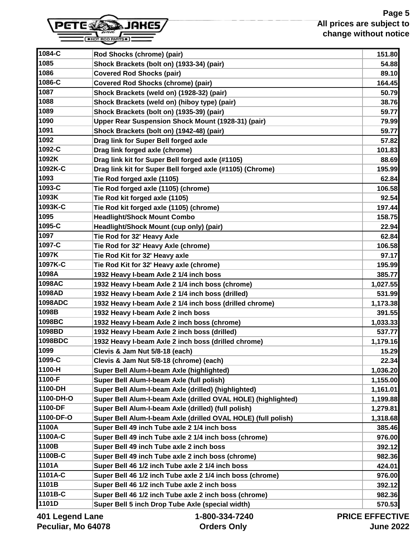# **Page 5 All prices are subject to change without notice**



| 1084-C    | Rod Shocks (chrome) (pair)                                    | 151.80   |
|-----------|---------------------------------------------------------------|----------|
| 1085      | Shock Brackets (bolt on) (1933-34) (pair)                     | 54.88    |
| 1086      | <b>Covered Rod Shocks (pair)</b>                              | 89.10    |
| 1086-C    | <b>Covered Rod Shocks (chrome) (pair)</b>                     | 164.45   |
| 1087      | Shock Brackets (weld on) (1928-32) (pair)                     | 50.79    |
| 1088      | Shock Brackets (weld on) (hiboy type) (pair)                  | 38.76    |
| 1089      | Shock Brackets (bolt on) (1935-39) (pair)                     | 59.77    |
| 1090      | Upper Rear Suspension Shock Mount (1928-31) (pair)            | 79.99    |
| 1091      | Shock Brackets (bolt on) (1942-48) (pair)                     | 59.77    |
| 1092      | Drag link for Super Bell forged axle                          | 57.82    |
| 1092-C    | Drag link forged axle (chrome)                                | 101.83   |
| 1092K     | Drag link kit for Super Bell forged axle (#1105)              | 88.69    |
| 1092K-C   | Drag link kit for Super Bell forged axle (#1105) (Chrome)     | 195.99   |
| 1093      | Tie Rod forged axle (1105)                                    | 62.84    |
| 1093-C    | Tie Rod forged axle (1105) (chrome)                           | 106.58   |
| 1093K     | Tie Rod kit forged axle (1105)                                | 92.54    |
| 1093K-C   | Tie Rod kit forged axle (1105) (chrome)                       | 197.44   |
| 1095      | <b>Headlight/Shock Mount Combo</b>                            | 158.75   |
| 1095-C    | Headlight/Shock Mount (cup only) (pair)                       | 22.94    |
| 1097      | Tie Rod for 32' Heavy Axle                                    | 62.84    |
| 1097-C    | Tie Rod for 32' Heavy Axle (chrome)                           | 106.58   |
| 1097K     | Tie Rod Kit for 32' Heavy axle                                | 97.17    |
| 1097K-C   | Tie Rod Kit for 32' Heavy axle (chrome)                       | 195.99   |
| 1098A     | 1932 Heavy I-beam Axle 2 1/4 inch boss                        | 385.77   |
| 1098AC    | 1932 Heavy I-beam Axle 2 1/4 inch boss (chrome)               | 1,027.55 |
| 1098AD    | 1932 Heavy I-beam Axle 2 1/4 inch boss (drilled)              | 531.99   |
| 1098ADC   | 1932 Heavy I-beam Axle 2 1/4 inch boss (drilled chrome)       | 1,173.38 |
| 1098B     | 1932 Heavy I-beam Axle 2 inch boss                            | 391.55   |
| 1098BC    | 1932 Heavy I-beam Axle 2 inch boss (chrome)                   | 1,033.33 |
| 1098BD    | 1932 Heavy I-beam Axle 2 inch boss (drilled)                  | 537.77   |
| 1098BDC   | 1932 Heavy I-beam Axle 2 inch boss (drilled chrome)           | 1,179.16 |
| 1099      | Clevis & Jam Nut 5/8-18 (each)                                | 15.29    |
| 1099-C    | Clevis & Jam Nut 5/8-18 (chrome) (each)                       | 22.34    |
| 1100-H    | Super Bell Alum-I-beam Axle (highlighted)                     | 1,036.20 |
| 1100-F    | Super Bell Alum-I-beam Axle (full polish)                     | 1,155.00 |
| 1100-DH   | Super Bell Alum-I-beam Axle (drilled) (highlighted)           | 1,161.01 |
| 1100-DH-O | Super Bell Alum-I-beam Axle (drilled OVAL HOLE) (highlighted) | 1,199.88 |
| 1100-DF   | Super Bell Alum-I-beam Axle (drilled) (full polish)           | 1,279.81 |
| 1100-DF-O | Super Bell Alum-I-beam Axle (drilled OVAL HOLE) (full polish) | 1,318.68 |
| 1100A     | Super Bell 49 inch Tube axle 2 1/4 inch boss                  | 385.46   |
| 1100A-C   | Super Bell 49 inch Tube axle 2 1/4 inch boss (chrome)         | 976.00   |
| 1100B     | Super Bell 49 inch Tube axle 2 inch boss                      | 392.12   |
| 1100B-C   | Super Bell 49 inch Tube axle 2 inch boss (chrome)             | 982.36   |
| 1101A     | Super Bell 46 1/2 inch Tube axle 2 1/4 inch boss              | 424.01   |
| 1101A-C   | Super Bell 46 1/2 inch Tube axle 2 1/4 inch boss (chrome)     | 976.00   |
| 1101B     | Super Bell 46 1/2 inch Tube axle 2 inch boss                  | 392.12   |
| 1101B-C   | Super Bell 46 1/2 inch Tube axle 2 inch boss (chrome)         | 982.36   |
| 1101D     | Super Bell 5 inch Drop Tube Axle (special width)              | 570.53   |
|           |                                                               |          |

**401 Legend Lane Peculiar, Mo 64078**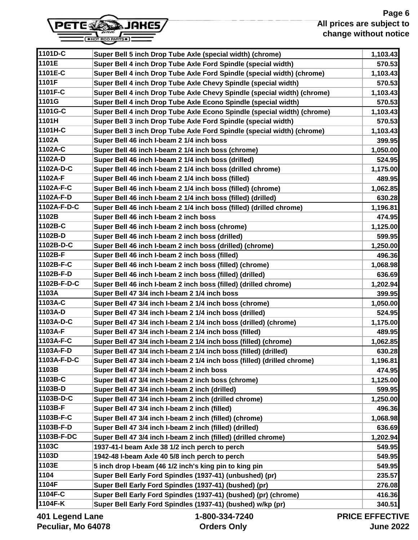#### **Page 6 All prices are subject to change without notice**



**1101D-C Super Bell 5 inch Drop Tube Axle (special width) (chrome) 1,103.43 1101E Super Bell 4 inch Drop Tube Axle Ford Spindle (special width) 570.53**

| 1101E-C         | Super Bell 4 inch Drop Tube Axle Ford Spindle (special width) (chrome)  | 1,103.43              |
|-----------------|-------------------------------------------------------------------------|-----------------------|
| 1101F           | Super Bell 4 inch Drop Tube Axle Chevy Spindle (special width)          | 570.53                |
| 1101F-C         | Super Bell 4 inch Drop Tube Axle Chevy Spindle (special width) (chrome) | 1,103.43              |
| 1101G           | Super Bell 4 inch Drop Tube Axle Econo Spindle (special width)          | 570.53                |
| 1101G-C         | Super Bell 4 inch Drop Tube Axle Econo Spindle (special width) (chrome) | 1,103.43              |
| 1101H           | Super Bell 3 inch Drop Tube Axle Ford Spindle (special width)           | 570.53                |
| 1101H-C         | Super Bell 3 inch Drop Tube Axle Ford Spindle (special width) (chrome)  | 1,103.43              |
| 1102A           | Super Bell 46 inch I-beam 2 1/4 inch boss                               | 399.95                |
| 1102A-C         | Super Bell 46 inch I-beam 2 1/4 inch boss (chrome)                      | 1,050.00              |
| 1102A-D         | Super Bell 46 inch I-beam 2 1/4 inch boss (drilled)                     | 524.95                |
| 1102A-D-C       | Super Bell 46 inch I-beam 2 1/4 inch boss (drilled chrome)              | 1,175.00              |
| 1102A-F         | Super Bell 46 inch I-beam 2 1/4 inch boss (filled)                      | 489.95                |
| 1102A-F-C       | Super Bell 46 inch I-beam 2 1/4 inch boss (filled) (chrome)             | 1,062.85              |
| 1102A-F-D       | Super Bell 46 inch I-beam 2 1/4 inch boss (filled) (drilled)            | 630.28                |
| 1102A-F-D-C     | Super Bell 46 inch I-beam 2 1/4 inch boss (filled) (drilled chrome)     | 1,196.81              |
| 1102B           | Super Bell 46 inch I-beam 2 inch boss                                   | 474.95                |
| 1102B-C         | Super Bell 46 inch I-beam 2 inch boss (chrome)                          | 1,125.00              |
| 1102B-D         | Super Bell 46 inch I-beam 2 inch boss (drilled)                         | 599.95                |
| 1102B-D-C       | Super Bell 46 inch I-beam 2 inch boss (drilled) (chrome)                | 1,250.00              |
| 1102B-F         | Super Bell 46 inch I-beam 2 inch boss (filled)                          | 496.36                |
| 1102B-F-C       | Super Bell 46 inch I-beam 2 inch boss (filled) (chrome)                 | 1,068.98              |
| 1102B-F-D       | Super Bell 46 inch I-beam 2 inch boss (filled) (drilled)                | 636.69                |
| 1102B-F-D-C     | Super Bell 46 inch I-beam 2 inch boss (filled) (drilled chrome)         | 1,202.94              |
| 1103A           | Super Bell 47 3/4 inch I-beam 2 1/4 inch boss                           | 399.95                |
| 1103A-C         | Super Bell 47 3/4 inch I-beam 2 1/4 inch boss (chrome)                  | 1,050.00              |
| 1103A-D         | Super Bell 47 3/4 inch I-beam 2 1/4 inch boss (drilled)                 | 524.95                |
| 1103A-D-C       | Super Bell 47 3/4 inch I-beam 2 1/4 inch boss (drilled) (chrome)        | 1,175.00              |
| 1103A-F         | Super Bell 47 3/4 inch I-beam 2 1/4 inch boss (filled)                  | 489.95                |
| 1103A-F-C       | Super Bell 47 3/4 inch I-beam 2 1/4 inch boss (filled) (chrome)         | 1,062.85              |
| 1103A-F-D       | Super Bell 47 3/4 inch I-beam 2 1/4 inch boss (filled) (drilled)        | 630.28                |
| 1103A-F-D-C     | Super Bell 47 3/4 inch I-beam 2 1/4 inch boss (filled) (drilled chrome) | 1,196.81              |
| 1103B           | Super Bell 47 3/4 inch I-beam 2 inch boss                               | 474.95                |
| 1103B-C         | Super Bell 47 3/4 inch I-beam 2 inch boss (chrome)                      | 1,125.00              |
| 1103B-D         | Super Bell 47 3/4 inch I-beam 2 inch (drilled)                          | 599.95                |
| 1103B-D-C       | Super Bell 47 3/4 inch I-beam 2 inch (drilled chrome)                   | 1,250.00              |
| 1103B-F         | Super Bell 47 3/4 inch I-beam 2 inch (filled)                           | 496.36                |
| 1103B-F-C       | Super Bell 47 3/4 inch I-beam 2 inch (filled) (chrome)                  | 1,068.98              |
| 1103B-F-D       | Super Bell 47 3/4 inch I-beam 2 inch (filled) (drilled)                 | 636.69                |
| 1103B-F-DC      | Super Bell 47 3/4 inch I-beam 2 inch (filled) (drilled chrome)          | 1,202.94              |
| 1103C           | 1937-41-I beam Axle 38 1/2 inch perch to perch                          | 549.95                |
| 1103D           | 1942-48 I-beam Axle 40 5/8 inch perch to perch                          | 549.95                |
| 1103E           | 5 inch drop I-beam (46 1/2 inch's king pin to king pin                  | 549.95                |
| 1104            | Super Bell Early Ford Spindles (1937-41) (unbushed) (pr)                | 235.57                |
| 1104F           | Super Bell Early Ford Spindles (1937-41) (bushed) (pr)                  | 276.08                |
| 1104F-C         | Super Bell Early Ford Spindles (1937-41) (bushed) (pr) (chrome)         | 416.36                |
| 1104F-K         | Super Bell Early Ford Spindles (1937-41) (bushed) w/kp (pr)             | 340.51                |
| 401 Legend Lane | 1-800-334-7240                                                          | <b>PRICE EFFECTIV</b> |

**401 Legend Lane Peculiar, Mo 64078** **Orders Only**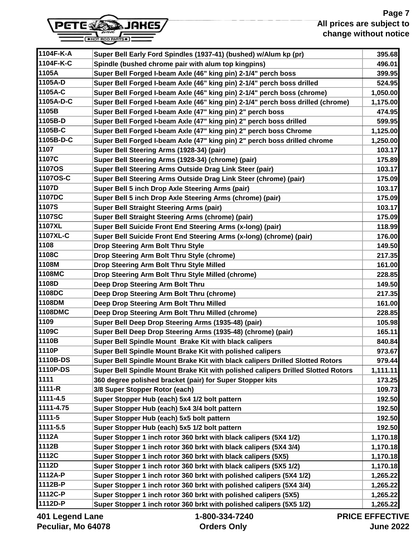## **Page 7 All prices are subject to change without notice**



| 1104F-K-A     | Super Bell Early Ford Spindles (1937-41) (bushed) w/Alum kp (pr)                 | 395.68                |
|---------------|----------------------------------------------------------------------------------|-----------------------|
| 1104F-K-C     | Spindle (bushed chrome pair with alum top kingpins)                              | 496.01                |
| 1105A         | Super Bell Forged I-beam Axle (46" king pin) 2-1/4" perch boss                   | 399.95                |
| 1105A-D       | Super Bell Forged I-beam Axle (46" king pin) 2-1/4" perch boss drilled           | 524.95                |
| 1105A-C       | Super Bell Forged I-beam Axle (46" king pin) 2-1/4" perch boss (chrome)          | 1,050.00              |
| 1105A-D-C     | Super Bell Forged I-beam Axle (46" king pin) 2-1/4" perch boss drilled (chrome)  | 1,175.00              |
| 1105B         | Super Bell Forged I-beam Axle (47" king pin) 2" perch boss                       | 474.95                |
| 1105B-D       | Super Bell Forged I-beam Axle (47" king pin) 2" perch boss drilled               | 599.95                |
| 1105B-C       | Super Bell Forged I-beam Axle (47" king pin) 2" perch boss Chrome                | 1,125.00              |
| 1105B-D-C     | Super Bell Forged I-beam Axle (47" king pin) 2" perch boss drilled chrome        | 1,250.00              |
| 1107          | Super Bell Steering Arms (1928-34) (pair)                                        | 103.17                |
| 1107C         | Super Bell Steering Arms (1928-34) (chrome) (pair)                               | 175.89                |
| <b>1107OS</b> | Super Bell Steering Arms Outside Drag Link Steer (pair)                          | 103.17                |
| 1107OS-C      | Super Bell Steering Arms Outside Drag Link Steer (chrome) (pair)                 | 175.09                |
| 1107D         | Super Bell 5 inch Drop Axle Steering Arms (pair)                                 | 103.17                |
| 1107DC        | Super Bell 5 inch Drop Axle Steering Arms (chrome) (pair)                        | 175.09                |
| 1107S         | <b>Super Bell Straight Steering Arms (pair)</b>                                  | 103.17                |
| 1107SC        | Super Bell Straight Steering Arms (chrome) (pair)                                | 175.09                |
| 1107XL        | Super Bell Suicide Front End Steering Arms (x-long) (pair)                       | 118.99                |
| 1107XL-C      | Super Bell Suicide Front End Steering Arms (x-long) (chrome) (pair)              | 176.00                |
| 1108          | Drop Steering Arm Bolt Thru Style                                                | 149.50                |
| 1108C         | Drop Steering Arm Bolt Thru Style (chrome)                                       | 217.35                |
| 1108M         | Drop Steering Arm Bolt Thru Style Milled                                         | 161.00                |
| 1108MC        | Drop Steering Arm Bolt Thru Style Milled (chrome)                                | 228.85                |
| 1108D         | Deep Drop Steering Arm Bolt Thru                                                 | 149.50                |
| 1108DC        | Deep Drop Steering Arm Bolt Thru (chrome)                                        | 217.35                |
| 1108DM        | Deep Drop Steering Arm Bolt Thru Milled                                          | 161.00                |
| 1108DMC       | Deep Drop Steering Arm Bolt Thru Milled (chrome)                                 | 228.85                |
| 1109          | Super Bell Deep Drop Steering Arms (1935-48) (pair)                              | 105.98                |
| 1109C         | Super Bell Deep Drop Steering Arms (1935-48) (chrome) (pair)                     | 165.11                |
| 1110B         | Super Bell Spindle Mount Brake Kit with black calipers                           | 840.84                |
| 1110P         | Super Bell Spindle Mount Brake Kit with polished calipers                        | 973.67                |
| 1110B-DS      | Super Bell Spindle Mount Brake Kit with black calipers Drilled Slotted Rotors    | 979.44                |
| 1110P-DS      | Super Bell Spindle Mount Brake Kit with polished calipers Drilled Slotted Rotors | 1,111.11              |
| 1111          | 360 degree polished bracket (pair) for Super Stopper kits                        | 173.25                |
| 1111-R        | 3/8 Super Stopper Rotor (each)                                                   | 109.73                |
| 1111-4.5      | Super Stopper Hub (each) 5x4 1/2 bolt pattern                                    | 192.50                |
| 1111-4.75     | Super Stopper Hub (each) 5x4 3/4 bolt pattern                                    | 192.50                |
| 1111-5        | Super Stopper Hub (each) 5x5 bolt pattern                                        | 192.50                |
| 1111-5.5      | Super Stopper Hub (each) 5x5 1/2 bolt pattern                                    | 192.50                |
| 1112A         | Super Stopper 1 inch rotor 360 brkt with black calipers (5X4 1/2)                | 1,170.18              |
| 1112B         | Super Stopper 1 inch rotor 360 brkt with black calipers (5X4 3/4)                | 1,170.18              |
| 1112C         | Super Stopper 1 inch rotor 360 brkt with black calipers (5X5)                    | 1,170.18              |
| 1112D         | Super Stopper 1 inch rotor 360 brkt with black calipers (5X5 1/2)                | 1,170.18              |
| 1112A-P       | Super Stopper 1 inch rotor 360 brkt with polished calipers (5X4 1/2)             | 1,265.22              |
| 1112B-P       | Super Stopper 1 inch rotor 360 brkt with polished calipers (5X4 3/4)             | 1,265.22              |
| 1112C-P       | Super Stopper 1 inch rotor 360 brkt with polished calipers (5X5)                 | 1,265.22              |
| 1112D-P       | Super Stopper 1 inch rotor 360 brkt with polished calipers (5X5 1/2)             | 1,265.22              |
|               | 1.000.0017010                                                                    | FFFFA <del>t</del> iv |

**401 Legend Lane Peculiar, Mo 64078**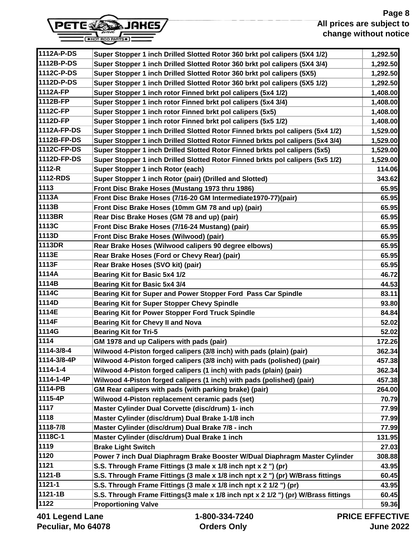# **Page 8 All prices are subject to change without notice**



| Super Stopper 1 inch Drilled Slotted Rotor 360 brkt pol calipers (5X4 3/4)<br>Super Stopper 1 inch Drilled Slotted Rotor 360 brkt pol calipers (5X5)<br>1,292.50<br>1112D-P-DS<br>Super Stopper 1 inch Drilled Slotted Rotor 360 brkt pol calipers (5X5 1/2)<br>1,292.50<br>Super Stopper 1 inch rotor Finned brkt pol calipers (5x4 1/2)<br>Super Stopper 1 inch rotor Finned brkt pol calipers (5x4 3/4)<br>1,408.00<br>Super Stopper 1 inch rotor Finned brkt pol calipers (5x5)<br>1,408.00<br>Super Stopper 1 inch rotor Finned brkt pol calipers (5x5 1/2)<br>1,408.00<br>Super Stopper 1 inch Drilled Slotted Rotor Finned brkts pol calipers (5x4 1/2)<br>1,529.00<br>Super Stopper 1 inch Drilled Slotted Rotor Finned brkts pol calipers (5x4 3/4)<br>Super Stopper 1 inch Drilled Slotted Rotor Finned brkts pol calipers (5x5)<br>Super Stopper 1 inch Drilled Slotted Rotor Finned brkts pol calipers (5x5 1/2)<br>Super Stopper 1 inch Rotor (each)<br>Super Stopper 1 inch Rotor (pair) (Drilled and Slotted)<br>Front Disc Brake Hoses (Mustang 1973 thru 1986)<br>1113A<br>65.95<br>Front Disc Brake Hoses (7/16-20 GM Intermediate1970-77)(pair)<br>Front Disc Brake Hoses (10mm GM 78 and up) (pair)<br>Rear Disc Brake Hoses (GM 78 and up) (pair)<br>65.95<br>Front Disc Brake Hoses (7/16-24 Mustang) (pair)<br>Front Disc Brake Hoses (Wilwood) (pair)<br>65.95<br>Rear Brake Hoses (Wilwood calipers 90 degree elbows)<br>1113E<br>65.95<br>Rear Brake Hoses (Ford or Chevy Rear) (pair)<br>1113F<br>Rear Brake Hoses (SVO kit) (pair)<br>46.72<br><b>Bearing Kit for Basic 5x4 1/2</b><br><b>Bearing Kit for Basic 5x4 3/4</b><br>Bearing Kit for Super and Power Stopper Ford Pass Car Spindle<br>83.11<br><b>Bearing Kit for Super Stopper Chevy Spindle</b><br>93.80<br><b>Bearing Kit for Power Stopper Ford Truck Spindle</b><br><b>Bearing Kit for Chevy II and Nova</b><br><b>Bearing Kit for Tri-5</b><br>GM 1978 and up Calipers with pads (pair)<br>Wilwood 4-Piston forged calipers (3/8 inch) with pads (plain) (pair)<br>1114-3/8-4P<br>Wilwood 4-Piston forged calipers (3/8 inch) with pads (polished) (pair)<br>Wilwood 4-Piston forged calipers (1 inch) with pads (plain) (pair)<br>Wilwood 4-Piston forged calipers (1 inch) with pads (polished) (pair)<br>GM Rear calipers with pads (with parking brake) (pair)<br>264.00<br>Wilwood 4-Piston replacement ceramic pads (set)<br>Master Cylinder Dual Corvette (disc/drum) 1- inch<br>1118<br>Master Cylinder (disc/drum) Dual Brake 1-1/8 inch<br>Master Cylinder (disc/drum) Dual Brake 7/8 - inch<br>77.99<br>Master Cylinder (disc/drum) Dual Brake 1 inch<br>1119<br><b>Brake Light Switch</b><br>1120<br>Power 7 inch Dual Diaphragm Brake Booster W/Dual Diaphragm Master Cylinder<br>S.S. Through Frame Fittings (3 male x 1/8 inch npt x 2 ") (pr)<br>1121-B<br>S.S. Through Frame Fittings (3 male x 1/8 inch npt x 2 ") (pr) W/Brass fittings<br>60.45<br>S.S. Through Frame Fittings (3 male x 1/8 inch npt x 2 1/2 ") (pr)<br>1121-1B<br>S.S. Through Frame Fittings(3 male x 1/8 inch npt x 2 1/2 ") (pr) W/Brass fittings<br><b>Proportioning Valve</b> | 1112A-P-DS  | Super Stopper 1 inch Drilled Slotted Rotor 360 brkt pol calipers (5X4 1/2) | 1,292.50 |
|----------------------------------------------------------------------------------------------------------------------------------------------------------------------------------------------------------------------------------------------------------------------------------------------------------------------------------------------------------------------------------------------------------------------------------------------------------------------------------------------------------------------------------------------------------------------------------------------------------------------------------------------------------------------------------------------------------------------------------------------------------------------------------------------------------------------------------------------------------------------------------------------------------------------------------------------------------------------------------------------------------------------------------------------------------------------------------------------------------------------------------------------------------------------------------------------------------------------------------------------------------------------------------------------------------------------------------------------------------------------------------------------------------------------------------------------------------------------------------------------------------------------------------------------------------------------------------------------------------------------------------------------------------------------------------------------------------------------------------------------------------------------------------------------------------------------------------------------------------------------------------------------------------------------------------------------------------------------------------------------------------------------------------------------------------------------------------------------------------------------------------------------------------------------------------------------------------------------------------------------------------------------------------------------------------------------------------------------------------------------------------------------------------------------------------------------------------------------------------------------------------------------------------------------------------------------------------------------------------------------------------------------------------------------------------------------------------------------------------------------------------------------------------------------------------------------------------------------------------------------------------------------------------------------------------------------------------------------------------------------------------------------------------------------------------------------------------------------------------------------------------------------------------------------|-------------|----------------------------------------------------------------------------|----------|
|                                                                                                                                                                                                                                                                                                                                                                                                                                                                                                                                                                                                                                                                                                                                                                                                                                                                                                                                                                                                                                                                                                                                                                                                                                                                                                                                                                                                                                                                                                                                                                                                                                                                                                                                                                                                                                                                                                                                                                                                                                                                                                                                                                                                                                                                                                                                                                                                                                                                                                                                                                                                                                                                                                                                                                                                                                                                                                                                                                                                                                                                                                                                                                      | 1112B-P-DS  |                                                                            | 1,292.50 |
|                                                                                                                                                                                                                                                                                                                                                                                                                                                                                                                                                                                                                                                                                                                                                                                                                                                                                                                                                                                                                                                                                                                                                                                                                                                                                                                                                                                                                                                                                                                                                                                                                                                                                                                                                                                                                                                                                                                                                                                                                                                                                                                                                                                                                                                                                                                                                                                                                                                                                                                                                                                                                                                                                                                                                                                                                                                                                                                                                                                                                                                                                                                                                                      | 1112C-P-DS  |                                                                            |          |
|                                                                                                                                                                                                                                                                                                                                                                                                                                                                                                                                                                                                                                                                                                                                                                                                                                                                                                                                                                                                                                                                                                                                                                                                                                                                                                                                                                                                                                                                                                                                                                                                                                                                                                                                                                                                                                                                                                                                                                                                                                                                                                                                                                                                                                                                                                                                                                                                                                                                                                                                                                                                                                                                                                                                                                                                                                                                                                                                                                                                                                                                                                                                                                      |             |                                                                            |          |
|                                                                                                                                                                                                                                                                                                                                                                                                                                                                                                                                                                                                                                                                                                                                                                                                                                                                                                                                                                                                                                                                                                                                                                                                                                                                                                                                                                                                                                                                                                                                                                                                                                                                                                                                                                                                                                                                                                                                                                                                                                                                                                                                                                                                                                                                                                                                                                                                                                                                                                                                                                                                                                                                                                                                                                                                                                                                                                                                                                                                                                                                                                                                                                      | 1112A-FP    |                                                                            | 1,408.00 |
|                                                                                                                                                                                                                                                                                                                                                                                                                                                                                                                                                                                                                                                                                                                                                                                                                                                                                                                                                                                                                                                                                                                                                                                                                                                                                                                                                                                                                                                                                                                                                                                                                                                                                                                                                                                                                                                                                                                                                                                                                                                                                                                                                                                                                                                                                                                                                                                                                                                                                                                                                                                                                                                                                                                                                                                                                                                                                                                                                                                                                                                                                                                                                                      | 1112B-FP    |                                                                            |          |
|                                                                                                                                                                                                                                                                                                                                                                                                                                                                                                                                                                                                                                                                                                                                                                                                                                                                                                                                                                                                                                                                                                                                                                                                                                                                                                                                                                                                                                                                                                                                                                                                                                                                                                                                                                                                                                                                                                                                                                                                                                                                                                                                                                                                                                                                                                                                                                                                                                                                                                                                                                                                                                                                                                                                                                                                                                                                                                                                                                                                                                                                                                                                                                      | 1112C-FP    |                                                                            |          |
|                                                                                                                                                                                                                                                                                                                                                                                                                                                                                                                                                                                                                                                                                                                                                                                                                                                                                                                                                                                                                                                                                                                                                                                                                                                                                                                                                                                                                                                                                                                                                                                                                                                                                                                                                                                                                                                                                                                                                                                                                                                                                                                                                                                                                                                                                                                                                                                                                                                                                                                                                                                                                                                                                                                                                                                                                                                                                                                                                                                                                                                                                                                                                                      | 1112D-FP    |                                                                            |          |
|                                                                                                                                                                                                                                                                                                                                                                                                                                                                                                                                                                                                                                                                                                                                                                                                                                                                                                                                                                                                                                                                                                                                                                                                                                                                                                                                                                                                                                                                                                                                                                                                                                                                                                                                                                                                                                                                                                                                                                                                                                                                                                                                                                                                                                                                                                                                                                                                                                                                                                                                                                                                                                                                                                                                                                                                                                                                                                                                                                                                                                                                                                                                                                      | 1112A-FP-DS |                                                                            |          |
|                                                                                                                                                                                                                                                                                                                                                                                                                                                                                                                                                                                                                                                                                                                                                                                                                                                                                                                                                                                                                                                                                                                                                                                                                                                                                                                                                                                                                                                                                                                                                                                                                                                                                                                                                                                                                                                                                                                                                                                                                                                                                                                                                                                                                                                                                                                                                                                                                                                                                                                                                                                                                                                                                                                                                                                                                                                                                                                                                                                                                                                                                                                                                                      | 1112B-FP-DS |                                                                            | 1,529.00 |
|                                                                                                                                                                                                                                                                                                                                                                                                                                                                                                                                                                                                                                                                                                                                                                                                                                                                                                                                                                                                                                                                                                                                                                                                                                                                                                                                                                                                                                                                                                                                                                                                                                                                                                                                                                                                                                                                                                                                                                                                                                                                                                                                                                                                                                                                                                                                                                                                                                                                                                                                                                                                                                                                                                                                                                                                                                                                                                                                                                                                                                                                                                                                                                      | 1112C-FP-DS |                                                                            | 1,529.00 |
|                                                                                                                                                                                                                                                                                                                                                                                                                                                                                                                                                                                                                                                                                                                                                                                                                                                                                                                                                                                                                                                                                                                                                                                                                                                                                                                                                                                                                                                                                                                                                                                                                                                                                                                                                                                                                                                                                                                                                                                                                                                                                                                                                                                                                                                                                                                                                                                                                                                                                                                                                                                                                                                                                                                                                                                                                                                                                                                                                                                                                                                                                                                                                                      | 1112D-FP-DS |                                                                            | 1,529.00 |
|                                                                                                                                                                                                                                                                                                                                                                                                                                                                                                                                                                                                                                                                                                                                                                                                                                                                                                                                                                                                                                                                                                                                                                                                                                                                                                                                                                                                                                                                                                                                                                                                                                                                                                                                                                                                                                                                                                                                                                                                                                                                                                                                                                                                                                                                                                                                                                                                                                                                                                                                                                                                                                                                                                                                                                                                                                                                                                                                                                                                                                                                                                                                                                      | 1112-R      |                                                                            | 114.06   |
|                                                                                                                                                                                                                                                                                                                                                                                                                                                                                                                                                                                                                                                                                                                                                                                                                                                                                                                                                                                                                                                                                                                                                                                                                                                                                                                                                                                                                                                                                                                                                                                                                                                                                                                                                                                                                                                                                                                                                                                                                                                                                                                                                                                                                                                                                                                                                                                                                                                                                                                                                                                                                                                                                                                                                                                                                                                                                                                                                                                                                                                                                                                                                                      | 1112-RDS    |                                                                            | 343.62   |
|                                                                                                                                                                                                                                                                                                                                                                                                                                                                                                                                                                                                                                                                                                                                                                                                                                                                                                                                                                                                                                                                                                                                                                                                                                                                                                                                                                                                                                                                                                                                                                                                                                                                                                                                                                                                                                                                                                                                                                                                                                                                                                                                                                                                                                                                                                                                                                                                                                                                                                                                                                                                                                                                                                                                                                                                                                                                                                                                                                                                                                                                                                                                                                      | 1113        |                                                                            | 65.95    |
|                                                                                                                                                                                                                                                                                                                                                                                                                                                                                                                                                                                                                                                                                                                                                                                                                                                                                                                                                                                                                                                                                                                                                                                                                                                                                                                                                                                                                                                                                                                                                                                                                                                                                                                                                                                                                                                                                                                                                                                                                                                                                                                                                                                                                                                                                                                                                                                                                                                                                                                                                                                                                                                                                                                                                                                                                                                                                                                                                                                                                                                                                                                                                                      |             |                                                                            |          |
|                                                                                                                                                                                                                                                                                                                                                                                                                                                                                                                                                                                                                                                                                                                                                                                                                                                                                                                                                                                                                                                                                                                                                                                                                                                                                                                                                                                                                                                                                                                                                                                                                                                                                                                                                                                                                                                                                                                                                                                                                                                                                                                                                                                                                                                                                                                                                                                                                                                                                                                                                                                                                                                                                                                                                                                                                                                                                                                                                                                                                                                                                                                                                                      | 1113B       |                                                                            | 65.95    |
|                                                                                                                                                                                                                                                                                                                                                                                                                                                                                                                                                                                                                                                                                                                                                                                                                                                                                                                                                                                                                                                                                                                                                                                                                                                                                                                                                                                                                                                                                                                                                                                                                                                                                                                                                                                                                                                                                                                                                                                                                                                                                                                                                                                                                                                                                                                                                                                                                                                                                                                                                                                                                                                                                                                                                                                                                                                                                                                                                                                                                                                                                                                                                                      | 1113BR      |                                                                            | 65.95    |
|                                                                                                                                                                                                                                                                                                                                                                                                                                                                                                                                                                                                                                                                                                                                                                                                                                                                                                                                                                                                                                                                                                                                                                                                                                                                                                                                                                                                                                                                                                                                                                                                                                                                                                                                                                                                                                                                                                                                                                                                                                                                                                                                                                                                                                                                                                                                                                                                                                                                                                                                                                                                                                                                                                                                                                                                                                                                                                                                                                                                                                                                                                                                                                      | 1113C       |                                                                            |          |
|                                                                                                                                                                                                                                                                                                                                                                                                                                                                                                                                                                                                                                                                                                                                                                                                                                                                                                                                                                                                                                                                                                                                                                                                                                                                                                                                                                                                                                                                                                                                                                                                                                                                                                                                                                                                                                                                                                                                                                                                                                                                                                                                                                                                                                                                                                                                                                                                                                                                                                                                                                                                                                                                                                                                                                                                                                                                                                                                                                                                                                                                                                                                                                      | 1113D       |                                                                            | 65.95    |
|                                                                                                                                                                                                                                                                                                                                                                                                                                                                                                                                                                                                                                                                                                                                                                                                                                                                                                                                                                                                                                                                                                                                                                                                                                                                                                                                                                                                                                                                                                                                                                                                                                                                                                                                                                                                                                                                                                                                                                                                                                                                                                                                                                                                                                                                                                                                                                                                                                                                                                                                                                                                                                                                                                                                                                                                                                                                                                                                                                                                                                                                                                                                                                      | 1113DR      |                                                                            |          |
|                                                                                                                                                                                                                                                                                                                                                                                                                                                                                                                                                                                                                                                                                                                                                                                                                                                                                                                                                                                                                                                                                                                                                                                                                                                                                                                                                                                                                                                                                                                                                                                                                                                                                                                                                                                                                                                                                                                                                                                                                                                                                                                                                                                                                                                                                                                                                                                                                                                                                                                                                                                                                                                                                                                                                                                                                                                                                                                                                                                                                                                                                                                                                                      |             |                                                                            |          |
|                                                                                                                                                                                                                                                                                                                                                                                                                                                                                                                                                                                                                                                                                                                                                                                                                                                                                                                                                                                                                                                                                                                                                                                                                                                                                                                                                                                                                                                                                                                                                                                                                                                                                                                                                                                                                                                                                                                                                                                                                                                                                                                                                                                                                                                                                                                                                                                                                                                                                                                                                                                                                                                                                                                                                                                                                                                                                                                                                                                                                                                                                                                                                                      |             |                                                                            | 65.95    |
|                                                                                                                                                                                                                                                                                                                                                                                                                                                                                                                                                                                                                                                                                                                                                                                                                                                                                                                                                                                                                                                                                                                                                                                                                                                                                                                                                                                                                                                                                                                                                                                                                                                                                                                                                                                                                                                                                                                                                                                                                                                                                                                                                                                                                                                                                                                                                                                                                                                                                                                                                                                                                                                                                                                                                                                                                                                                                                                                                                                                                                                                                                                                                                      | 1114A       |                                                                            |          |
|                                                                                                                                                                                                                                                                                                                                                                                                                                                                                                                                                                                                                                                                                                                                                                                                                                                                                                                                                                                                                                                                                                                                                                                                                                                                                                                                                                                                                                                                                                                                                                                                                                                                                                                                                                                                                                                                                                                                                                                                                                                                                                                                                                                                                                                                                                                                                                                                                                                                                                                                                                                                                                                                                                                                                                                                                                                                                                                                                                                                                                                                                                                                                                      | 1114B       |                                                                            | 44.53    |
|                                                                                                                                                                                                                                                                                                                                                                                                                                                                                                                                                                                                                                                                                                                                                                                                                                                                                                                                                                                                                                                                                                                                                                                                                                                                                                                                                                                                                                                                                                                                                                                                                                                                                                                                                                                                                                                                                                                                                                                                                                                                                                                                                                                                                                                                                                                                                                                                                                                                                                                                                                                                                                                                                                                                                                                                                                                                                                                                                                                                                                                                                                                                                                      | 1114C       |                                                                            |          |
|                                                                                                                                                                                                                                                                                                                                                                                                                                                                                                                                                                                                                                                                                                                                                                                                                                                                                                                                                                                                                                                                                                                                                                                                                                                                                                                                                                                                                                                                                                                                                                                                                                                                                                                                                                                                                                                                                                                                                                                                                                                                                                                                                                                                                                                                                                                                                                                                                                                                                                                                                                                                                                                                                                                                                                                                                                                                                                                                                                                                                                                                                                                                                                      | 1114D       |                                                                            |          |
|                                                                                                                                                                                                                                                                                                                                                                                                                                                                                                                                                                                                                                                                                                                                                                                                                                                                                                                                                                                                                                                                                                                                                                                                                                                                                                                                                                                                                                                                                                                                                                                                                                                                                                                                                                                                                                                                                                                                                                                                                                                                                                                                                                                                                                                                                                                                                                                                                                                                                                                                                                                                                                                                                                                                                                                                                                                                                                                                                                                                                                                                                                                                                                      | 1114E       |                                                                            | 84.84    |
|                                                                                                                                                                                                                                                                                                                                                                                                                                                                                                                                                                                                                                                                                                                                                                                                                                                                                                                                                                                                                                                                                                                                                                                                                                                                                                                                                                                                                                                                                                                                                                                                                                                                                                                                                                                                                                                                                                                                                                                                                                                                                                                                                                                                                                                                                                                                                                                                                                                                                                                                                                                                                                                                                                                                                                                                                                                                                                                                                                                                                                                                                                                                                                      | 1114F       |                                                                            | 52.02    |
|                                                                                                                                                                                                                                                                                                                                                                                                                                                                                                                                                                                                                                                                                                                                                                                                                                                                                                                                                                                                                                                                                                                                                                                                                                                                                                                                                                                                                                                                                                                                                                                                                                                                                                                                                                                                                                                                                                                                                                                                                                                                                                                                                                                                                                                                                                                                                                                                                                                                                                                                                                                                                                                                                                                                                                                                                                                                                                                                                                                                                                                                                                                                                                      | 1114G       |                                                                            | 52.02    |
|                                                                                                                                                                                                                                                                                                                                                                                                                                                                                                                                                                                                                                                                                                                                                                                                                                                                                                                                                                                                                                                                                                                                                                                                                                                                                                                                                                                                                                                                                                                                                                                                                                                                                                                                                                                                                                                                                                                                                                                                                                                                                                                                                                                                                                                                                                                                                                                                                                                                                                                                                                                                                                                                                                                                                                                                                                                                                                                                                                                                                                                                                                                                                                      | 1114        |                                                                            | 172.26   |
|                                                                                                                                                                                                                                                                                                                                                                                                                                                                                                                                                                                                                                                                                                                                                                                                                                                                                                                                                                                                                                                                                                                                                                                                                                                                                                                                                                                                                                                                                                                                                                                                                                                                                                                                                                                                                                                                                                                                                                                                                                                                                                                                                                                                                                                                                                                                                                                                                                                                                                                                                                                                                                                                                                                                                                                                                                                                                                                                                                                                                                                                                                                                                                      | 1114-3/8-4  |                                                                            | 362.34   |
|                                                                                                                                                                                                                                                                                                                                                                                                                                                                                                                                                                                                                                                                                                                                                                                                                                                                                                                                                                                                                                                                                                                                                                                                                                                                                                                                                                                                                                                                                                                                                                                                                                                                                                                                                                                                                                                                                                                                                                                                                                                                                                                                                                                                                                                                                                                                                                                                                                                                                                                                                                                                                                                                                                                                                                                                                                                                                                                                                                                                                                                                                                                                                                      |             |                                                                            | 457.38   |
|                                                                                                                                                                                                                                                                                                                                                                                                                                                                                                                                                                                                                                                                                                                                                                                                                                                                                                                                                                                                                                                                                                                                                                                                                                                                                                                                                                                                                                                                                                                                                                                                                                                                                                                                                                                                                                                                                                                                                                                                                                                                                                                                                                                                                                                                                                                                                                                                                                                                                                                                                                                                                                                                                                                                                                                                                                                                                                                                                                                                                                                                                                                                                                      | 1114-1-4    |                                                                            | 362.34   |
|                                                                                                                                                                                                                                                                                                                                                                                                                                                                                                                                                                                                                                                                                                                                                                                                                                                                                                                                                                                                                                                                                                                                                                                                                                                                                                                                                                                                                                                                                                                                                                                                                                                                                                                                                                                                                                                                                                                                                                                                                                                                                                                                                                                                                                                                                                                                                                                                                                                                                                                                                                                                                                                                                                                                                                                                                                                                                                                                                                                                                                                                                                                                                                      | 1114-1-4P   |                                                                            | 457.38   |
|                                                                                                                                                                                                                                                                                                                                                                                                                                                                                                                                                                                                                                                                                                                                                                                                                                                                                                                                                                                                                                                                                                                                                                                                                                                                                                                                                                                                                                                                                                                                                                                                                                                                                                                                                                                                                                                                                                                                                                                                                                                                                                                                                                                                                                                                                                                                                                                                                                                                                                                                                                                                                                                                                                                                                                                                                                                                                                                                                                                                                                                                                                                                                                      | 1114-PB     |                                                                            |          |
|                                                                                                                                                                                                                                                                                                                                                                                                                                                                                                                                                                                                                                                                                                                                                                                                                                                                                                                                                                                                                                                                                                                                                                                                                                                                                                                                                                                                                                                                                                                                                                                                                                                                                                                                                                                                                                                                                                                                                                                                                                                                                                                                                                                                                                                                                                                                                                                                                                                                                                                                                                                                                                                                                                                                                                                                                                                                                                                                                                                                                                                                                                                                                                      | 1115-4P     |                                                                            | 70.79    |
|                                                                                                                                                                                                                                                                                                                                                                                                                                                                                                                                                                                                                                                                                                                                                                                                                                                                                                                                                                                                                                                                                                                                                                                                                                                                                                                                                                                                                                                                                                                                                                                                                                                                                                                                                                                                                                                                                                                                                                                                                                                                                                                                                                                                                                                                                                                                                                                                                                                                                                                                                                                                                                                                                                                                                                                                                                                                                                                                                                                                                                                                                                                                                                      | 1117        |                                                                            | 77.99    |
|                                                                                                                                                                                                                                                                                                                                                                                                                                                                                                                                                                                                                                                                                                                                                                                                                                                                                                                                                                                                                                                                                                                                                                                                                                                                                                                                                                                                                                                                                                                                                                                                                                                                                                                                                                                                                                                                                                                                                                                                                                                                                                                                                                                                                                                                                                                                                                                                                                                                                                                                                                                                                                                                                                                                                                                                                                                                                                                                                                                                                                                                                                                                                                      |             |                                                                            | 77.99    |
|                                                                                                                                                                                                                                                                                                                                                                                                                                                                                                                                                                                                                                                                                                                                                                                                                                                                                                                                                                                                                                                                                                                                                                                                                                                                                                                                                                                                                                                                                                                                                                                                                                                                                                                                                                                                                                                                                                                                                                                                                                                                                                                                                                                                                                                                                                                                                                                                                                                                                                                                                                                                                                                                                                                                                                                                                                                                                                                                                                                                                                                                                                                                                                      | 1118-7/8    |                                                                            |          |
|                                                                                                                                                                                                                                                                                                                                                                                                                                                                                                                                                                                                                                                                                                                                                                                                                                                                                                                                                                                                                                                                                                                                                                                                                                                                                                                                                                                                                                                                                                                                                                                                                                                                                                                                                                                                                                                                                                                                                                                                                                                                                                                                                                                                                                                                                                                                                                                                                                                                                                                                                                                                                                                                                                                                                                                                                                                                                                                                                                                                                                                                                                                                                                      | 1118C-1     |                                                                            | 131.95   |
|                                                                                                                                                                                                                                                                                                                                                                                                                                                                                                                                                                                                                                                                                                                                                                                                                                                                                                                                                                                                                                                                                                                                                                                                                                                                                                                                                                                                                                                                                                                                                                                                                                                                                                                                                                                                                                                                                                                                                                                                                                                                                                                                                                                                                                                                                                                                                                                                                                                                                                                                                                                                                                                                                                                                                                                                                                                                                                                                                                                                                                                                                                                                                                      |             |                                                                            | 27.03    |
|                                                                                                                                                                                                                                                                                                                                                                                                                                                                                                                                                                                                                                                                                                                                                                                                                                                                                                                                                                                                                                                                                                                                                                                                                                                                                                                                                                                                                                                                                                                                                                                                                                                                                                                                                                                                                                                                                                                                                                                                                                                                                                                                                                                                                                                                                                                                                                                                                                                                                                                                                                                                                                                                                                                                                                                                                                                                                                                                                                                                                                                                                                                                                                      |             |                                                                            | 308.88   |
|                                                                                                                                                                                                                                                                                                                                                                                                                                                                                                                                                                                                                                                                                                                                                                                                                                                                                                                                                                                                                                                                                                                                                                                                                                                                                                                                                                                                                                                                                                                                                                                                                                                                                                                                                                                                                                                                                                                                                                                                                                                                                                                                                                                                                                                                                                                                                                                                                                                                                                                                                                                                                                                                                                                                                                                                                                                                                                                                                                                                                                                                                                                                                                      | 1121        |                                                                            | 43.95    |
|                                                                                                                                                                                                                                                                                                                                                                                                                                                                                                                                                                                                                                                                                                                                                                                                                                                                                                                                                                                                                                                                                                                                                                                                                                                                                                                                                                                                                                                                                                                                                                                                                                                                                                                                                                                                                                                                                                                                                                                                                                                                                                                                                                                                                                                                                                                                                                                                                                                                                                                                                                                                                                                                                                                                                                                                                                                                                                                                                                                                                                                                                                                                                                      |             |                                                                            |          |
|                                                                                                                                                                                                                                                                                                                                                                                                                                                                                                                                                                                                                                                                                                                                                                                                                                                                                                                                                                                                                                                                                                                                                                                                                                                                                                                                                                                                                                                                                                                                                                                                                                                                                                                                                                                                                                                                                                                                                                                                                                                                                                                                                                                                                                                                                                                                                                                                                                                                                                                                                                                                                                                                                                                                                                                                                                                                                                                                                                                                                                                                                                                                                                      | 1121-1      |                                                                            | 43.95    |
|                                                                                                                                                                                                                                                                                                                                                                                                                                                                                                                                                                                                                                                                                                                                                                                                                                                                                                                                                                                                                                                                                                                                                                                                                                                                                                                                                                                                                                                                                                                                                                                                                                                                                                                                                                                                                                                                                                                                                                                                                                                                                                                                                                                                                                                                                                                                                                                                                                                                                                                                                                                                                                                                                                                                                                                                                                                                                                                                                                                                                                                                                                                                                                      |             |                                                                            | 60.45    |
|                                                                                                                                                                                                                                                                                                                                                                                                                                                                                                                                                                                                                                                                                                                                                                                                                                                                                                                                                                                                                                                                                                                                                                                                                                                                                                                                                                                                                                                                                                                                                                                                                                                                                                                                                                                                                                                                                                                                                                                                                                                                                                                                                                                                                                                                                                                                                                                                                                                                                                                                                                                                                                                                                                                                                                                                                                                                                                                                                                                                                                                                                                                                                                      | 1122        |                                                                            | 59.36    |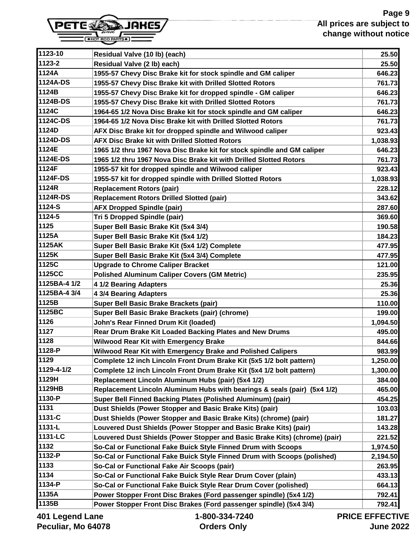

| 1123-10      | Residual Valve (10 lb) (each)                                              | 25.50          |
|--------------|----------------------------------------------------------------------------|----------------|
| 1123-2       | Residual Valve (2 lb) each)                                                | 25.50          |
| 1124A        | 1955-57 Chevy Disc Brake kit for stock spindle and GM caliper              | 646.23         |
| 1124A-DS     | 1955-57 Chevy Disc Brake kit with Drilled Slotted Rotors                   | 761.73         |
| 1124B        | 1955-57 Chevy Disc Brake kit for dropped spindle - GM caliper              | 646.23         |
| 1124B-DS     | 1955-57 Chevy Disc Brake kit with Drilled Slotted Rotors                   | 761.73         |
| 1124C        | 1964-65 1/2 Nova Disc Brake kit for stock spindle and GM caliper           | 646.23         |
| 1124C-DS     | 1964-65 1/2 Nova Disc Brake kit with Drilled Slotted Rotors                | 761.73         |
| 1124D        | AFX Disc Brake kit for dropped spindle and Wilwood caliper                 | 923.43         |
| 1124D-DS     | <b>AFX Disc Brake kit with Drilled Slotted Rotors</b>                      | 1,038.93       |
| 1124E        | 1965 1/2 thru 1967 Nova Disc Brake kit for stock spindle and GM caliper    | 646.23         |
| 1124E-DS     | 1965 1/2 thru 1967 Nova Disc Brake kit with Drilled Slotted Rotors         | 761.73         |
| 1124F        | 1955-57 kit for dropped spindle and Wilwood caliper                        | 923.43         |
| 1124F-DS     | 1955-57 kit for dropped spindle with Drilled Slotted Rotors                | 1,038.93       |
| 1124R        | <b>Replacement Rotors (pair)</b>                                           | 228.12         |
| 1124R-DS     | <b>Replacement Rotors Drilled Slotted (pair)</b>                           | 343.62         |
| 1124-S       | <b>AFX Dropped Spindle (pair)</b>                                          | 287.60         |
| 1124-5       | Tri 5 Dropped Spindle (pair)                                               | 369.60         |
| 1125         | Super Bell Basic Brake Kit (5x4 3/4)                                       | 190.58         |
| 1125A        | Super Bell Basic Brake Kit (5x4 1/2)                                       | 184.23         |
| 1125AK       | Super Bell Basic Brake Kit (5x4 1/2) Complete                              | 477.95         |
| 1125K        | Super Bell Basic Brake Kit (5x4 3/4) Complete                              | 477.95         |
| 1125C        | <b>Upgrade to Chrome Caliper Bracket</b>                                   | 121.00         |
| 1125CC       | <b>Polished Aluminum Caliper Covers (GM Metric)</b>                        | 235.95         |
| 1125BA-4 1/2 | 4 1/2 Bearing Adapters                                                     | 25.36          |
| 1125BA-4 3/4 | 4 3/4 Bearing Adapters                                                     | 25.36          |
| 1125B        | Super Bell Basic Brake Brackets (pair)                                     | 110.00         |
| 1125BC       | Super Bell Basic Brake Brackets (pair) (chrome)                            | 199.00         |
| 1126         | John's Rear Finned Drum Kit (loaded)                                       | 1,094.50       |
| 1127         | Rear Drum Brake Kit Loaded Backing Plates and New Drums                    | 495.00         |
| 1128         | <b>Wilwood Rear Kit with Emergency Brake</b>                               | 844.66         |
| 1128-P       | Wilwood Rear Kit with Emergency Brake and Polished Calipers                | 983.99         |
| 1129         | Complete 12 inch Lincoln Front Drum Brake Kit (5x5 1/2 bolt pattern)       | 1,250.00       |
| 1129-4-1/2   | Complete 12 inch Lincoln Front Drum Brake Kit (5x4 1/2 bolt pattern)       | 1,300.00       |
| 1129H        | Replacement Lincoln Aluminum Hubs (pair) (5x4 1/2)                         | 384.00         |
| 1129HB       | Replacement Lincoln Aluminum Hubs with bearings & seals (pair) (5x4 1/2)   | 465.00         |
| 1130-P       | Super Bell Finned Backing Plates (Polished Aluminum) (pair)                | 454.25         |
| 1131         | Dust Shields (Power Stopper and Basic Brake Kits) (pair)                   | 103.03         |
| 1131-C       | Dust Shields (Power Stopper and Basic Brake Kits) (chrome) (pair)          | 181.27         |
| 1131-L       | Louvered Dust Shields (Power Stopper and Basic Brake Kits) (pair)          | 143.28         |
| 1131-LC      | Louvered Dust Shields (Power Stopper and Basic Brake Kits) (chrome) (pair) | 221.52         |
| 1132         | So-Cal or Functional Fake Buick Style Finned Drum with Scoops              | 1,974.50       |
| 1132-P       | So-Cal or Functional Fake Buick Style Finned Drum with Scoops (polished)   | 2,194.50       |
| 1133         | So-Cal or Functional Fake Air Scoops (pair)                                | 263.95         |
| 1134         | So-Cal or Functional Fake Buick Style Rear Drum Cover (plain)              | 433.13         |
| 1134-P       | So-Cal or Functional Fake Buick Style Rear Drum Cover (polished)           | 664.13         |
| 1135A        | Power Stopper Front Disc Brakes (Ford passenger spindle) (5x4 1/2)         | 792.41         |
| 1135B        | Power Stopper Front Disc Brakes (Ford passenger spindle) (5x4 3/4)         | 792.41         |
| AA           | 1.000.221.7010                                                             | DDIAF FFFFATIL |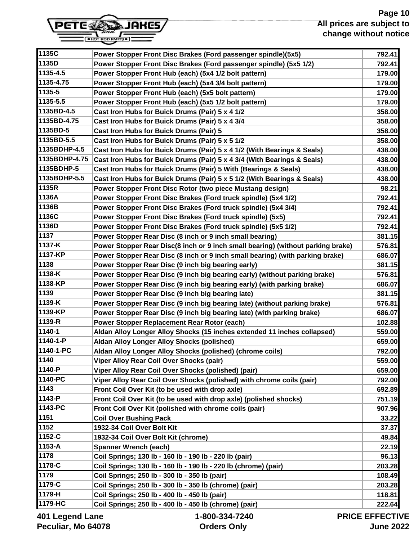# **Page 10 All prices are subject to change without notice**



| 1135C             | Power Stopper Front Disc Brakes (Ford passenger spindle)(5x5)                   | 792.41                |
|-------------------|---------------------------------------------------------------------------------|-----------------------|
| 1135D             | Power Stopper Front Disc Brakes (Ford passenger spindle) (5x5 1/2)              | 792.41                |
| 1135-4.5          | Power Stopper Front Hub (each) (5x4 1/2 bolt pattern)                           | 179.00                |
| 1135-4.75         | Power Stopper Front Hub (each) (5x4 3/4 bolt pattern)                           | 179.00                |
| 1135-5            | Power Stopper Front Hub (each) (5x5 bolt pattern)                               | 179.00                |
| 1135-5.5          | Power Stopper Front Hub (each) (5x5 1/2 bolt pattern)                           | 179.00                |
| 1135BD-4.5        | Cast Iron Hubs for Buick Drums (Pair) 5 x 4 1/2                                 | 358.00                |
| 1135BD-4.75       | Cast Iron Hubs for Buick Drums (Pair) 5 x 4 3/4                                 | 358.00                |
| 1135BD-5          | Cast Iron Hubs for Buick Drums (Pair) 5                                         | 358.00                |
| 1135BD-5.5        | Cast Iron Hubs for Buick Drums (Pair) 5 x 5 1/2                                 | 358.00                |
| 1135BDHP-4.5      | Cast Iron Hubs for Buick Drums (Pair) 5 x 4 1/2 (With Bearings & Seals)         | 438.00                |
| 1135BDHP-4.75     | Cast Iron Hubs for Buick Drums (Pair) 5 x 4 3/4 (With Bearings & Seals)         | 438.00                |
| 1135BDHP-5        | Cast Iron Hubs for Buick Drums (Pair) 5 With (Bearings & Seals)                 | 438.00                |
| 1135BDHP-5.5      | Cast Iron Hubs for Buick Drums (Pair) 5 x 5 1/2 (With Bearings & Seals)         | 438.00                |
| 1135R             | Power Stopper Front Disc Rotor (two piece Mustang design)                       | 98.21                 |
| 1136A             | Power Stopper Front Disc Brakes (Ford truck spindle) (5x4 1/2)                  | 792.41                |
| 1136B             | Power Stopper Front Disc Brakes (Ford truck spindle) (5x4 3/4)                  | 792.41                |
| 1136C             | Power Stopper Front Disc Brakes (Ford truck spindle) (5x5)                      | 792.41                |
| 1136D             | Power Stopper Front Disc Brakes (Ford truck spindle) (5x5 1/2)                  | 792.41                |
| 1137              | Power Stopper Rear Disc (8 inch or 9 inch small bearing)                        | 381.15                |
| 1137-K            | Power Stopper Rear Disc(8 inch or 9 inch small bearing) (without parking brake) | 576.81                |
| 1137-KP           | Power Stopper Rear Disc (8 inch or 9 inch small bearing) (with parking brake)   | 686.07                |
| 1138              | Power Stopper Rear Disc (9 inch big bearing early)                              | 381.15                |
| 1138-K            | Power Stopper Rear Disc (9 inch big bearing early) (without parking brake)      | 576.81                |
| 1138-KP           | Power Stopper Rear Disc (9 inch big bearing early) (with parking brake)         | 686.07                |
| 1139              | Power Stopper Rear Disc (9 inch big bearing late)                               | 381.15                |
| 1139-K            | Power Stopper Rear Disc (9 inch big bearing late) (without parking brake)       | 576.81                |
| 1139-KP           | Power Stopper Rear Disc (9 inch big bearing late) (with parking brake)          | 686.07                |
| 1139-R            | Power Stopper Replacement Rear Rotor (each)                                     | 102.88                |
| 1140-1            | Aldan Alloy Longer Alloy Shocks (15 inches extended 11 inches collapsed)        | 559.00                |
| 1140-1-P          | Aldan Alloy Longer Alloy Shocks (polished)                                      | 659.00                |
| 1140-1-PC         | Aldan Alloy Longer Alloy Shocks (polished) (chrome coils)                       | 792.00                |
| 1140              | Viper Alloy Rear Coil Over Shocks (pair)                                        | 559.00                |
| 1140-P            | Viper Alloy Rear Coil Over Shocks (polished) (pair)                             | 659.00                |
| 1140-PC           | Viper Alloy Rear Coil Over Shocks (polished) with chrome coils (pair)           | 792.00                |
| 1143              | Front Coil Over Kit (to be used with drop axle)                                 | 692.89                |
| 1143-P            | Front Coil Over Kit (to be used with drop axle) (polished shocks)               | 751.19                |
| 1143-PC           | Front Coil Over Kit (polished with chrome coils (pair)                          | 907.96                |
| 1151              | <b>Coil Over Bushing Pack</b>                                                   | 33.22                 |
| 1152              | 1932-34 Coil Over Bolt Kit                                                      | 37.37                 |
| 1152-C            | 1932-34 Coil Over Bolt Kit (chrome)                                             | 49.84                 |
| 1153-A            | <b>Spanner Wrench (each)</b>                                                    | 22.19                 |
| 1178              | Coil Springs; 130 lb - 160 lb - 190 lb - 220 lb (pair)                          | 96.13                 |
| 1178-C            | Coil Springs; 130 lb - 160 lb - 190 lb - 220 lb (chrome) (pair)                 | 203.28                |
| 1179              | Coil Springs; 250 lb - 300 lb - 350 lb (pair)                                   | 108.49                |
| 1179-C            | Coil Springs; 250 lb - 300 lb - 350 lb (chrome) (pair)                          | 203.28                |
| 1179-H            | Coil Springs; 250 lb - 400 lb - 450 lb (pair)                                   | 118.81                |
| 1179-HC           | Coil Springs; 250 lb - 400 lb - 450 lb (chrome) (pair)                          | 222.64                |
| ang I boang I 10A | $1 - 800 - 334 - 7240$                                                          | <b>PRICE EFFECTIV</b> |

**401 Legend Lane Peculiar, Mo 64078**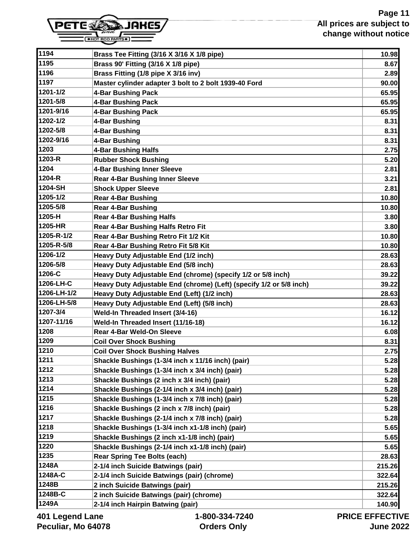# **Page 11 All prices are subject to change without notice**



| 1194            | Brass Tee Fitting (3/16 X 3/16 X 1/8 pipe)                          | 10.98                 |
|-----------------|---------------------------------------------------------------------|-----------------------|
| 1195            | Brass 90' Fitting (3/16 X 1/8 pipe)                                 | 8.67                  |
| 1196            | Brass Fitting (1/8 pipe X 3/16 inv)                                 | 2.89                  |
| 1197            | Master cylinder adapter 3 bolt to 2 bolt 1939-40 Ford               | 90.00                 |
| 1201-1/2        | 4-Bar Bushing Pack                                                  | 65.95                 |
| 1201-5/8        | 4-Bar Bushing Pack                                                  | 65.95                 |
| 1201-9/16       | 4-Bar Bushing Pack                                                  | 65.95                 |
| 1202-1/2        | 4-Bar Bushing                                                       | 8.31                  |
| 1202-5/8        | 4-Bar Bushing                                                       | 8.31                  |
| 1202-9/16       | 4-Bar Bushing                                                       | 8.31                  |
| 1203            | 4-Bar Bushing Halfs                                                 | 2.75                  |
| 1203-R          | <b>Rubber Shock Bushing</b>                                         | 5.20                  |
| 1204            | 4-Bar Bushing Inner Sleeve                                          | 2.81                  |
| 1204-R          | <b>Rear 4-Bar Bushing Inner Sleeve</b>                              | 3.21                  |
| 1204-SH         | <b>Shock Upper Sleeve</b>                                           | 2.81                  |
| 1205-1/2        | <b>Rear 4-Bar Bushing</b>                                           | 10.80                 |
| 1205-5/8        | <b>Rear 4-Bar Bushing</b>                                           | 10.80                 |
| 1205-H          | <b>Rear 4-Bar Bushing Halfs</b>                                     | 3.80                  |
| 1205-HR         | Rear 4-Bar Bushing Halfs Retro Fit                                  | 3.80                  |
| 1205-R-1/2      | Rear 4-Bar Bushing Retro Fit 1/2 Kit                                | 10.80                 |
| 1205-R-5/8      | Rear 4-Bar Bushing Retro Fit 5/8 Kit                                | 10.80                 |
| 1206-1/2        | Heavy Duty Adjustable End (1/2 inch)                                | 28.63                 |
| 1206-5/8        | Heavy Duty Adjustable End (5/8 inch)                                | 28.63                 |
| 1206-C          | Heavy Duty Adjustable End (chrome) (specify 1/2 or 5/8 inch)        | 39.22                 |
| 1206-LH-C       | Heavy Duty Adjustable End (chrome) (Left) (specify 1/2 or 5/8 inch) | 39.22                 |
| 1206-LH-1/2     | Heavy Duty Adjustable End (Left) (1/2 inch)                         | 28.63                 |
| 1206-LH-5/8     | Heavy Duty Adjustable End (Left) (5/8 inch)                         | 28.63                 |
| 1207-3/4        | Weld-In Threaded Insert (3/4-16)                                    | 16.12                 |
| 1207-11/16      | Weld-In Threaded Insert (11/16-18)                                  | 16.12                 |
| 1208            | <b>Rear 4-Bar Weld-On Sleeve</b>                                    | 6.08                  |
| 1209            | <b>Coil Over Shock Bushing</b>                                      | 8.31                  |
| 1210            | <b>Coil Over Shock Bushing Halves</b>                               | 2.75                  |
| 1211            | Shackle Bushings (1-3/4 inch x 11/16 inch) (pair)                   | 5.28                  |
| 1212            | Shackle Bushings (1-3/4 inch x 3/4 inch) (pair)                     | 5.28                  |
| 1213            | Shackle Bushings (2 inch x 3/4 inch) (pair)                         | 5.28                  |
| 1214            | Shackle Bushings (2-1/4 inch x 3/4 inch) (pair)                     | 5.28                  |
| 1215            | Shackle Bushings (1-3/4 inch x 7/8 inch) (pair)                     | 5.28                  |
| 1216            | Shackle Bushings (2 inch x 7/8 inch) (pair)                         | 5.28                  |
| 1217            | Shackle Bushings (2-1/4 inch x 7/8 inch) (pair)                     | 5.28                  |
| 1218            | Shackle Bushings (1-3/4 inch x1-1/8 inch) (pair)                    | 5.65                  |
| 1219            | Shackle Bushings (2 inch x1-1/8 inch) (pair)                        | 5.65                  |
| 1220            | Shackle Bushings (2-1/4 inch x1-1/8 inch) (pair)                    | 5.65                  |
| 1235            | <b>Rear Spring Tee Bolts (each)</b>                                 | 28.63                 |
| 1248A           | 2-1/4 inch Suicide Batwings (pair)                                  | 215.26                |
| 1248A-C         | 2-1/4 inch Suicide Batwings (pair) (chrome)                         | 322.64                |
| 1248B           | 2 inch Suicide Batwings (pair)                                      | 215.26                |
| 1248B-C         | 2 inch Suicide Batwings (pair) (chrome)                             | 322.64                |
| 1249A           | 2-1/4 inch Hairpin Batwing (pair)                                   | 140.90                |
| 401 Legend Lane | 1-800-334-7240                                                      | <b>PRICE EFFECTIV</b> |

**401 Legend Lane Peculiar, Mo 64078**

JU-334 **Orders Only**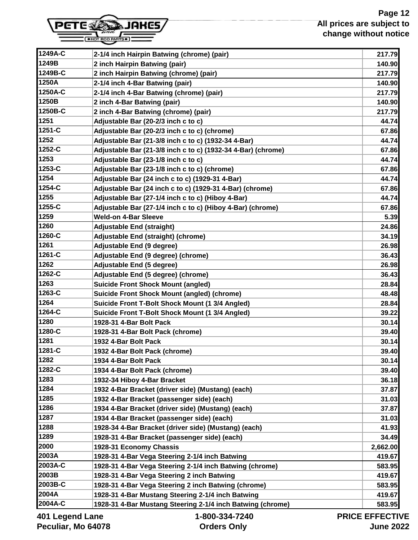# **Page 12 All prices are subject to change without notice**



| 1249A-C            | 2-1/4 inch Hairpin Batwing (chrome) (pair)                   | 217.79         |
|--------------------|--------------------------------------------------------------|----------------|
| 1249B              | 2 inch Hairpin Batwing (pair)                                | 140.90         |
| 1249B-C            | 2 inch Hairpin Batwing (chrome) (pair)                       | 217.79         |
| 1250A              | 2-1/4 inch 4-Bar Batwing (pair)                              | 140.90         |
| 1250A-C            | 2-1/4 inch 4-Bar Batwing (chrome) (pair)                     | 217.79         |
| 1250B              | 2 inch 4-Bar Batwing (pair)                                  | 140.90         |
| 1250B-C            | 2 inch 4-Bar Batwing (chrome) (pair)                         | 217.79         |
| 1251               | Adjustable Bar (20-2/3 inch c to c)                          | 44.74          |
| 1251-C             | Adjustable Bar (20-2/3 inch c to c) (chrome)                 | 67.86          |
| 1252               | Adjustable Bar (21-3/8 inch c to c) (1932-34 4-Bar)          | 44.74          |
| 1252-C             | Adjustable Bar (21-3/8 inch c to c) (1932-34 4-Bar) (chrome) | 67.86          |
| 1253               | Adjustable Bar (23-1/8 inch c to c)                          | 44.74          |
| 1253-C             | Adjustable Bar (23-1/8 inch c to c) (chrome)                 | 67.86          |
| 1254               | Adjustable Bar (24 inch c to c) (1929-31 4-Bar)              | 44.74          |
| 1254-C             | Adjustable Bar (24 inch c to c) (1929-31 4-Bar) (chrome)     | 67.86          |
| 1255               | Adjustable Bar (27-1/4 inch c to c) (Hiboy 4-Bar)            | 44.74          |
| 1255-C             | Adjustable Bar (27-1/4 inch c to c) (Hiboy 4-Bar) (chrome)   | 67.86          |
| 1259               | <b>Weld-on 4-Bar Sleeve</b>                                  | 5.39           |
| 1260               | <b>Adjustable End (straight)</b>                             | 24.86          |
| 1260-C             | Adjustable End (straight) (chrome)                           | 34.19          |
| 1261               | Adjustable End (9 degree)                                    | 26.98          |
| 1261-C             | Adjustable End (9 degree) (chrome)                           | 36.43          |
| 1262               | Adjustable End (5 degree)                                    | 26.98          |
| 1262-C             | Adjustable End (5 degree) (chrome)                           | 36.43          |
| 1263               | <b>Suicide Front Shock Mount (angled)</b>                    | 28.84          |
| 1263-C             | <b>Suicide Front Shock Mount (angled) (chrome)</b>           | 48.48          |
| 1264               | Suicide Front T-Bolt Shock Mount (1 3/4 Angled)              | 28.84          |
| 1264-C             | Suicide Front T-Bolt Shock Mount (1 3/4 Angled)              | 39.22          |
| 1280               | 1928-31 4-Bar Bolt Pack                                      | 30.14          |
| 1280-C             | 1928-31 4-Bar Bolt Pack (chrome)                             | 39.40          |
| 1281               | 1932 4-Bar Bolt Pack                                         | 30.14          |
| 1281-C             | 1932 4-Bar Bolt Pack (chrome)                                | 39.40          |
| 1282               | 1934 4-Bar Bolt Pack                                         | 30.14          |
| 1282-C             | 1934 4-Bar Bolt Pack (chrome)                                | 39.40          |
| 1283               | 1932-34 Hiboy 4-Bar Bracket                                  | 36.18          |
| 1284               | 1932 4-Bar Bracket (driver side) (Mustang) (each)            | 37.87          |
| 1285               | 1932 4-Bar Bracket (passenger side) (each)                   | 31.03          |
| 1286               | 1934 4-Bar Bracket (driver side) (Mustang) (each)            | 37.87          |
| 1287               | 1934 4-Bar Bracket (passenger side) (each)                   | 31.03          |
| 1288               | 1928-34 4-Bar Bracket (driver side) (Mustang) (each)         | 41.93          |
| 1289               | 1928-31 4-Bar Bracket (passenger side) (each)                | 34.49          |
| 2000               | 1928-31 Economy Chassis                                      | 2,662.00       |
| 2003A              | 1928-31 4-Bar Vega Steering 2-1/4 inch Batwing               | 419.67         |
| 2003A-C            | 1928-31 4-Bar Vega Steering 2-1/4 inch Batwing (chrome)      | 583.95         |
| 2003B              | 1928-31 4-Bar Vega Steering 2 inch Batwing                   | 419.67         |
| 2003B-C            | 1928-31 4-Bar Vega Steering 2 inch Batwing (chrome)          | 583.95         |
| 2004A              | 1928-31 4-Bar Mustang Steering 2-1/4 inch Batwing            | 419.67         |
| 2004A-C            | 1928-31 4-Bar Mustang Steering 2-1/4 inch Batwing (chrome)   | 583.95         |
| ane I briana I 10N | 1-800-331-7240                                               | DDICE EEEECTIV |

**401 Legend Lane Peculiar, Mo 64078**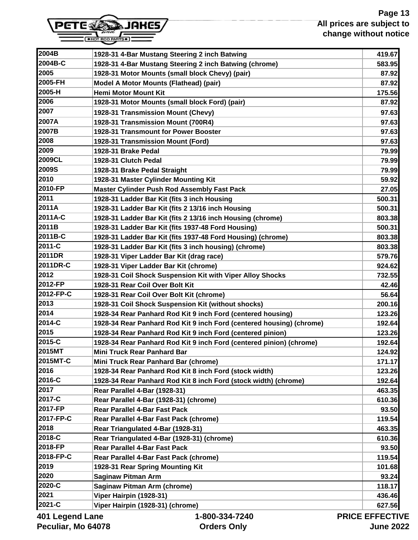# **Page 13 All prices are subject to change without notice**



| 2004B           | 1928-31 4-Bar Mustang Steering 2 inch Batwing                        | 419.67                |
|-----------------|----------------------------------------------------------------------|-----------------------|
| 2004B-C         | 1928-31 4-Bar Mustang Steering 2 inch Batwing (chrome)               | 583.95                |
| 2005            | 1928-31 Motor Mounts (small block Chevy) (pair)                      | 87.92                 |
| 2005-FH         | <b>Model A Motor Mounts (Flathead) (pair)</b>                        | 87.92                 |
| 2005-H          | <b>Hemi Motor Mount Kit</b>                                          | 175.56                |
| 2006            | 1928-31 Motor Mounts (small block Ford) (pair)                       | 87.92                 |
| 2007            | 1928-31 Transmission Mount (Chevy)                                   | 97.63                 |
| 2007A           | 1928-31 Transmission Mount (700R4)                                   | 97.63                 |
| 2007B           | 1928-31 Transmount for Power Booster                                 | 97.63                 |
| 2008            | 1928-31 Transmission Mount (Ford)                                    | 97.63                 |
| 2009            | 1928-31 Brake Pedal                                                  | 79.99                 |
| 2009CL          | 1928-31 Clutch Pedal                                                 | 79.99                 |
| 2009S           | 1928-31 Brake Pedal Straight                                         | 79.99                 |
| 2010            | 1928-31 Master Cylinder Mounting Kit                                 | 59.92                 |
| 2010-FP         | <b>Master Cylinder Push Rod Assembly Fast Pack</b>                   | 27.05                 |
| 2011            | 1928-31 Ladder Bar Kit (fits 3 inch Housing                          | 500.31                |
| 2011A           | 1928-31 Ladder Bar Kit (fits 2 13/16 inch Housing                    | 500.31                |
| 2011A-C         | 1928-31 Ladder Bar Kit (fits 2 13/16 inch Housing (chrome)           | 803.38                |
| 2011B           | 1928-31 Ladder Bar Kit (fits 1937-48 Ford Housing)                   | 500.31                |
| 2011B-C         | 1928-31 Ladder Bar Kit (fits 1937-48 Ford Housing) (chrome)          | 803.38                |
| 2011-C          | 1928-31 Ladder Bar Kit (fits 3 inch housing) (chrome)                | 803.38                |
| 2011DR          | 1928-31 Viper Ladder Bar Kit (drag race)                             | 579.76                |
| 2011DR-C        | 1928-31 Viper Ladder Bar Kit (chrome)                                | 924.62                |
| 2012            | 1928-31 Coil Shock Suspension Kit with Viper Alloy Shocks            | 732.55                |
| 2012-FP         | 1928-31 Rear Coil Over Bolt Kit                                      | 42.46                 |
| 2012-FP-C       | 1928-31 Rear Coil Over Bolt Kit (chrome)                             | 56.64                 |
| 2013            | 1928-31 Coil Shock Suspension Kit (without shocks)                   | 200.16                |
| 2014            | 1928-34 Rear Panhard Rod Kit 9 inch Ford (centered housing)          | 123.26                |
| 2014-C          | 1928-34 Rear Panhard Rod Kit 9 inch Ford (centered housing) (chrome) | 192.64                |
| 2015            | 1928-34 Rear Panhard Rod Kit 9 inch Ford (centered pinion)           | 123.26                |
| 2015-C          | 1928-34 Rear Panhard Rod Kit 9 inch Ford (centered pinion) (chrome)  | 192.64                |
| 2015MT          | <b>Mini Truck Rear Panhard Bar</b>                                   | 124.92                |
| 2015MT-C        | Mini Truck Rear Panhard Bar (chrome)                                 | 171.17                |
| 2016            | 1928-34 Rear Panhard Rod Kit 8 inch Ford (stock width)               | 123.26                |
| 2016-C          | 1928-34 Rear Panhard Rod Kit 8 inch Ford (stock width) (chrome)      | 192.64                |
| 2017            | Rear Parallel 4-Bar (1928-31)                                        | 463.35                |
| 2017-C          | Rear Parallel 4-Bar (1928-31) (chrome)                               | 610.36                |
| 2017-FP         | <b>Rear Parallel 4-Bar Fast Pack</b>                                 | 93.50                 |
| 2017-FP-C       | Rear Parallel 4-Bar Fast Pack (chrome)                               | 119.54                |
| 2018            | Rear Triangulated 4-Bar (1928-31)                                    | 463.35                |
| 2018-C          | Rear Triangulated 4-Bar (1928-31) (chrome)                           | 610.36                |
| 2018-FP         | <b>Rear Parallel 4-Bar Fast Pack</b>                                 | 93.50                 |
| 2018-FP-C       | Rear Parallel 4-Bar Fast Pack (chrome)                               | 119.54                |
| 2019            | 1928-31 Rear Spring Mounting Kit                                     | 101.68                |
| 2020            | <b>Saginaw Pitman Arm</b>                                            | 93.24                 |
| 2020-C          | Saginaw Pitman Arm (chrome)                                          | 118.17                |
| 2021            | Viper Hairpin (1928-31)                                              | 436.46                |
| 2021-C          | Viper Hairpin (1928-31) (chrome)                                     | 627.56                |
| 401 Legend Lane | 1-800-334-7240                                                       | <b>PRICE EFFECTIV</b> |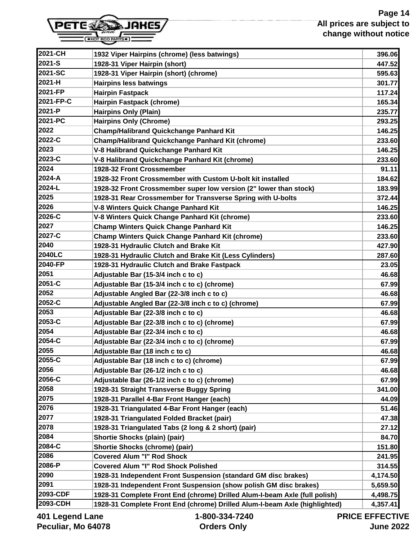# **Page 14 All prices are subject to change without notice**



| 1932 Viper Hairpins (chrome) (less batwings)                               | 396.06   |
|----------------------------------------------------------------------------|----------|
| 1928-31 Viper Hairpin (short)                                              | 447.52   |
| 1928-31 Viper Hairpin (short) (chrome)                                     | 595.63   |
| <b>Hairpins less batwings</b>                                              | 301.77   |
| <b>Hairpin Fastpack</b>                                                    | 117.24   |
| Hairpin Fastpack (chrome)                                                  | 165.34   |
| <b>Hairpins Only (Plain)</b>                                               | 235.77   |
| <b>Hairpins Only (Chrome)</b>                                              | 293.25   |
| <b>Champ/Halibrand Quickchange Panhard Kit</b>                             | 146.25   |
| <b>Champ/Halibrand Quickchange Panhard Kit (chrome)</b>                    | 233.60   |
| V-8 Halibrand Quickchange Panhard Kit                                      | 146.25   |
| V-8 Halibrand Quickchange Panhard Kit (chrome)                             | 233.60   |
| 1928-32 Front Crossmember                                                  | 91.11    |
| 1928-32 Front Crossmember with Custom U-bolt kit installed                 | 184.62   |
| 1928-32 Front Crossmember super low version (2" lower than stock)          | 183.99   |
| 1928-31 Rear Crossmember for Transverse Spring with U-bolts                | 372.44   |
| V-8 Winters Quick Change Panhard Kit                                       | 146.25   |
| V-8 Winters Quick Change Panhard Kit (chrome)                              | 233.60   |
| <b>Champ Winters Quick Change Panhard Kit</b>                              | 146.25   |
| <b>Champ Winters Quick Change Panhard Kit (chrome)</b>                     | 233.60   |
| 1928-31 Hydraulic Clutch and Brake Kit                                     | 427.90   |
| 1928-31 Hydraulic Clutch and Brake Kit (Less Cylinders)                    | 287.60   |
| 1928-31 Hydraulic Clutch and Brake Fastpack                                | 23.05    |
| Adjustable Bar (15-3/4 inch c to c)                                        | 46.68    |
| Adjustable Bar (15-3/4 inch c to c) (chrome)                               | 67.99    |
| Adjustable Angled Bar (22-3/8 inch c to c)                                 | 46.68    |
| Adjustable Angled Bar (22-3/8 inch c to c) (chrome)                        | 67.99    |
| Adjustable Bar (22-3/8 inch c to c)                                        | 46.68    |
| Adjustable Bar (22-3/8 inch c to c) (chrome)                               | 67.99    |
| Adjustable Bar (22-3/4 inch c to c)                                        | 46.68    |
| Adjustable Bar (22-3/4 inch c to c) (chrome)                               | 67.99    |
| Adjustable Bar (18 inch c to c)                                            | 46.68    |
| Adjustable Bar (18 inch c to c) (chrome)                                   | 67.99    |
| Adjustable Bar (26-1/2 inch c to c)                                        | 46.68    |
| Adjustable Bar (26-1/2 inch c to c) (chrome)                               | 67.99    |
| 1928-31 Straight Transverse Buggy Spring                                   | 341.00   |
| 1928-31 Parallel 4-Bar Front Hanger (each)                                 | 44.09    |
| 1928-31 Triangulated 4-Bar Front Hanger (each)                             | 51.46    |
| 1928-31 Triangulated Folded Bracket (pair)                                 | 47.38    |
| 1928-31 Triangulated Tabs (2 long & 2 short) (pair)                        | 27.12    |
| Shortie Shocks (plain) (pair)                                              | 84.70    |
| <b>Shortie Shocks (chrome) (pair)</b>                                      | 151.80   |
| <b>Covered Alum "I" Rod Shock</b>                                          | 241.95   |
| <b>Covered Alum "I" Rod Shock Polished</b>                                 | 314.55   |
| 1928-31 Independent Front Suspension (standard GM disc brakes)             | 4,174.50 |
| 1928-31 Independent Front Suspension (show polish GM disc brakes)          | 5,659.50 |
| 1928-31 Complete Front End (chrome) Drilled Alum-I-beam Axle (full polish) | 4,498.75 |
| 1928-31 Complete Front End (chrome) Drilled Alum-I-beam Axle (highlighted) | 4,357.41 |
|                                                                            |          |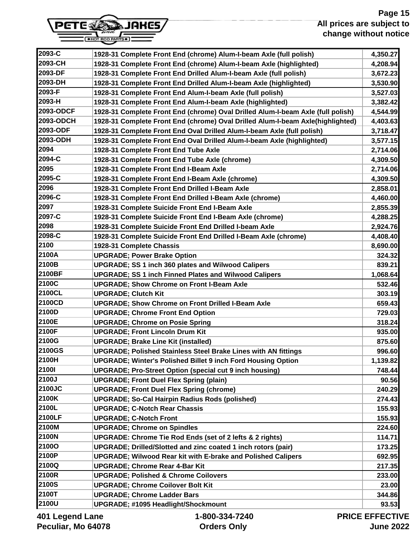# **Page 15 All prices are subject to change without notice**



| 2093-C       | 1928-31 Complete Front End (chrome) Alum-I-beam Axle (full polish)              | 4,350.27       |
|--------------|---------------------------------------------------------------------------------|----------------|
| 2093-CH      | 1928-31 Complete Front End (chrome) Alum-I-beam Axle (highlighted)              | 4,208.94       |
| 2093-DF      | 1928-31 Complete Front End Drilled Alum-I-beam Axle (full polish)               | 3,672.23       |
| 2093-DH      | 1928-31 Complete Front End Drilled Alum-I-beam Axle (highlighted)               | 3,530.90       |
| 2093-F       | 1928-31 Complete Front End Alum-I-beam Axle (full polish)                       | 3,527.03       |
| 2093-H       | 1928-31 Complete Front End Alum-I-beam Axle (highlighted)                       | 3,382.42       |
| 2093-ODCF    | 1928-31 Complete Front End (chrome) Oval Drilled Alum-I-beam Axle (full polish) | 4,544.99       |
| 2093-ODCH    | 1928-31 Complete Front End (chrome) Oval Drilled Alum-I-beam Axle(highlighted)  | 4,403.63       |
| 2093-ODF     | 1928-31 Complete Front End Oval Drilled Alum-I-beam Axle (full polish)          | 3,718.47       |
| 2093-ODH     | 1928-31 Complete Front End Oval Drilled Alum-I-beam Axle (highlighted)          | 3,577.15       |
| 2094         | 1928-31 Complete Front End Tube Axle                                            | 2,714.06       |
| 2094-C       | 1928-31 Complete Front End Tube Axle (chrome)                                   | 4,309.50       |
| 2095         | 1928-31 Complete Front End I-Beam Axle                                          | 2,714.06       |
| 2095-C       | 1928-31 Complete Front End I-Beam Axle (chrome)                                 | 4,309.50       |
| 2096         | 1928-31 Complete Front End Drilled I-Beam Axle                                  | 2,858.01       |
| 2096-C       | 1928-31 Complete Front End Drilled I-Beam Axle (chrome)                         | 4,460.00       |
| 2097         | 1928-31 Complete Suicide Front End I-Beam Axle                                  | 2,855.39       |
| 2097-C       | 1928-31 Complete Suicide Front End I-Beam Axle (chrome)                         | 4,288.25       |
| 2098         | 1928-31 Complete Suicide Front End Drilled I-beam Axle                          | 2,924.76       |
| 2098-C       | 1928-31 Complete Suicide Front End Drilled I-Beam Axle (chrome)                 | 4,408.40       |
| 2100         | 1928-31 Complete Chassis                                                        | 8,690.00       |
| 2100A        | <b>UPGRADE; Power Brake Option</b>                                              | 324.32         |
| 2100B        | <b>UPGRADE; SS 1 inch 360 plates and Wilwood Calipers</b>                       | 839.21         |
| 2100BF       | <b>UPGRADE; SS 1 inch Finned Plates and Wilwood Calipers</b>                    | 1,068.64       |
| 2100C        | <b>UPGRADE; Show Chrome on Front I-Beam Axle</b>                                | 532.46         |
| 2100CL       | <b>UPGRADE; Clutch Kit</b>                                                      | 303.19         |
| 2100CD       | <b>UPGRADE; Show Chrome on Front Drilled I-Beam Axle</b>                        | 659.43         |
| 2100D        | <b>UPGRADE; Chrome Front End Option</b>                                         | 729.03         |
| 2100E        | <b>UPGRADE; Chrome on Posie Spring</b>                                          | 318.24         |
| 2100F        | <b>UPGRADE; Front Lincoln Drum Kit</b>                                          | 935.00         |
| 2100G        | <b>UPGRADE; Brake Line Kit (installed)</b>                                      | 875.60         |
| 2100GS       | <b>UPGRADE; Polished Stainless Steel Brake Lines with AN fittings</b>           | 996.60         |
| 2100H        | <b>UPGRADE; Winter's Polished Billet 9 inch Ford Housing Option</b>             | 1,139.82       |
| <b>21001</b> | <b>UPGRADE: Pro-Street Option (special cut 9 inch housing)</b>                  | 748.44         |
| 2100J        | <b>UPGRADE; Front Duel Flex Spring (plain)</b>                                  | 90.56          |
| 2100JC       | <b>UPGRADE; Front Duel Flex Spring (chrome)</b>                                 | 240.29         |
| 2100K        | <b>UPGRADE; So-Cal Hairpin Radius Rods (polished)</b>                           | 274.43         |
| 2100L        | <b>UPGRADE; C-Notch Rear Chassis</b>                                            | 155.93         |
| 2100LF       | <b>UPGRADE; C-Notch Front</b>                                                   | 155.93         |
| 2100M        | <b>UPGRADE; Chrome on Spindles</b>                                              | 224.60         |
| 2100N        | <b>UPGRADE: Chrome Tie Rod Ends (set of 2 lefts &amp; 2 rights)</b>             | 114.71         |
| <b>21000</b> | <b>UPGRADE; Drilled/Slotted and zinc coated 1 inch rotors (pair)</b>            | 173.25         |
| 2100P        | <b>UPGRADE; Wilwood Rear kit with E-brake and Polished Calipers</b>             | 692.95         |
| 2100Q        | <b>UPGRADE; Chrome Rear 4-Bar Kit</b>                                           | 217.35         |
| 2100R        | <b>UPGRADE; Polished &amp; Chrome Coilovers</b>                                 | 233.00         |
| 2100S        | <b>UPGRADE; Chrome Coilover Bolt Kit</b>                                        | 23.00          |
| 2100T        | <b>UPGRADE: Chrome Ladder Bars</b>                                              | 344.86         |
| 2100U        | <b>UPGRADE; #1095 Headlight/Shockmount</b>                                      | 93.53          |
| 40.          | 00.001.7010                                                                     | NNIAF FFFFATIL |

**401 Legend Lane Peculiar, Mo 64078**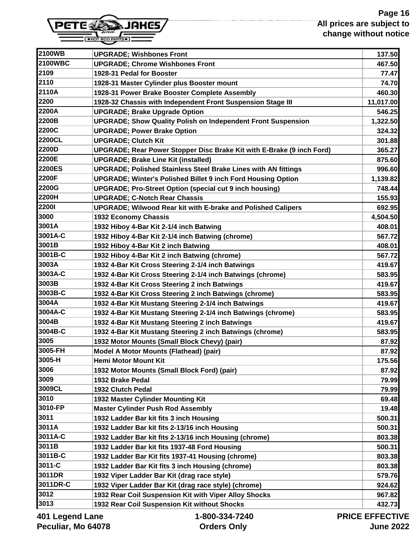

| 2100WB         | <b>UPGRADE; Wishbones Front</b>                                       | 137.50         |
|----------------|-----------------------------------------------------------------------|----------------|
| <b>2100WBC</b> | <b>UPGRADE: Chrome Wishbones Front</b>                                | 467.50         |
| 2109           | 1928-31 Pedal for Booster                                             | 77.47          |
| 2110           | 1928-31 Master Cylinder plus Booster mount                            | 74.70          |
| 2110A          | 1928-31 Power Brake Booster Complete Assembly                         | 460.30         |
| 2200           | 1928-32 Chassis with Independent Front Suspension Stage III           | 11,017.00      |
| 2200A          | <b>UPGRADE; Brake Upgrade Option</b>                                  | 546.25         |
| 2200B          | <b>UPGRADE; Show Quality Polish on Independent Front Suspension</b>   | 1,322.50       |
| 2200C          | <b>UPGRADE; Power Brake Option</b>                                    | 324.32         |
| 2200CL         | <b>UPGRADE; Clutch Kit</b>                                            | 301.88         |
| 2200D          | UPGRADE; Rear Power Stopper Disc Brake Kit with E-Brake (9 inch Ford) | 365.27         |
| 2200E          | <b>UPGRADE; Brake Line Kit (installed)</b>                            | 875.60         |
| <b>2200ES</b>  | <b>UPGRADE; Polished Stainless Steel Brake Lines with AN fittings</b> | 996.60         |
| 2200F          | <b>UPGRADE; Winter's Polished Billet 9 inch Ford Housing Option</b>   | 1,139.82       |
| 2200G          | <b>UPGRADE: Pro-Street Option (special cut 9 inch housing)</b>        | 748.44         |
| 2200H          | <b>UPGRADE: C-Notch Rear Chassis</b>                                  | 155.93         |
| 22001          | <b>UPGRADE; Wilwood Rear kit with E-brake and Polished Calipers</b>   | 692.95         |
| 3000           | 1932 Economy Chassis                                                  | 4,504.50       |
| 3001A          | 1932 Hiboy 4-Bar Kit 2-1/4 inch Batwing                               | 408.01         |
| 3001A-C        | 1932 Hiboy 4-Bar Kit 2-1/4 inch Batwing (chrome)                      | 567.72         |
| 3001B          | 1932 Hiboy 4-Bar Kit 2 inch Batwing                                   | 408.01         |
| 3001B-C        | 1932 Hiboy 4-Bar Kit 2 inch Batwing (chrome)                          | 567.72         |
| 3003A          | 1932 4-Bar Kit Cross Steering 2-1/4 inch Batwings                     | 419.67         |
| 3003A-C        | 1932 4-Bar Kit Cross Steering 2-1/4 inch Batwings (chrome)            | 583.95         |
| 3003B          | 1932 4-Bar Kit Cross Steering 2 inch Batwings                         | 419.67         |
| 3003B-C        | 1932 4-Bar Kit Cross Steering 2 inch Batwings (chrome)                | 583.95         |
| 3004A          | 1932 4-Bar Kit Mustang Steering 2-1/4 inch Batwings                   | 419.67         |
| 3004A-C        | 1932 4-Bar Kit Mustang Steering 2-1/4 inch Batwings (chrome)          | 583.95         |
| 3004B          | 1932 4-Bar Kit Mustang Steering 2 inch Batwings                       | 419.67         |
| 3004B-C        | 1932 4-Bar Kit Mustang Steering 2 inch Batwings (chrome)              | 583.95         |
| 3005           | 1932 Motor Mounts (Small Block Chevy) (pair)                          | 87.92          |
| 3005-FH        | Model A Motor Mounts (Flathead) (pair)                                | 87.92          |
| 3005-H         | <b>Hemi Motor Mount Kit</b>                                           | 175.56         |
| 3006           | 1932 Motor Mounts (Small Block Ford) (pair)                           | 87.92          |
| 3009           | 1932 Brake Pedal                                                      | 79.99          |
| 3009CL         | 1932 Clutch Pedal                                                     | 79.99          |
| 3010           | 1932 Master Cylinder Mounting Kit                                     | 69.48          |
| 3010-FP        | <b>Master Cylinder Push Rod Assembly</b>                              | 19.48          |
| 3011           | 1932 Ladder Bar kit fits 3 inch Housing                               | 500.31         |
| 3011A          | 1932 Ladder Bar kit fits 2-13/16 inch Housing                         | 500.31         |
| 3011A-C        | 1932 Ladder Bar kit fits 2-13/16 inch Housing (chrome)                | 803.38         |
| 3011B          | 1932 Ladder Bar kit fits 1937-48 Ford Housing                         | 500.31         |
| 3011B-C        | 1932 Ladder Bar Kit fits 1937-41 Housing (chrome)                     | 803.38         |
| 3011-C         | 1932 Ladder Bar Kit fits 3 inch Housing (chrome)                      | 803.38         |
| 3011DR         | 1932 Viper Ladder Bar Kit (drag race style)                           | 579.76         |
| 3011DR-C       | 1932 Viper Ladder Bar Kit (drag race style) (chrome)                  | 924.62         |
| 3012           | 1932 Rear Coil Suspension Kit with Viper Alloy Shocks                 | 967.82         |
| 3013           | 1932 Rear Coil Suspension Kit without Shocks                          | 432.73         |
| <i>ANA</i> I   | 1.000.221.7010                                                        | DDIAF FFFFATIV |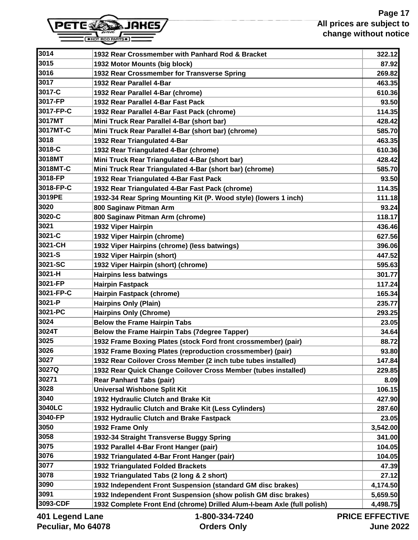

| 3014              | 1932 Rear Crossmember with Panhard Rod & Bracket                        | 322.12               |
|-------------------|-------------------------------------------------------------------------|----------------------|
| 3015              | 1932 Motor Mounts (big block)                                           | 87.92                |
| 3016              | 1932 Rear Crossmember for Transverse Spring                             | 269.82               |
| 3017              | 1932 Rear Parallel 4-Bar                                                | 463.35               |
| 3017-C            | 1932 Rear Parallel 4-Bar (chrome)                                       | 610.36               |
| 3017-FP           | 1932 Rear Parallel 4-Bar Fast Pack                                      | 93.50                |
| 3017-FP-C         | 1932 Rear Parallel 4-Bar Fast Pack (chrome)                             | 114.35               |
| 3017MT            | Mini Truck Rear Parallel 4-Bar (short bar)                              | 428.42               |
| 3017MT-C          | Mini Truck Rear Parallel 4-Bar (short bar) (chrome)                     | 585.70               |
| 3018              | 1932 Rear Triangulated 4-Bar                                            | 463.35               |
| 3018-C            | 1932 Rear Triangulated 4-Bar (chrome)                                   | 610.36               |
| 3018MT            | Mini Truck Rear Triangulated 4-Bar (short bar)                          | 428.42               |
| 3018MT-C          | Mini Truck Rear Triangulated 4-Bar (short bar) (chrome)                 | 585.70               |
| 3018-FP           | 1932 Rear Triangulated 4-Bar Fast Pack                                  | 93.50                |
| 3018-FP-C         | 1932 Rear Triangulated 4-Bar Fast Pack (chrome)                         | 114.35               |
| 3019PE            | 1932-34 Rear Spring Mounting Kit (P. Wood style) (lowers 1 inch)        | 111.18               |
| 3020              | 800 Saginaw Pitman Arm                                                  | 93.24                |
| 3020-C            | 800 Saginaw Pitman Arm (chrome)                                         | 118.17               |
| 3021              | 1932 Viper Hairpin                                                      | 436.46               |
| 3021-C            | 1932 Viper Hairpin (chrome)                                             | 627.56               |
| 3021-CH           | 1932 Viper Hairpins (chrome) (less batwings)                            | 396.06               |
| 3021-S            | 1932 Viper Hairpin (short)                                              | 447.52               |
| 3021-SC           | 1932 Viper Hairpin (short) (chrome)                                     | 595.63               |
| 3021-H            | <b>Hairpins less batwings</b>                                           | 301.77               |
| 3021-FP           | <b>Hairpin Fastpack</b>                                                 | 117.24               |
| 3021-FP-C         | <b>Hairpin Fastpack (chrome)</b>                                        | 165.34               |
| 3021-P            | <b>Hairpins Only (Plain)</b>                                            | 235.77               |
| 3021-PC           | <b>Hairpins Only (Chrome)</b>                                           | 293.25               |
| 3024              | <b>Below the Frame Hairpin Tabs</b>                                     | 23.05                |
| 3024T             | <b>Below the Frame Hairpin Tabs (7degree Tapper)</b>                    | 34.64                |
| 3025              | 1932 Frame Boxing Plates (stock Ford front crossmember) (pair)          | 88.72                |
| 3026              | 1932 Frame Boxing Plates (reproduction crossmember) (pair)              | 93.80                |
| 3027              | 1932 Rear Coilover Cross Member (2 inch tube tubes installed)           | 147.84               |
| 3027Q             | 1932 Rear Quick Change Coilover Cross Member (tubes installed)          | 229.85               |
| 30271             | <b>Rear Panhard Tabs (pair)</b>                                         | 8.09                 |
| 3028              | <b>Universal Wishbone Split Kit</b>                                     | 106.15               |
| 3040              | 1932 Hydraulic Clutch and Brake Kit                                     | 427.90               |
| 3040LC            | 1932 Hydraulic Clutch and Brake Kit (Less Cylinders)                    | 287.60               |
| 3040-FP           | 1932 Hydraulic Clutch and Brake Fastpack                                | 23.05                |
| 3050              | 1932 Frame Only                                                         | 3,542.00             |
| 3058              | 1932-34 Straight Transverse Buggy Spring                                | 341.00               |
| 3075              | 1932 Parallel 4-Bar Front Hanger (pair)                                 | 104.05               |
| 3076              | 1932 Triangulated 4-Bar Front Hanger (pair)                             | 104.05               |
| 3077              | <b>1932 Triangulated Folded Brackets</b>                                | 47.39                |
| 3078              | 1932 Triangulated Tabs (2 long & 2 short)                               | 27.12                |
| 3090              | 1932 Independent Front Suspension (standard GM disc brakes)             | 4,174.50             |
| 3091              | 1932 Independent Front Suspension (show polish GM disc brakes)          | 5,659.50             |
| 3093-CDF          | 1932 Complete Front End (chrome) Drilled Alum-I-beam Axle (full polish) | 4,498.75             |
| ans I bnana I ffl | 1-800-334-7240                                                          | <b>PRICE FFFFCTI</b> |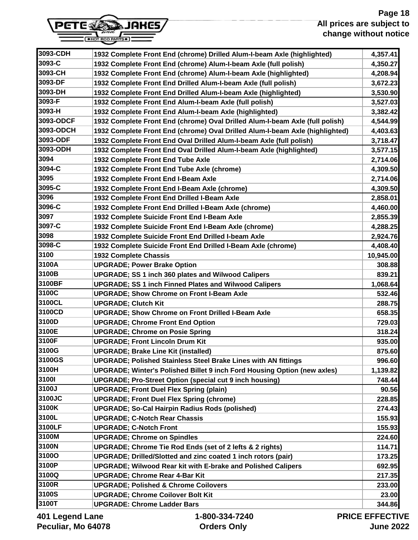

| 3093-C        | 1932 Complete Front End (chrome) Alum-I-beam Axle (full polish)              | 4,350.27  |
|---------------|------------------------------------------------------------------------------|-----------|
| 3093-CH       | 1932 Complete Front End (chrome) Alum-I-beam Axle (highlighted)              | 4,208.94  |
| 3093-DF       | 1932 Complete Front End Drilled Alum-I-beam Axle (full polish)               | 3,672.23  |
| 3093-DH       | 1932 Complete Front End Drilled Alum-I-beam Axle (highlighted)               | 3,530.90  |
| 3093-F        | 1932 Complete Front End Alum-I-beam Axle (full polish)                       | 3,527.03  |
| 3093-H        | 1932 Complete Front End Alum-I-beam Axle (highlighted)                       | 3,382.42  |
| 3093-ODCF     | 1932 Complete Front End (chrome) Oval Drilled Alum-I-beam Axle (full polish) | 4,544.99  |
| 3093-ODCH     | 1932 Complete Front End (chrome) Oval Drilled Alum-I-beam Axle (highlighted) | 4,403.63  |
| 3093-ODF      | 1932 Complete Front End Oval Drilled Alum-I-beam Axle (full polish)          | 3,718.47  |
| 3093-ODH      | 1932 Complete Front End Oval Drilled Alum-I-beam Axle (highlighted)          | 3,577.15  |
| 3094          | 1932 Complete Front End Tube Axle                                            | 2,714.06  |
| 3094-C        | 1932 Complete Front End Tube Axle (chrome)                                   | 4,309.50  |
| 3095          | 1932 Complete Front End I-Beam Axle                                          | 2,714.06  |
| 3095-C        | 1932 Complete Front End I-Beam Axle (chrome)                                 | 4,309.50  |
| 3096          | 1932 Complete Front End Drilled I-Beam Axle                                  | 2,858.01  |
| 3096-C        | 1932 Complete Front End Drilled I-Beam Axle (chrome)                         | 4,460.00  |
| 3097          | 1932 Complete Suicide Front End I-Beam Axle                                  | 2,855.39  |
| 3097-C        | 1932 Complete Suicide Front End I-Beam Axle (chrome)                         | 4,288.25  |
| 3098          | 1932 Complete Suicide Front End Drilled I-beam Axle                          | 2,924.76  |
| 3098-C        | 1932 Complete Suicide Front End Drilled I-Beam Axle (chrome)                 | 4,408.40  |
| 3100          | <b>1932 Complete Chassis</b>                                                 | 10,945.00 |
| 3100A         | <b>UPGRADE; Power Brake Option</b>                                           | 308.88    |
| 3100B         | <b>UPGRADE; SS 1 inch 360 plates and Wilwood Calipers</b>                    | 839.21    |
| 3100BF        | <b>UPGRADE; SS 1 inch Finned Plates and Wilwood Calipers</b>                 | 1,068.64  |
| 3100C         | <b>UPGRADE; Show Chrome on Front I-Beam Axle</b>                             | 532.46    |
| 3100CL        | <b>UPGRADE; Clutch Kit</b>                                                   | 288.75    |
| 3100CD        | <b>UPGRADE; Show Chrome on Front Drilled I-Beam Axle</b>                     | 658.35    |
| 3100D         | <b>UPGRADE; Chrome Front End Option</b>                                      | 729.03    |
| 3100E         | <b>UPGRADE; Chrome on Posie Spring</b>                                       | 318.24    |
| 3100F         | <b>UPGRADE: Front Lincoln Drum Kit</b>                                       | 935.00    |
| 3100G         | <b>UPGRADE; Brake Line Kit (installed)</b>                                   | 875.60    |
| 3100GS        | <b>UPGRADE; Polished Stainless Steel Brake Lines with AN fittings</b>        | 996.60    |
| 3100H         | UPGRADE; Winter's Polished Billet 9 inch Ford Housing Option (new axles)     | 1,139.82  |
| 3100I         | <b>UPGRADE; Pro-Street Option (special cut 9 inch housing)</b>               | 748.44    |
| 3100J         | <b>UPGRADE; Front Duel Flex Spring (plain)</b>                               | 90.56     |
| <b>3100JC</b> | <b>UPGRADE; Front Duel Flex Spring (chrome)</b>                              | 228.85    |
| 3100K         | <b>UPGRADE; So-Cal Hairpin Radius Rods (polished)</b>                        | 274.43    |
| 3100L         | <b>UPGRADE; C-Notch Rear Chassis</b>                                         | 155.93    |
| 3100LF        | <b>UPGRADE; C-Notch Front</b>                                                | 155.93    |
| 3100M         | <b>UPGRADE; Chrome on Spindles</b>                                           | 224.60    |
| 3100N         | <b>UPGRADE; Chrome Tie Rod Ends (set of 2 lefts &amp; 2 rights)</b>          | 114.71    |
| 3100O         | UPGRADE; Drilled/Slotted and zinc coated 1 inch rotors (pair)                | 173.25    |
| 3100P         | <b>UPGRADE; Wilwood Rear kit with E-brake and Polished Calipers</b>          | 692.95    |
| 3100Q         | <b>UPGRADE; Chrome Rear 4-Bar Kit</b>                                        | 217.35    |
| 3100R         | <b>UPGRADE; Polished &amp; Chrome Coilovers</b>                              | 233.00    |
| 3100S         | <b>UPGRADE; Chrome Coilover Bolt Kit</b>                                     | 23.00     |
| 3100T         | <b>UPGRADE: Chrome Ladder Bars</b>                                           | 344.86    |

**3093-CDH 1932 Complete Front End (chrome) Drilled Alum-I-beam Axle (highlighted) 4,357.41**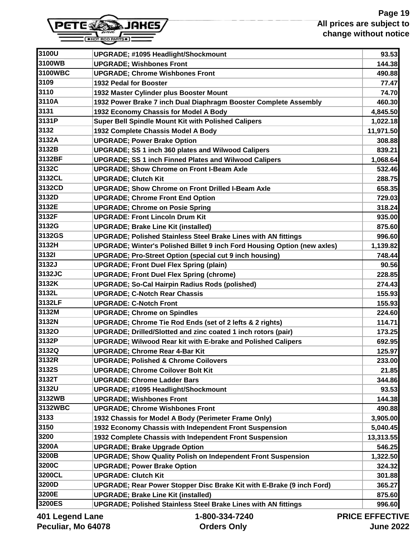

| 3100WB            | <b>UPGRADE; #1095 Headlight/Shockmount</b><br><b>UPGRADE; Wishbones Front</b> | 93.53<br>144.38       |
|-------------------|-------------------------------------------------------------------------------|-----------------------|
| 3100WBC           | <b>UPGRADE; Chrome Wishbones Front</b>                                        | 490.88                |
| 3109              | 1932 Pedal for Booster                                                        | 77.47                 |
| 3110              | 1932 Master Cylinder plus Booster Mount                                       | 74.70                 |
| 3110A             | 1932 Power Brake 7 inch Dual Diaphragm Booster Complete Assembly              | 460.30                |
| 3131              | 1932 Economy Chassis for Model A Body                                         | 4,845.50              |
| 3131P             | Super Bell Spindle Mount Kit with Polished Calipers                           | 1,022.18              |
| 3132              | 1932 Complete Chassis Model A Body                                            | 11,971.50             |
| 3132A             | <b>UPGRADE; Power Brake Option</b>                                            | 308.88                |
| 3132B             | <b>UPGRADE; SS 1 inch 360 plates and Wilwood Calipers</b>                     | 839.21                |
| 3132BF            | <b>UPGRADE; SS 1 inch Finned Plates and Wilwood Calipers</b>                  | 1,068.64              |
| 3132C             | <b>UPGRADE; Show Chrome on Front I-Beam Axle</b>                              | 532.46                |
| 3132CL            | <b>UPGRADE; Clutch Kit</b>                                                    | 288.75                |
| 3132CD            | <b>UPGRADE: Show Chrome on Front Drilled I-Beam Axle</b>                      | 658.35                |
| 3132D             | <b>UPGRADE: Chrome Front End Option</b>                                       | 729.03                |
| 3132E             | <b>UPGRADE; Chrome on Posie Spring</b>                                        | 318.24                |
| 3132F             | <b>UPGRADE: Front Lincoln Drum Kit</b>                                        | 935.00                |
| 3132G             | <b>UPGRADE; Brake Line Kit (installed)</b>                                    | 875.60                |
| 3132GS            | <b>UPGRADE; Polished Stainless Steel Brake Lines with AN fittings</b>         | 996.60                |
| 3132H             | UPGRADE; Winter's Polished Billet 9 inch Ford Housing Option (new axles)      | 1,139.82              |
| <b>31321</b>      | <b>UPGRADE; Pro-Street Option (special cut 9 inch housing)</b>                | 748.44                |
| 3132J             | <b>UPGRADE; Front Duel Flex Spring (plain)</b>                                | 90.56                 |
| 3132JC            | <b>UPGRADE; Front Duel Flex Spring (chrome)</b>                               | 228.85                |
| 3132K             | <b>UPGRADE; So-Cal Hairpin Radius Rods (polished)</b>                         | 274.43                |
| 3132L             | <b>UPGRADE; C-Notch Rear Chassis</b>                                          | 155.93                |
| 3132LF            | <b>UPGRADE: C-Notch Front</b>                                                 | 155.93                |
| 3132M             | <b>UPGRADE; Chrome on Spindles</b>                                            | 224.60                |
| 3132N             | UPGRADE; Chrome Tie Rod Ends (set of 2 lefts & 2 rights)                      | 114.71                |
| 31320             | UPGRADE; Drilled/Slotted and zinc coated 1 inch rotors (pair)                 | 173.25                |
| 3132P             | <b>UPGRADE; Wilwood Rear kit with E-brake and Polished Calipers</b>           | 692.95                |
| 3132Q             | <b>UPGRADE; Chrome Rear 4-Bar Kit</b>                                         | 125.97                |
| 3132R             | <b>UPGRADE: Polished &amp; Chrome Coilovers</b>                               | 233.00                |
| 3132S             | <b>UPGRADE: Chrome Coilover Bolt Kit</b>                                      | 21.85                 |
| 3132T             | <b>UPGRADE: Chrome Ladder Bars</b>                                            | 344.86                |
| 3132U             | <b>UPGRADE; #1095 Headlight/Shockmount</b>                                    | 93.53                 |
| 3132WB            | <b>UPGRADE; Wishbones Front</b>                                               | 144.38                |
| 3132WBC           | <b>UPGRADE; Chrome Wishbones Front</b>                                        | 490.88                |
| 3133              | 1932 Chassis for Model A Body (Perimeter Frame Only)                          | 3,905.00              |
| 3150              | 1932 Economy Chassis with Independent Front Suspension                        | 5,040.45              |
| 3200              | 1932 Complete Chassis with Independent Front Suspension                       | 13,313.55             |
| 3200A             | <b>UPGRADE; Brake Upgrade Option</b>                                          | 546.25                |
| 3200B             | <b>UPGRADE; Show Quality Polish on Independent Front Suspension</b>           | 1,322.50              |
| 3200C             | <b>UPGRADE; Power Brake Option</b>                                            | 324.32                |
| 3200CL            | <b>UPGRADE: Clutch Kit</b>                                                    | 301.88                |
| 3200D             | UPGRADE; Rear Power Stopper Disc Brake Kit with E-Brake (9 inch Ford)         | 365.27                |
| 3200E             | <b>UPGRADE; Brake Line Kit (installed)</b>                                    | 875.60                |
| 3200ES            | <b>UPGRADE; Polished Stainless Steel Brake Lines with AN fittings</b>         | 996.60                |
| ang I bagpa I 10A | $1 - 800 - 334 - 7240$                                                        | <b>PRICE EFFECTIV</b> |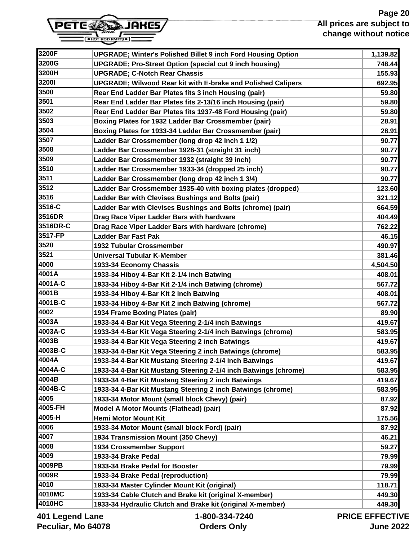# **Page 20 All prices are subject to change without notice**



| 3200F    | <b>UPGRADE; Winter's Polished Billet 9 inch Ford Housing Option</b> | 1,139.82       |
|----------|---------------------------------------------------------------------|----------------|
| 3200G    | <b>UPGRADE: Pro-Street Option (special cut 9 inch housing)</b>      | 748.44         |
| 3200H    | <b>UPGRADE; C-Notch Rear Chassis</b>                                | 155.93         |
| 32001    | <b>UPGRADE; Wilwood Rear kit with E-brake and Polished Calipers</b> | 692.95         |
| 3500     | Rear End Ladder Bar Plates fits 3 inch Housing (pair)               | 59.80          |
| 3501     | Rear End Ladder Bar Plates fits 2-13/16 inch Housing (pair)         | 59.80          |
| 3502     | Rear End Ladder Bar Plates fits 1937-48 Ford Housing (pair)         | 59.80          |
| 3503     | Boxing Plates for 1932 Ladder Bar Crossmember (pair)                | 28.91          |
| 3504     | Boxing Plates for 1933-34 Ladder Bar Crossmember (pair)             | 28.91          |
| 3507     | Ladder Bar Crossmember (long drop 42 inch 1 1/2)                    | 90.77          |
| 3508     | Ladder Bar Crossmember 1928-31 (straight 31 inch)                   | 90.77          |
| 3509     | Ladder Bar Crossmember 1932 (straight 39 inch)                      | 90.77          |
| 3510     | Ladder Bar Crossmember 1933-34 (dropped 25 inch)                    | 90.77          |
| 3511     | Ladder Bar Crossmember (long drop 42 inch 1 3/4)                    | 90.77          |
| 3512     | Ladder Bar Crossmember 1935-40 with boxing plates (dropped)         | 123.60         |
| 3516     | Ladder Bar with Clevises Bushings and Bolts (pair)                  | 321.12         |
| 3516-C   | Ladder Bar with Clevises Bushings and Bolts (chrome) (pair)         | 664.59         |
| 3516DR   | Drag Race Viper Ladder Bars with hardware                           | 404.49         |
| 3516DR-C | Drag Race Viper Ladder Bars with hardware (chrome)                  | 762.22         |
| 3517-FP  | <b>Ladder Bar Fast Pak</b>                                          | 46.15          |
| 3520     | <b>1932 Tubular Crossmember</b>                                     | 490.97         |
| 3521     | <b>Universal Tubular K-Member</b>                                   | 381.46         |
| 4000     | 1933-34 Economy Chassis                                             | 4,504.50       |
| 4001A    | 1933-34 Hiboy 4-Bar Kit 2-1/4 inch Batwing                          | 408.01         |
| 4001A-C  | 1933-34 Hiboy 4-Bar Kit 2-1/4 inch Batwing (chrome)                 | 567.72         |
| 4001B    | 1933-34 Hiboy 4-Bar Kit 2 inch Batwing                              | 408.01         |
| 4001B-C  | 1933-34 Hiboy 4-Bar Kit 2 inch Batwing (chrome)                     | 567.72         |
| 4002     | 1934 Frame Boxing Plates (pair)                                     | 89.90          |
| 4003A    | 1933-34 4-Bar Kit Vega Steering 2-1/4 inch Batwings                 | 419.67         |
| 4003A-C  | 1933-34 4-Bar Kit Vega Steering 2-1/4 inch Batwings (chrome)        | 583.95         |
| 4003B    | 1933-34 4-Bar Kit Vega Steering 2 inch Batwings                     | 419.67         |
| 4003B-C  | 1933-34 4-Bar Kit Vega Steering 2 inch Batwings (chrome)            | 583.95         |
| 4004A    | 1933-34 4-Bar Kit Mustang Steering 2-1/4 inch Batwings              | 419.67         |
| 4004A-C  | 1933-34 4-Bar Kit Mustang Steering 2-1/4 inch Batwings (chrome)     | 583.95         |
| 4004B    | 1933-34 4-Bar Kit Mustang Steering 2 inch Batwings                  | 419.67         |
| 4004B-C  | 1933-34 4-Bar Kit Mustang Steering 2 inch Batwings (chrome)         | 583.95         |
| 4005     | 1933-34 Motor Mount (small block Chevy) (pair)                      | 87.92          |
| 4005-FH  | Model A Motor Mounts (Flathead) (pair)                              | 87.92          |
| 4005-H   | <b>Hemi Motor Mount Kit</b>                                         | 175.56         |
| 4006     | 1933-34 Motor Mount (small block Ford) (pair)                       | 87.92          |
| 4007     | 1934 Transmission Mount (350 Chevy)                                 | 46.21          |
| 4008     | 1934 Crossmember Support                                            | 59.27          |
| 4009     | 1933-34 Brake Pedal                                                 | 79.99          |
| 4009PB   | 1933-34 Brake Pedal for Booster                                     | 79.99          |
| 4009R    | 1933-34 Brake Pedal (reproduction)                                  | 79.99          |
| 4010     | 1933-34 Master Cylinder Mount Kit (original)                        | 118.71         |
| 4010MC   | 1933-34 Cable Clutch and Brake kit (original X-member)              | 449.30         |
| 4010HC   | 1933-34 Hydraulic Clutch and Brake kit (original X-member)          | 449.30         |
|          | 000 001 7010                                                        | BBIAF FFFFATIV |

**401 Legend Lane Peculiar, Mo 64078**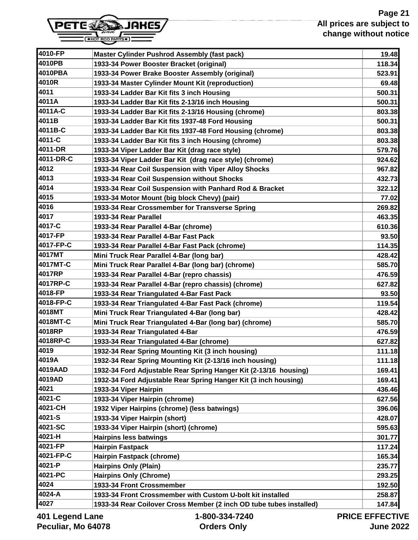

| 4010-FP         | <b>Master Cylinder Pushrod Assembly (fast pack)</b>                 | 19.48                 |
|-----------------|---------------------------------------------------------------------|-----------------------|
| 4010PB          | 1933-34 Power Booster Bracket (original)                            | 118.34                |
| 4010PBA         | 1933-34 Power Brake Booster Assembly (original)                     | 523.91                |
| 4010R           | 1933-34 Master Cylinder Mount Kit (reproduction)                    | 69.48                 |
| 4011            | 1933-34 Ladder Bar Kit fits 3 inch Housing                          | 500.31                |
| 4011A           | 1933-34 Ladder Bar Kit fits 2-13/16 inch Housing                    | 500.31                |
| 4011A-C         | 1933-34 Ladder Bar Kit fits 2-13/16 Housing (chrome)                | 803.38                |
| 4011B           | 1933-34 Ladder Bar Kit fits 1937-48 Ford Housing                    | 500.31                |
| 4011B-C         | 1933-34 Ladder Bar Kit fits 1937-48 Ford Housing (chrome)           | 803.38                |
| 4011-C          | 1933-34 Ladder Bar Kit fits 3 inch Housing (chrome)                 | 803.38                |
| 4011-DR         | 1933-34 Viper Ladder Bar Kit (drag race style)                      | 579.76                |
| 4011-DR-C       | 1933-34 Viper Ladder Bar Kit (drag race style) (chrome)             | 924.62                |
| 4012            | 1933-34 Rear Coil Suspension with Viper Alloy Shocks                | 967.82                |
| 4013            | 1933-34 Rear Coil Suspension without Shocks                         | 432.73                |
| 4014            | 1933-34 Rear Coil Suspension with Panhard Rod & Bracket             | 322.12                |
| 4015            | 1933-34 Motor Mount (big block Chevy) (pair)                        | 77.02                 |
| 4016            | 1933-34 Rear Crossmember for Transverse Spring                      | 269.82                |
| 4017            | 1933-34 Rear Parallel                                               | 463.35                |
| 4017-C          | 1933-34 Rear Parallel 4-Bar (chrome)                                | 610.36                |
| 4017-FP         | 1933-34 Rear Parallel 4-Bar Fast Pack                               | 93.50                 |
| 4017-FP-C       | 1933-34 Rear Parallel 4-Bar Fast Pack (chrome)                      | 114.35                |
| 4017MT          | Mini Truck Rear Parallel 4-Bar (long bar)                           | 428.42                |
| 4017MT-C        | Mini Truck Rear Parallel 4-Bar (long bar) (chrome)                  | 585.70                |
| 4017RP          | 1933-34 Rear Parallel 4-Bar (repro chassis)                         | 476.59                |
| 4017RP-C        | 1933-34 Rear Parallel 4-Bar (repro chassis) (chrome)                | 627.82                |
| 4018-FP         | 1933-34 Rear Triangulated 4-Bar Fast Pack                           | 93.50                 |
| 4018-FP-C       | 1933-34 Rear Triangulated 4-Bar Fast Pack (chrome)                  | 119.54                |
| 4018MT          | Mini Truck Rear Triangulated 4-Bar (long bar)                       | 428.42                |
| 4018MT-C        | Mini Truck Rear Triangulated 4-Bar (long bar) (chrome)              | 585.70                |
| 4018RP          | 1933-34 Rear Triangulated 4-Bar                                     | 476.59                |
| 4018RP-C        | 1933-34 Rear Triangulated 4-Bar (chrome)                            | 627.82                |
| 4019            | 1932-34 Rear Spring Mounting Kit (3 inch housing)                   | 111.18                |
| 4019A           | 1932-34 Rear Spring Mounting Kit (2-13/16 inch housing)             | 111.18                |
| 4019AAD         | 1932-34 Ford Adjustable Rear Spring Hanger Kit (2-13/16 housing)    | 169.41                |
| 4019AD          | 1932-34 Ford Adjustable Rear Spring Hanger Kit (3 inch housing)     | 169.41                |
| 4021            | 1933-34 Viper Hairpin                                               | 436.46                |
| 4021-C          | 1933-34 Viper Hairpin (chrome)                                      | 627.56                |
| 4021-CH         | 1932 Viper Hairpins (chrome) (less batwings)                        | 396.06                |
| 4021-S          | 1933-34 Viper Hairpin (short)                                       | 428.07                |
| 4021-SC         | 1933-34 Viper Hairpin (short) (chrome)                              | 595.63                |
| 4021-H          | <b>Hairpins less batwings</b>                                       | 301.77                |
| 4021-FP         | <b>Hairpin Fastpack</b>                                             | 117.24                |
| 4021-FP-C       | Hairpin Fastpack (chrome)                                           | 165.34                |
| 4021-P          | <b>Hairpins Only (Plain)</b>                                        | 235.77                |
| 4021-PC         | <b>Hairpins Only (Chrome)</b>                                       | 293.25                |
| 4024            | 1933-34 Front Crossmember                                           | 192.50                |
| 4024-A          | 1933-34 Front Crossmember with Custom U-bolt kit installed          | 258.87                |
| 4027            | 1933-34 Rear Coilover Cross Member (2 inch OD tube tubes installed) | 147.84                |
| 401 Legend Lane | 1-800-334-7240                                                      | <b>PRICE EFFECTIV</b> |

JU-334 **Orders Only**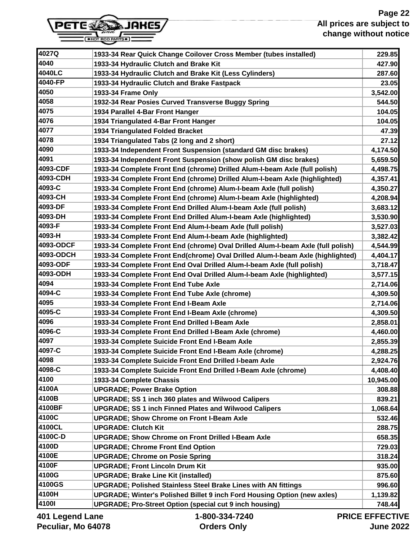# **Page 22 All prices are subject to change without notice**



| 4027Q            | 1933-34 Rear Quick Change Coilover Cross Member (tubes installed)               | 229.85                |
|------------------|---------------------------------------------------------------------------------|-----------------------|
| 4040             | 1933-34 Hydraulic Clutch and Brake Kit                                          | 427.90                |
| 4040LC           | 1933-34 Hydraulic Clutch and Brake Kit (Less Cylinders)                         | 287.60                |
| 4040-FP          | 1933-34 Hydraulic Clutch and Brake Fastpack                                     | 23.05                 |
| 4050             | 1933-34 Frame Only                                                              | 3,542.00              |
| 4058             | 1932-34 Rear Posies Curved Transverse Buggy Spring                              | 544.50                |
| 4075             | 1934 Parallel 4-Bar Front Hanger                                                | 104.05                |
| 4076             | 1934 Triangulated 4-Bar Front Hanger                                            | 104.05                |
| 4077             | 1934 Triangulated Folded Bracket                                                | 47.39                 |
| 4078             | 1934 Triangulated Tabs (2 long and 2 short)                                     | 27.12                 |
| 4090             | 1933-34 Independent Front Suspension (standard GM disc brakes)                  | 4,174.50              |
| 4091             | 1933-34 Independent Front Suspension (show polish GM disc brakes)               | 5,659.50              |
| 4093-CDF         | 1933-34 Complete Front End (chrome) Drilled Alum-I-beam Axle (full polish)      | 4,498.75              |
| 4093-CDH         | 1933-34 Complete Front End (chrome) Drilled Alum-I-beam Axle (highlighted)      | 4,357.41              |
| 4093-C           | 1933-34 Complete Front End (chrome) Alum-I-beam Axle (full polish)              | 4,350.27              |
| 4093-CH          | 1933-34 Complete Front End (chrome) Alum-I-beam Axle (highlighted)              | 4,208.94              |
| 4093-DF          | 1933-34 Complete Front End Drilled Alum-I-beam Axle (full polish)               | 3,683.12              |
| 4093-DH          | 1933-34 Complete Front End Drilled Alum-I-beam Axle (highlighted)               | 3,530.90              |
| 4093-F           | 1933-34 Complete Front End Alum-I-beam Axle (full polish)                       | 3,527.03              |
| 4093-H           | 1933-34 Complete Front End Alum-I-beam Axle (highlighted)                       | 3,382.42              |
| 4093-ODCF        | 1933-34 Complete Front End (chrome) Oval Drilled Alum-I-beam Axle (full polish) | 4,544.99              |
| 4093-ODCH        | 1933-34 Complete Front End(chrome) Oval Drilled Alum-I-beam Axle (highlighted)  | 4,404.17              |
| 4093-ODF         | 1933-34 Complete Front End Oval Drilled Alum-I-beam Axle (full polish)          | 3,718.47              |
| 4093-ODH         | 1933-34 Complete Front End Oval Drilled Alum-I-beam Axle (highlighted)          | 3,577.15              |
| 4094             | 1933-34 Complete Front End Tube Axle                                            | 2,714.06              |
| 4094-C           | 1933-34 Complete Front End Tube Axle (chrome)                                   | 4,309.50              |
| 4095             | 1933-34 Complete Front End I-Beam Axle                                          | 2,714.06              |
| 4095-C           | 1933-34 Complete Front End I-Beam Axle (chrome)                                 | 4,309.50              |
| 4096             | 1933-34 Complete Front End Drilled I-Beam Axle                                  | 2,858.01              |
| 4096-C           | 1933-34 Complete Front End Drilled I-Beam Axle (chrome)                         | 4,460.00              |
| 4097             | 1933-34 Complete Suicide Front End I-Beam Axle                                  | 2,855.39              |
| 4097-C           | 1933-34 Complete Suicide Front End I-Beam Axle (chrome)                         | 4,288.25              |
| 4098             | 1933-34 Complete Suicide Front End Drilled I-beam Axle                          | 2,924.76              |
| 4098-C           | 1933-34 Complete Suicide Front End Drilled I-Beam Axle (chrome)                 | 4,408.40              |
| 4100             | 1933-34 Complete Chassis                                                        | 10,945.00             |
| 4100A            | <b>UPGRADE; Power Brake Option</b>                                              | 308.88                |
| 4100B            | <b>UPGRADE; SS 1 inch 360 plates and Wilwood Calipers</b>                       | 839.21                |
| 4100BF           | <b>UPGRADE; SS 1 inch Finned Plates and Wilwood Calipers</b>                    | 1,068.64              |
| 4100C            | <b>UPGRADE; Show Chrome on Front I-Beam Axle</b>                                | 532.46                |
| 4100CL           | <b>UPGRADE: Clutch Kit</b>                                                      | 288.75                |
| 4100C-D          | <b>UPGRADE: Show Chrome on Front Drilled I-Beam Axle</b>                        | 658.35                |
| 4100D            | <b>UPGRADE; Chrome Front End Option</b>                                         | 729.03                |
| 4100E            | <b>UPGRADE; Chrome on Posie Spring</b>                                          | 318.24                |
| 4100F            | <b>UPGRADE; Front Lincoln Drum Kit</b>                                          | 935.00                |
| 4100G            | <b>UPGRADE; Brake Line Kit (installed)</b>                                      | 875.60                |
| 4100GS           | <b>UPGRADE; Polished Stainless Steel Brake Lines with AN fittings</b>           | 996.60                |
| 4100H            | UPGRADE; Winter's Polished Billet 9 inch Ford Housing Option (new axles)        | 1,139.82              |
| <b>41001</b>     | <b>UPGRADE; Pro-Street Option (special cut 9 inch housing)</b>                  | 748.44                |
| ang I hogh I 10A | 1-800-334-7240                                                                  | <b>PRICE EFFECTIV</b> |

**401 Legend Lane Peculiar, Mo 64078**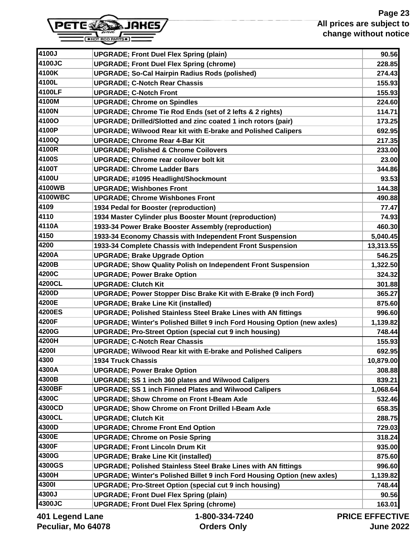

| 4100J           | <b>UPGRADE; Front Duel Flex Spring (plain)</b>                                  | 90.56                 |
|-----------------|---------------------------------------------------------------------------------|-----------------------|
| 4100JC          | <b>UPGRADE; Front Duel Flex Spring (chrome)</b>                                 | 228.85                |
| 4100K           | <b>UPGRADE; So-Cal Hairpin Radius Rods (polished)</b>                           | 274.43                |
| 4100L           | <b>UPGRADE; C-Notch Rear Chassis</b>                                            | 155.93                |
| 4100LF          | <b>UPGRADE; C-Notch Front</b>                                                   | 155.93                |
| 4100M           | <b>UPGRADE; Chrome on Spindles</b>                                              | 224.60                |
| 4100N           | UPGRADE; Chrome Tie Rod Ends (set of 2 lefts & 2 rights)                        | 114.71                |
| 4100O           | <b>UPGRADE; Drilled/Slotted and zinc coated 1 inch rotors (pair)</b>            | 173.25                |
| 4100P           | <b>UPGRADE; Wilwood Rear kit with E-brake and Polished Calipers</b>             | 692.95                |
| 4100Q           | <b>UPGRADE; Chrome Rear 4-Bar Kit</b>                                           | 217.35                |
| 4100R           | <b>UPGRADE: Polished &amp; Chrome Coilovers</b>                                 | 233.00                |
| 4100S           | <b>UPGRADE: Chrome rear coilover bolt kit</b>                                   | 23.00                 |
| 4100T           | <b>UPGRADE: Chrome Ladder Bars</b>                                              | 344.86                |
| 4100U           | <b>UPGRADE; #1095 Headlight/Shockmount</b>                                      | 93.53                 |
| 4100WB          | <b>UPGRADE; Wishbones Front</b>                                                 | 144.38                |
| 4100WBC         | <b>UPGRADE; Chrome Wishbones Front</b>                                          | 490.88                |
| 4109            | 1934 Pedal for Booster (reproduction)                                           | 77.47                 |
| 4110            | 1934 Master Cylinder plus Booster Mount (reproduction)                          | 74.93                 |
| 4110A           | 1933-34 Power Brake Booster Assembly (reproduction)                             | 460.30                |
| 4150            | 1933-34 Economy Chassis with Independent Front Suspension                       | 5,040.45              |
| 4200            | 1933-34 Complete Chassis with Independent Front Suspension                      | 13,313.55             |
| 4200A           | <b>UPGRADE; Brake Upgrade Option</b>                                            | 546.25                |
| 4200B           | <b>UPGRADE; Show Quality Polish on Independent Front Suspension</b>             | 1,322.50              |
| 4200C           | <b>UPGRADE; Power Brake Option</b>                                              | 324.32                |
| 4200CL          | <b>UPGRADE: Clutch Kit</b>                                                      | 301.88                |
| 4200D           | UPGRADE; Power Stopper Disc Brake Kit with E-Brake (9 inch Ford)                | 365.27                |
| 4200E           | <b>UPGRADE; Brake Line Kit (installed)</b>                                      | 875.60                |
| 4200ES          | <b>UPGRADE; Polished Stainless Steel Brake Lines with AN fittings</b>           | 996.60                |
| 4200F           | <b>UPGRADE: Winter's Polished Billet 9 inch Ford Housing Option (new axles)</b> | 1,139.82              |
| 4200G           | <b>UPGRADE; Pro-Street Option (special cut 9 inch housing)</b>                  | 748.44                |
| 4200H           | <b>UPGRADE; C-Notch Rear Chassis</b>                                            | 155.93                |
| <b>42001</b>    | <b>UPGRADE; Wilwood Rear kit with E-brake and Polished Calipers</b>             | 692.95                |
| 4300            | <b>1934 Truck Chassis</b>                                                       | 10,879.00             |
| 4300A           | <b>UPGRADE; Power Brake Option</b>                                              | 308.88                |
| 4300B           | <b>UPGRADE; SS 1 inch 360 plates and Wilwood Calipers</b>                       | 839.21                |
| 4300BF          | <b>UPGRADE; SS 1 inch Finned Plates and Wilwood Calipers</b>                    | 1,068.64              |
| 4300C           | <b>UPGRADE: Show Chrome on Front I-Beam Axle</b>                                | 532.46                |
| 4300CD          | <b>UPGRADE: Show Chrome on Front Drilled I-Beam Axle</b>                        | 658.35                |
| 4300CL          | <b>UPGRADE; Clutch Kit</b>                                                      | 288.75                |
| 4300D           | <b>UPGRADE; Chrome Front End Option</b>                                         | 729.03                |
| 4300E           | <b>UPGRADE; Chrome on Posie Spring</b>                                          | 318.24                |
| 4300F           | <b>UPGRADE; Front Lincoln Drum Kit</b>                                          | 935.00                |
| 4300G           | <b>UPGRADE; Brake Line Kit (installed)</b>                                      | 875.60                |
| 4300GS          | <b>UPGRADE; Polished Stainless Steel Brake Lines with AN fittings</b>           | 996.60                |
| 4300H           | <b>UPGRADE; Winter's Polished Billet 9 inch Ford Housing Option (new axles)</b> | 1,139.82              |
| <b>43001</b>    | <b>UPGRADE; Pro-Street Option (special cut 9 inch housing)</b>                  | 748.44                |
| 4300J           | <b>UPGRADE; Front Duel Flex Spring (plain)</b>                                  | 90.56                 |
| 4300JC          | <b>UPGRADE; Front Duel Flex Spring (chrome)</b>                                 | 163.01                |
| 401 Legend Lane | 1-800-334-7240                                                                  | <b>PRICE EFFECTIV</b> |

gen**a ∟an**e **Peculiar, Mo 64078** **Orders Only**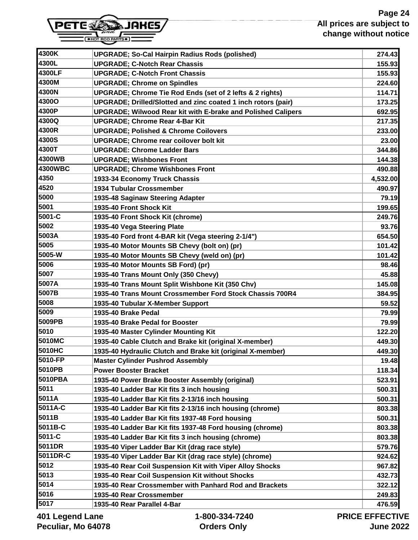

| 4300K        | <b>UPGRADE; So-Cal Hairpin Radius Rods (polished)</b>               | 274.43        |
|--------------|---------------------------------------------------------------------|---------------|
| 4300L        | <b>UPGRADE; C-Notch Rear Chassis</b>                                | 155.93        |
| 4300LF       | <b>UPGRADE; C-Notch Front Chassis</b>                               | 155.93        |
| 4300M        | <b>UPGRADE; Chrome on Spindles</b>                                  | 224.60        |
| 4300N        | UPGRADE; Chrome Tie Rod Ends (set of 2 lefts & 2 rights)            | 114.71        |
| <b>4300O</b> | UPGRADE; Drilled/Slotted and zinc coated 1 inch rotors (pair)       | 173.25        |
| 4300P        | <b>UPGRADE; Wilwood Rear kit with E-brake and Polished Calipers</b> | 692.95        |
| 4300Q        | <b>UPGRADE; Chrome Rear 4-Bar Kit</b>                               | 217.35        |
| 4300R        | <b>UPGRADE: Polished &amp; Chrome Coilovers</b>                     | 233.00        |
| 4300S        | <b>UPGRADE: Chrome rear coilover bolt kit</b>                       | 23.00         |
| 4300T        | <b>UPGRADE: Chrome Ladder Bars</b>                                  | 344.86        |
| 4300WB       | <b>UPGRADE; Wishbones Front</b>                                     | 144.38        |
| 4300WBC      | <b>UPGRADE; Chrome Wishbones Front</b>                              | 490.88        |
| 4350         | 1933-34 Economy Truck Chassis                                       | 4,532.00      |
| 4520         | <b>1934 Tubular Crossmember</b>                                     | 490.97        |
| 5000         | 1935-48 Saginaw Steering Adapter                                    | 79.19         |
| 5001         | 1935-40 Front Shock Kit                                             | 199.65        |
| 5001-C       | 1935-40 Front Shock Kit (chrome)                                    | 249.76        |
| 5002         | 1935-40 Vega Steering Plate                                         | 93.76         |
| 5003A        | 1935-40 Ford front 4-BAR kit (Vega steering 2-1/4")                 | 654.50        |
| 5005         | 1935-40 Motor Mounts SB Chevy (bolt on) (pr)                        | 101.42        |
| 5005-W       | 1935-40 Motor Mounts SB Chevy (weld on) (pr)                        | 101.42        |
| 5006         | 1935-40 Motor Mounts SB Ford) (pr)                                  | 98.46         |
| 5007         | 1935-40 Trans Mount Only (350 Chevy)                                | 45.88         |
| 5007A        | 1935-40 Trans Mount Split Wishbone Kit (350 Chv)                    | 145.08        |
| 5007B        | 1935-40 Trans Mount Crossmember Ford Stock Chassis 700R4            | 384.95        |
| 5008         | 1935-40 Tubular X-Member Support                                    | 59.52         |
| 5009         | 1935-40 Brake Pedal                                                 | 79.99         |
| 5009PB       | 1935-40 Brake Pedal for Booster                                     | 79.99         |
| 5010         | 1935-40 Master Cylinder Mounting Kit                                | 122.20        |
| 5010MC       | 1935-40 Cable Clutch and Brake kit (original X-member)              | 449.30        |
| 5010HC       | 1935-40 Hydraulic Clutch and Brake kit (original X-member)          | 449.30        |
| 5010-FP      | <b>Master Cylinder Pushrod Assembly</b>                             | 19.48         |
| 5010PB       | <b>Power Booster Bracket</b>                                        | 118.34        |
| 5010PBA      | 1935-40 Power Brake Booster Assembly (original)                     | 523.91        |
| 5011         | 1935-40 Ladder Bar Kit fits 3 inch housing                          | 500.31        |
| 5011A        | 1935-40 Ladder Bar Kit fits 2-13/16 inch housing                    | 500.31        |
| 5011A-C      | 1935-40 Ladder Bar Kit fits 2-13/16 inch housing (chrome)           | 803.38        |
| 5011B        | 1935-40 Ladder Bar Kit fits 1937-48 Ford housing                    | 500.31        |
| 5011B-C      | 1935-40 Ladder Bar Kit fits 1937-48 Ford housing (chrome)           | 803.38        |
| 5011-C       | 1935-40 Ladder Bar Kit fits 3 inch housing (chrome)                 | 803.38        |
| 5011DR       | 1935-40 Viper Ladder Bar Kit (drag race style)                      | 579.76        |
| 5011DR-C     | 1935-40 Viper Ladder Bar Kit (drag race style) (chrome)             | 924.62        |
| 5012         | 1935-40 Rear Coil Suspension Kit with Viper Alloy Shocks            | 967.82        |
| 5013         | 1935-40 Rear Coil Suspension Kit without Shocks                     | 432.73        |
| 5014         | 1935-40 Rear Crossmember with Panhard Rod and Brackets              | 322.12        |
| 5016         | 1935-40 Rear Crossmember                                            | 249.83        |
| 5017         | 1935-40 Rear Parallel 4-Bar                                         | 476.59        |
|              | $\overline{1}$ and and the $\overline{1}$                           | BRIAE EFFEATH |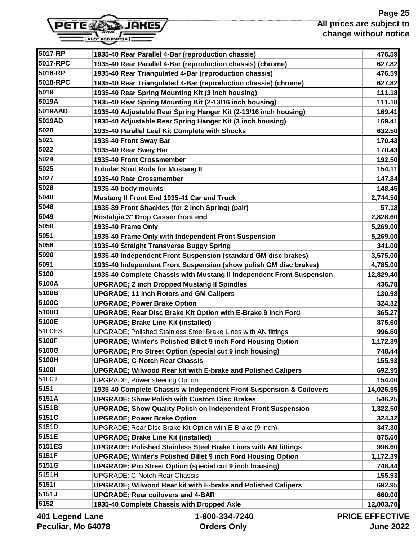

| 5017-RP         | 1935-40 Rear Parallel 4-Bar (reproduction chassis)                    | 476.59                |
|-----------------|-----------------------------------------------------------------------|-----------------------|
| 5017-RPC        | 1935-40 Rear Parallel 4-Bar (reproduction chassis) (chrome)           | 627.82                |
| 5018-RP         | 1935-40 Rear Triangulated 4-Bar (reproduction chassis)                | 476.59                |
| 5018-RPC        | 1935-40 Rear Triangulated 4-Bar (reproduction chassis) (chrome)       | 627.82                |
| 5019            | 1935-40 Rear Spring Mounting Kit (3 inch housing)                     | 111.18                |
| 5019A           | 1935-40 Rear Spring Mounting Kit (2-13/16 inch housing)               | 111.18                |
| 5019AAD         | 1935-40 Adjustable Rear Spring Hanger Kit (2-13/16 inch housing)      | 169.41                |
| 5019AD          | 1935-40 Adjustable Rear Spring Hanger Kit (3 inch housing)            | 169.41                |
| 5020            | 1935-40 Parallel Leaf Kit Complete with Shocks                        | 632.50                |
| 5021            | 1935-40 Front Sway Bar                                                | 170.43                |
| 5022            | 1935-40 Rear Sway Bar                                                 | 170.43                |
| 5024            | 1935-40 Front Crossmember                                             | 192.50                |
| 5025            | <b>Tubular Strut Rods for Mustang II</b>                              | 154.11                |
| 5027            | 1935-40 Rear Crossmember                                              | 147.84                |
| 5028            | 1935-40 body mounts                                                   | 148.45                |
| 5040            | Mustang II Front End 1935-41 Car and Truck                            | 2,744.50              |
| 5048            | 1935-39 Front Shackles (for 2 inch Spring) (pair)                     | 57.18                 |
| 5049            | Nostalgia 3" Drop Gasser front end                                    | 2,828.60              |
| 5050            | 1935-40 Frame Only                                                    | 5,269.00              |
| 5051            | 1935-40 Frame Only with Independent Front Suspension                  | 5,269.00              |
| 5058            | 1935-40 Straight Transverse Buggy Spring                              | 341.00                |
| 5090            | 1935-40 Independent Front Suspension (standard GM disc brakes)        | 3,575.00              |
| 5091            | 1935-40 Independent Front Suspension (show polish GM disc brakes)     | 4,785.00              |
| 5100            | 1935-40 Complete Chassis with Mustang II Independent Front Suspension | 12,829.40             |
| 5100A           | <b>UPGRADE; 2 inch Dropped Mustang II Spindles</b>                    | 436.78                |
| 5100B           | <b>UPGRADE; 11 inch Rotors and GM Calipers</b>                        | 130.98                |
| 5100C           | <b>UPGRADE; Power Brake Option</b>                                    | 324.32                |
| 5100D           | <b>UPGRADE; Rear Disc Brake Kit Option with E-Brake 9 inch Ford</b>   | 365.27                |
| 5100E           | <b>UPGRADE; Brake Line Kit (installed)</b>                            | 875.60                |
| 5100ES          | UPGRADE; Polished Stainless Steel Brake Lines with AN fittings        | 996.60                |
| 5100F           | <b>UPGRADE; Winter's Polished Billet 9 inch Ford Housing Option</b>   | 1,172.39              |
| 5100G           | <b>UPGRADE; Pro Street Option (special cut 9 inch housing)</b>        | 748.44                |
| 5100H           | <b>UPGRADE; C-Notch Rear Chassis</b>                                  | 155.93                |
| 51001           | <b>UPGRADE; Wilwood Rear kit with E-brake and Polished Calipers</b>   | 692.95                |
| 5100J           | <b>UPGRADE; Power steering Option</b>                                 | 154.00                |
| 5151            | 1935-40 Complete Chassis w Independent Front Suspension & Coilovers   | 14,026.55             |
| 5151A           | <b>UPGRADE; Show Polish with Custom Disc Brakes</b>                   | 546.25                |
| 5151B           | <b>UPGRADE; Show Quality Polish on Independent Front Suspension</b>   | 1,322.50              |
| 5151C           | <b>UPGRADE; Power Brake Option</b>                                    | 324.32                |
| 5151D           | UPGRADE; Rear Disc Brake Kit Option with E-Brake (9 inch)             | 347.30                |
| 5151E           | <b>UPGRADE; Brake Line Kit (installed)</b>                            | 875.60                |
| 5151ES          | <b>UPGRADE; Polished Stainless Steel Brake Lines with AN fittings</b> | 996.60                |
| 5151F           | <b>UPGRADE; Winter's Polished Billet 9 inch Ford Housing Option</b>   | 1,172.39              |
| 5151G           | <b>UPGRADE; Pro Street Option (special cut 9 inch housing)</b>        | 748.44                |
| 5151H           | <b>UPGRADE; C-Notch Rear Chassis</b>                                  | 155.93                |
| 51511           | <b>UPGRADE; Wilwood Rear kit with E-brake and Polished Calipers</b>   | 692.95                |
| 5151J           | <b>UPGRADE; Rear coilovers and 4-BAR</b>                              | 660.00                |
| 5152            | 1935-40 Complete Chassis with Dropped Axle                            | 12,003.70             |
|                 |                                                                       |                       |
| 401 Legend Lane | 1-800-334-7240                                                        | <b>PRICE EFFECTIV</b> |

**Peculiar, Mo 64078**

**Orders Only**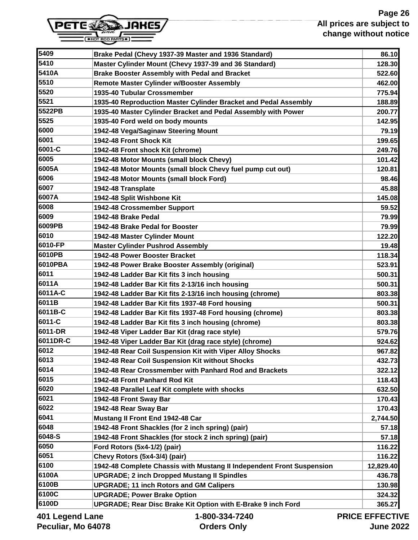

| 5410     | Master Cylinder Mount (Chevy 1937-39 and 36 Standard)           | 128.30   |
|----------|-----------------------------------------------------------------|----------|
| 5410A    | <b>Brake Booster Assembly with Pedal and Bracket</b>            | 522.60   |
| 5510     | <b>Remote Master Cylinder w/Booster Assembly</b>                | 462.00   |
| 5520     | 1935-40 Tubular Crossmember                                     | 775.94   |
| 5521     | 1935-40 Reproduction Master Cylinder Bracket and Pedal Assembly | 188.89   |
| 5522PB   | 1935-40 Master Cylinder Bracket and Pedal Assembly with Power   | 200.77   |
| 5525     | 1935-40 Ford weld on body mounts                                | 142.95   |
| 6000     | 1942-48 Vega/Saginaw Steering Mount                             | 79.19    |
| 6001     | 1942-48 Front Shock Kit                                         | 199.65   |
| 6001-C   | 1942-48 Front shock Kit (chrome)                                | 249.76   |
| 6005     | 1942-48 Motor Mounts (small block Chevy)                        | 101.42   |
| 6005A    | 1942-48 Motor Mounts (small block Chevy fuel pump cut out)      | 120.81   |
| 6006     | 1942-48 Motor Mounts (small block Ford)                         | 98.46    |
| 6007     | 1942-48 Transplate                                              | 45.88    |
| 6007A    | 1942-48 Split Wishbone Kit                                      | 145.08   |
| 6008     | 1942-48 Crossmember Support                                     | 59.52    |
| 6009     | 1942-48 Brake Pedal                                             | 79.99    |
| 6009PB   | 1942-48 Brake Pedal for Booster                                 | 79.99    |
| 6010     | 1942-48 Master Cylinder Mount                                   | 122.20   |
| 6010-FP  | <b>Master Cylinder Pushrod Assembly</b>                         | 19.48    |
| 6010PB   | 1942-48 Power Booster Bracket                                   | 118.34   |
| 6010PBA  | 1942-48 Power Brake Booster Assembly (original)                 | 523.91   |
| 6011     | 1942-48 Ladder Bar Kit fits 3 inch housing                      | 500.31   |
| 6011A    | 1942-48 Ladder Bar Kit fits 2-13/16 inch housing                | 500.31   |
| 6011A-C  | 1942-48 Ladder Bar Kit fits 2-13/16 inch housing (chrome)       | 803.38   |
| 6011B    | 1942-48 Ladder Bar Kit fits 1937-48 Ford housing                | 500.31   |
| 6011B-C  | 1942-48 Ladder Bar Kit fits 1937-48 Ford housing (chrome)       | 803.38   |
| 6011-C   | 1942-48 Ladder Bar Kit fits 3 inch housing (chrome)             | 803.38   |
| 6011-DR  | 1942-48 Viper Ladder Bar Kit (drag race style)                  | 579.76   |
| 6011DR-C | 1942-48 Viper Ladder Bar Kit (drag race style) (chrome)         | 924.62   |
| 6012     | 1942-48 Rear Coil Suspension Kit with Viper Alloy Shocks        | 967.82   |
| 6013     | 1942-48 Rear Coil Suspension Kit without Shocks                 | 432.73   |
| 6014     | 1942-48 Rear Crossmember with Panhard Rod and Brackets          | 322.12   |
| 6015     | 1942-48 Front Panhard Rod Kit                                   | 118.43   |
| 6020     | 1942-48 Parallel Leaf Kit complete with shocks                  | 632.50   |
| 6021     | 1942-48 Front Sway Bar                                          | 170.43   |
| 6022     | 1942-48 Rear Sway Bar                                           | 170.43   |
| 6041     | Mustang II Front End 1942-48 Car                                | 2,744.50 |
| 6048     | 1942-48 Front Shackles (for 2 inch spring) (pair)               | 57.18    |
| 6048-S   | 1942-48 Front Shackles (for stock 2 inch spring) (pair)         | 57.18    |
| 6050     | Ford Rotors (5x4-1/2) (pair)                                    | 116.22   |

**5409 Brake Pedal (Chevy 1937-39 Master and 1936 Standard) 86.10**

**401 Legend Lane Peculiar, Mo 64078**  **1-800-334-7240 Orders Only**

**6051 Chevy Rotors (5x4-3/4) (pair) 116.22 6100 1942-48 Complete Chassis with Mustang II Independent Front Suspension 12,829.40 6100A UPGRADE; 2 inch Dropped Mustang II Spindles 436.78 6100B UPGRADE; 11 inch Rotors and GM Calipers 130.98 6100C UPGRADE; Power Brake Option 324.32 6100D UPGRADE; Rear Disc Brake Kit Option with E-Brake 9 inch Ford 365.27**

> **PRICE EFFECTIVE June 2022**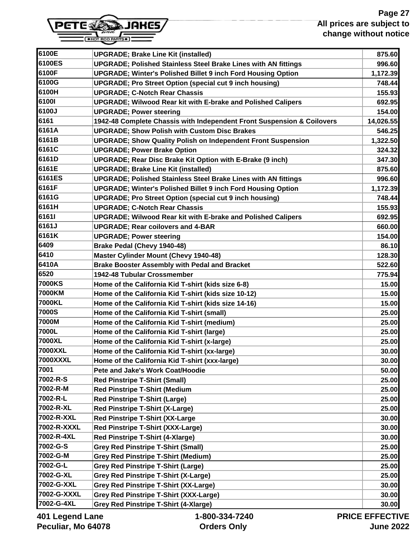

| 6100E           | <b>UPGRADE; Brake Line Kit (installed)</b>                             | 875.60       |
|-----------------|------------------------------------------------------------------------|--------------|
| 6100ES          | <b>UPGRADE; Polished Stainless Steel Brake Lines with AN fittings</b>  | 996.60       |
| 6100F           | <b>UPGRADE; Winter's Polished Billet 9 inch Ford Housing Option</b>    | 1,172.39     |
| 6100G           | <b>UPGRADE; Pro Street Option (special cut 9 inch housing)</b>         | 748.44       |
| 6100H           | <b>UPGRADE; C-Notch Rear Chassis</b>                                   | 155.93       |
| 61001           | <b>UPGRADE; Wilwood Rear kit with E-brake and Polished Calipers</b>    | 692.95       |
| 6100J           | <b>UPGRADE; Power steering</b>                                         | 154.00       |
| 6161            | 1942-48 Complete Chassis with Independent Front Suspension & Coilovers | 14,026.55    |
| 6161A           | <b>UPGRADE; Show Polish with Custom Disc Brakes</b>                    | 546.25       |
| 6161B           | <b>UPGRADE; Show Quality Polish on Independent Front Suspension</b>    | 1,322.50     |
| 6161C           | <b>UPGRADE; Power Brake Option</b>                                     | 324.32       |
| 6161D           | UPGRADE; Rear Disc Brake Kit Option with E-Brake (9 inch)              | 347.30       |
| 6161E           | <b>UPGRADE; Brake Line Kit (installed)</b>                             | 875.60       |
| 6161ES          | <b>UPGRADE; Polished Stainless Steel Brake Lines with AN fittings</b>  | 996.60       |
| 6161F           | <b>UPGRADE; Winter's Polished Billet 9 inch Ford Housing Option</b>    | 1,172.39     |
| 6161G           | <b>UPGRADE: Pro Street Option (special cut 9 inch housing)</b>         | 748.44       |
| 6161H           | <b>UPGRADE; C-Notch Rear Chassis</b>                                   | 155.93       |
| 61611           | <b>UPGRADE; Wilwood Rear kit with E-brake and Polished Calipers</b>    | 692.95       |
| 6161J           | <b>UPGRADE; Rear coilovers and 4-BAR</b>                               | 660.00       |
| 6161K           | <b>UPGRADE; Power steering</b>                                         | 154.00       |
| 6409            | Brake Pedal (Chevy 1940-48)                                            | 86.10        |
| 6410            | <b>Master Cylinder Mount (Chevy 1940-48)</b>                           | 128.30       |
| 6410A           | <b>Brake Booster Assembly with Pedal and Bracket</b>                   | 522.60       |
| 6520            | 1942-48 Tubular Crossmember                                            | 775.94       |
| <b>7000KS</b>   | Home of the California Kid T-shirt (kids size 6-8)                     | 15.00        |
| 7000KM          | Home of the California Kid T-shirt (kids size 10-12)                   | 15.00        |
| 7000KL          | Home of the California Kid T-shirt (kids size 14-16)                   | 15.00        |
| 7000S           | Home of the California Kid T-shirt (small)                             | 25.00        |
| 7000M           | Home of the California Kid T-shirt (medium)                            | 25.00        |
| 7000L           | Home of the California Kid T-shirt (large)                             | 25.00        |
| 7000XL          | Home of the California Kid T-shirt (x-large)                           | 25.00        |
| <b>7000XXL</b>  | Home of the California Kid T-shirt (xx-large)                          | 30.00        |
| <b>7000XXXL</b> | Home of the California Kid T-shirt (xxx-large)                         | 30.00        |
| 7001            | Pete and Jake's Work Coat/Hoodie                                       | 50.00        |
| 7002-R-S        | <b>Red Pinstripe T-Shirt (Small)</b>                                   | 25.00        |
| 7002-R-M        | <b>Red Pinstripe T-Shirt (Medium</b>                                   | 25.00        |
| 7002-R-L        | <b>Red Pinstripe T-Shirt (Large)</b>                                   | 25.00        |
| 7002-R-XL       | <b>Red Pinstripe T-Shirt (X-Large)</b>                                 | 25.00        |
| 7002-R-XXL      | <b>Red Pinstripe T-Shirt (XX-Large</b>                                 | 30.00        |
| 7002-R-XXXL     | <b>Red Pinstripe T-Shirt (XXX-Large)</b>                               | 30.00        |
| 7002-R-4XL      | Red Pinstripe T-Shirt (4-Xlarge)                                       | 30.00        |
| 7002-G-S        | <b>Grey Red Pinstripe T-Shirt (Small)</b>                              | 25.00        |
| 7002-G-M        | <b>Grey Red Pinstripe T-Shirt (Medium)</b>                             | 25.00        |
| 7002-G-L        | <b>Grey Red Pinstripe T-Shirt (Large)</b>                              | 25.00        |
| 7002-G-XL       | <b>Grey Red Pinstripe T-Shirt (X-Large)</b>                            | 25.00        |
| 7002-G-XXL      | <b>Grey Red Pinstripe T-Shirt (XX-Large)</b>                           | 30.00        |
| 7002-G-XXXL     | <b>Grey Red Pinstripe T-Shirt (XXX-Large)</b>                          | 30.00        |
| 7002-G-4XL      | <b>Grey Red Pinstripe T-Shirt (4-Xlarge)</b>                           | 30.00        |
|                 | $\sim$ $\sim$                                                          | DIAE EEEEATI |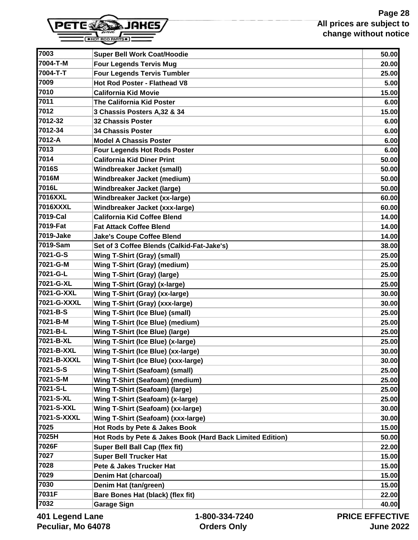

| 7003           | <b>Super Bell Work Coat/Hoodie</b>                        | 50.00          |
|----------------|-----------------------------------------------------------|----------------|
| 7004-T-M       | <b>Four Legends Tervis Mug</b>                            | 20.00          |
| 7004-T-T       | <b>Four Legends Tervis Tumbler</b>                        | 25.00          |
| 7009           | Hot Rod Poster - Flathead V8                              | 5.00           |
| 7010           | <b>California Kid Movie</b>                               | 15.00          |
| 7011           | <b>The California Kid Poster</b>                          | 6.00           |
| 7012           | 3 Chassis Posters A,32 & 34                               | 15.00          |
| 7012-32        | <b>32 Chassis Poster</b>                                  | 6.00           |
| 7012-34        | <b>34 Chassis Poster</b>                                  | 6.00           |
| 7012-A         | <b>Model A Chassis Poster</b>                             | 6.00           |
| 7013           | <b>Four Legends Hot Rods Poster</b>                       | 6.00           |
| 7014           | <b>California Kid Diner Print</b>                         | 50.00          |
| 7016S          | <b>Windbreaker Jacket (small)</b>                         | 50.00          |
| 7016M          | Windbreaker Jacket (medium)                               | 50.00          |
| 7016L          | Windbreaker Jacket (large)                                | 50.00          |
| 7016XXL        | Windbreaker Jacket (xx-large)                             | 60.00          |
| 7016XXXL       | Windbreaker Jacket (xxx-large)                            | 60.00          |
| 7019-Cal       | <b>California Kid Coffee Blend</b>                        | 14.00          |
| 7019-Fat       | <b>Fat Attack Coffee Blend</b>                            | 14.00          |
| 7019-Jake      | <b>Jake's Coupe Coffee Blend</b>                          | 14.00          |
| 7019-Sam       | Set of 3 Coffee Blends (Calkid-Fat-Jake's)                | 38.00          |
| 7021-G-S       | <b>Wing T-Shirt (Gray) (small)</b>                        | 25.00          |
| 7021-G-M       | <b>Wing T-Shirt (Gray) (medium)</b>                       | 25.00          |
| 7021-G-L       | <b>Wing T-Shirt (Gray) (large)</b>                        | 25.00          |
| 7021-G-XL      | Wing T-Shirt (Gray) (x-large)                             | 25.00          |
| 7021-G-XXL     | <b>Wing T-Shirt (Gray) (xx-large)</b>                     | 30.00          |
| 7021-G-XXXL    | Wing T-Shirt (Gray) (xxx-large)                           | 30.00          |
| 7021-B-S       | <b>Wing T-Shirt (Ice Blue) (small)</b>                    | 25.00          |
| 7021-B-M       | <b>Wing T-Shirt (Ice Blue) (medium)</b>                   | 25.00          |
| 7021-B-L       | Wing T-Shirt (Ice Blue) (large)                           | 25.00          |
| 7021-B-XL      | Wing T-Shirt (Ice Blue) (x-large)                         | 25.00          |
| 7021-B-XXL     | Wing T-Shirt (Ice Blue) (xx-large)                        | 30.00          |
| 7021-B-XXXL    | Wing T-Shirt (Ice Blue) (xxx-large)                       | 30.00          |
| 7021-S-S       | <b>Wing T-Shirt (Seafoam) (small)</b>                     | 25.00          |
| 7021-S-M       | <b>Wing T-Shirt (Seafoam) (medium)</b>                    | 25.00          |
| 7021-S-L       | Wing T-Shirt (Seafoam) (large)                            | 25.00          |
| 7021-S-XL      | Wing T-Shirt (Seafoam) (x-large)                          | 25.00          |
| 7021-S-XXL     | Wing T-Shirt (Seafoam) (xx-large)                         | 30.00          |
| 7021-S-XXXL    | Wing T-Shirt (Seafoam) (xxx-large)                        | 30.00          |
| 7025           | Hot Rods by Pete & Jakes Book                             | 15.00          |
| 7025H          | Hot Rods by Pete & Jakes Book (Hard Back Limited Edition) | 50.00          |
| 7026F          | Super Bell Ball Cap (flex fit)                            | 22.00          |
| 7027           | <b>Super Bell Trucker Hat</b>                             | 15.00          |
| 7028           | Pete & Jakes Trucker Hat                                  | 15.00          |
| 7029           | <b>Denim Hat (charcoal)</b>                               | 15.00          |
| 7030           | Denim Hat (tan/green)                                     | 15.00          |
| 7031F          | Bare Bones Hat (black) (flex fit)                         | 22.00          |
| 7032           | <b>Garage Sign</b>                                        | 40.00          |
| angledonal and | 1.800.331.7240                                            | DDICE EEEECTIV |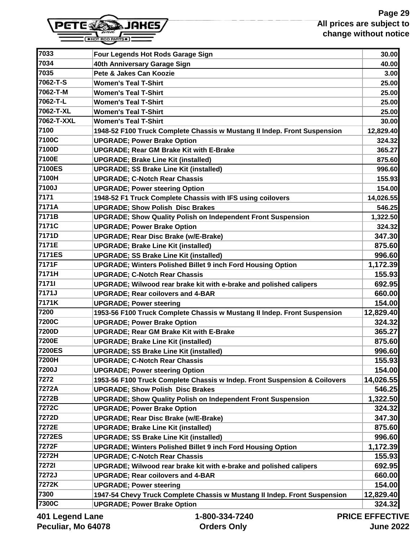

| 7033              | Four Legends Hot Rods Garage Sign                                         | 30.00          |
|-------------------|---------------------------------------------------------------------------|----------------|
| 7034              | 40th Anniversary Garage Sign                                              | 40.00          |
| 7035              | Pete & Jakes Can Koozie                                                   | 3.00           |
| 7062-T-S          | <b>Women's Teal T-Shirt</b>                                               | 25.00          |
| 7062-T-M          | <b>Women's Teal T-Shirt</b>                                               | 25.00          |
| 7062-T-L          | <b>Women's Teal T-Shirt</b>                                               | 25.00          |
| 7062-T-XL         | <b>Women's Teal T-Shirt</b>                                               | 25.00          |
| 7062-T-XXL        | <b>Women's Teal T-Shirt</b>                                               | 30.00          |
| 7100              | 1948-52 F100 Truck Complete Chassis w Mustang II Indep. Front Suspension  | 12,829.40      |
| 7100C             | <b>UPGRADE; Power Brake Option</b>                                        | 324.32         |
| 7100D             | <b>UPGRADE; Rear GM Brake Kit with E-Brake</b>                            | 365.27         |
| 7100E             | <b>UPGRADE; Brake Line Kit (installed)</b>                                | 875.60         |
| 7100ES            | <b>UPGRADE; SS Brake Line Kit (installed)</b>                             | 996.60         |
| 7100H             | <b>UPGRADE; C-Notch Rear Chassis</b>                                      | 155.93         |
| 7100J             | <b>UPGRADE: Power steering Option</b>                                     | 154.00         |
| 7171              | 1948-52 F1 Truck Complete Chassis with IFS using coilovers                | 14,026.55      |
| 7171A             | <b>UPGRADE; Show Polish Disc Brakes</b>                                   | 546.25         |
| 7171B             | <b>UPGRADE; Show Quality Polish on Independent Front Suspension</b>       | 1,322.50       |
| 7171C             | <b>UPGRADE; Power Brake Option</b>                                        | 324.32         |
| 7171D             | <b>UPGRADE; Rear Disc Brake (w/E-Brake)</b>                               | 347.30         |
| 7171E             | <b>UPGRADE; Brake Line Kit (installed)</b>                                | 875.60         |
| 7171ES            | <b>UPGRADE; SS Brake Line Kit (installed)</b>                             | 996.60         |
| 7171F             | <b>UPGRADE; Winters Polished Billet 9 inch Ford Housing Option</b>        | 1,172.39       |
| 7171H             | <b>UPGRADE; C-Notch Rear Chassis</b>                                      | 155.93         |
| 71711             | UPGRADE; Wilwood rear brake kit with e-brake and polished calipers        | 692.95         |
| 7171J             | <b>UPGRADE; Rear coilovers and 4-BAR</b>                                  | 660.00         |
| 7171K             | <b>UPGRADE; Power steering</b>                                            | 154.00         |
| 7200              | 1953-56 F100 Truck Complete Chassis w Mustang II Indep. Front Suspension  | 12,829.40      |
| <b>7200C</b>      | <b>UPGRADE; Power Brake Option</b>                                        | 324.32         |
| 7200D             | <b>UPGRADE; Rear GM Brake Kit with E-Brake</b>                            | 365.27         |
| 7200E             | <b>UPGRADE; Brake Line Kit (installed)</b>                                | 875.60         |
| <b>7200ES</b>     | <b>UPGRADE; SS Brake Line Kit (installed)</b>                             | 996.60         |
| 7200H             | <b>UPGRADE; C-Notch Rear Chassis</b>                                      | 155.93         |
| 7200J             | <b>UPGRADE; Power steering Option</b>                                     | 154.00         |
| 7272              | 1953-56 F100 Truck Complete Chassis w Indep. Front Suspension & Coilovers | 14,026.55      |
| 7272A             | <b>UPGRADE; Show Polish Disc Brakes</b>                                   | 546.25         |
| 7272B             | <b>UPGRADE; Show Quality Polish on Independent Front Suspension</b>       | 1,322.50       |
| 7272C             | <b>UPGRADE; Power Brake Option</b>                                        | 324.32         |
| 7272D             | <b>UPGRADE; Rear Disc Brake (w/E-Brake)</b>                               | 347.30         |
| 7272E             | <b>UPGRADE; Brake Line Kit (installed)</b>                                | 875.60         |
| <b>7272ES</b>     | <b>UPGRADE; SS Brake Line Kit (installed)</b>                             | 996.60         |
| 7272F             | <b>UPGRADE; Winters Polished Billet 9 inch Ford Housing Option</b>        | 1,172.39       |
| 7272H             | <b>UPGRADE; C-Notch Rear Chassis</b>                                      | 155.93         |
| 72721             | UPGRADE; Wilwood rear brake kit with e-brake and polished calipers        | 692.95         |
| 7272J             | <b>UPGRADE; Rear coilovers and 4-BAR</b>                                  | 660.00         |
| 7272K             | <b>UPGRADE; Power steering</b>                                            | 154.00         |
| 7300              | 1947-54 Chevy Truck Complete Chassis w Mustang II Indep. Front Suspension | 12,829.40      |
| 7300C             | <b>UPGRADE; Power Brake Option</b>                                        | 324.32         |
| ane I bonna I 10N | $1 - 800 - 331 - 7210$                                                    | DDICE EEEECTIV |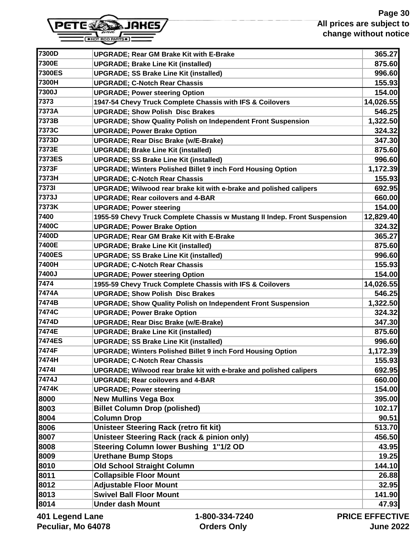# **Page 30 All prices are subject to change without notice**



| 7300D                                               | <b>UPGRADE; Rear GM Brake Kit with E-Brake</b>                            | 365.27    |
|-----------------------------------------------------|---------------------------------------------------------------------------|-----------|
| 7300E                                               | <b>UPGRADE; Brake Line Kit (installed)</b>                                | 875.60    |
| <b>7300ES</b>                                       | <b>UPGRADE; SS Brake Line Kit (installed)</b>                             | 996.60    |
| 7300H                                               | <b>UPGRADE; C-Notch Rear Chassis</b>                                      | 155.93    |
| 7300J                                               | <b>UPGRADE; Power steering Option</b>                                     | 154.00    |
| 7373                                                | 1947-54 Chevy Truck Complete Chassis with IFS & Coilovers                 | 14,026.55 |
| 7373A                                               | <b>UPGRADE; Show Polish Disc Brakes</b>                                   | 546.25    |
| 7373B                                               | <b>UPGRADE; Show Quality Polish on Independent Front Suspension</b>       | 1,322.50  |
| 7373C                                               | <b>UPGRADE; Power Brake Option</b>                                        | 324.32    |
| 7373D                                               | <b>UPGRADE; Rear Disc Brake (w/E-Brake)</b>                               | 347.30    |
| 7373E                                               | <b>UPGRADE; Brake Line Kit (installed)</b>                                | 875.60    |
| 7373ES                                              | <b>UPGRADE; SS Brake Line Kit (installed)</b>                             | 996.60    |
| 7373F                                               | <b>UPGRADE; Winters Polished Billet 9 inch Ford Housing Option</b>        | 1,172.39  |
| 7373H                                               | <b>UPGRADE; C-Notch Rear Chassis</b>                                      | 155.93    |
| <b>73731</b>                                        | UPGRADE; Wilwood rear brake kit with e-brake and polished calipers        | 692.95    |
| 7373J                                               | <b>UPGRADE; Rear coilovers and 4-BAR</b>                                  | 660.00    |
| 7373K                                               | <b>UPGRADE; Power steering</b>                                            | 154.00    |
| 7400                                                | 1955-59 Chevy Truck Complete Chassis w Mustang II Indep. Front Suspension | 12,829.40 |
| 7400C                                               | <b>UPGRADE; Power Brake Option</b>                                        | 324.32    |
| 7400D                                               | <b>UPGRADE; Rear GM Brake Kit with E-Brake</b>                            | 365.27    |
| 7400E                                               | <b>UPGRADE; Brake Line Kit (installed)</b>                                | 875.60    |
| 7400ES                                              | <b>UPGRADE; SS Brake Line Kit (installed)</b>                             | 996.60    |
| 7400H                                               | <b>UPGRADE; C-Notch Rear Chassis</b>                                      | 155.93    |
| 7400J                                               | <b>UPGRADE; Power steering Option</b>                                     | 154.00    |
| 7474                                                | 1955-59 Chevy Truck Complete Chassis with IFS & Coilovers                 | 14,026.55 |
| 7474A                                               | <b>UPGRADE; Show Polish Disc Brakes</b>                                   | 546.25    |
| 7474B                                               | <b>UPGRADE; Show Quality Polish on Independent Front Suspension</b>       | 1,322.50  |
| 7474C                                               | <b>UPGRADE; Power Brake Option</b>                                        | 324.32    |
| 7474D                                               | <b>UPGRADE; Rear Disc Brake (w/E-Brake)</b>                               | 347.30    |
| 7474E                                               | <b>UPGRADE; Brake Line Kit (installed)</b>                                | 875.60    |
| <b>7474ES</b>                                       | <b>UPGRADE; SS Brake Line Kit (installed)</b>                             | 996.60    |
| 7474F                                               | <b>UPGRADE; Winters Polished Billet 9 inch Ford Housing Option</b>        | 1,172.39  |
| 7474H                                               | <b>UPGRADE; C-Notch Rear Chassis</b>                                      | 155.93    |
| 74741                                               | UPGRADE; Wilwood rear brake kit with e-brake and polished calipers        | 692.95    |
| 7474J                                               | <b>UPGRADE; Rear coilovers and 4-BAR</b>                                  | 660.00    |
| 7474K                                               | <b>UPGRADE; Power steering</b>                                            | 154.00    |
| 8000                                                | <b>New Mullins Vega Box</b>                                               | 395.00    |
| 8003                                                | <b>Billet Column Drop (polished)</b>                                      | 102.17    |
| 8004                                                | <b>Column Drop</b>                                                        | 90.51     |
| 8006                                                | Unisteer Steering Rack (retro fit kit)                                    | 513.70    |
| 8007                                                | Unisteer Steering Rack (rack & pinion only)                               | 456.50    |
| 8008                                                | Steering Column lower Bushing 1"1/2 OD                                    | 43.95     |
| 8009                                                | <b>Urethane Bump Stops</b>                                                | 19.25     |
| 8010                                                | <b>Old School Straight Column</b>                                         | 144.10    |
| 8011                                                | <b>Collapsible Floor Mount</b>                                            | 26.88     |
| 8012                                                | <b>Adjustable Floor Mount</b>                                             | 32.95     |
| 8013                                                | <b>Swivel Ball Floor Mount</b>                                            | 141.90    |
| 8014                                                | <b>Under dash Mount</b>                                                   | 47.93     |
| DDICE EEEECTIV<br>And Logand Long<br>1.000.221.7210 |                                                                           |           |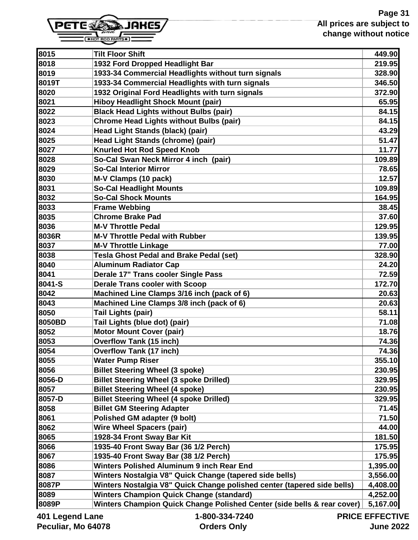

| 8015               | <b>Tilt Floor Shift</b>                                                 | 449.90         |
|--------------------|-------------------------------------------------------------------------|----------------|
| 8018               | 1932 Ford Dropped Headlight Bar                                         | 219.95         |
| 8019               | 1933-34 Commercial Headlights without turn signals                      | 328.90         |
| 8019T              | 1933-34 Commercial Headlights with turn signals                         | 346.50         |
| 8020               | 1932 Original Ford Headlights with turn signals                         | 372.90         |
| 8021               | <b>Hiboy Headlight Shock Mount (pair)</b>                               | 65.95          |
| 8022               | <b>Black Head Lights without Bulbs (pair)</b>                           | 84.15          |
| 8023               | <b>Chrome Head Lights without Bulbs (pair)</b>                          | 84.15          |
| 8024               | Head Light Stands (black) (pair)                                        | 43.29          |
| 8025               | Head Light Stands (chrome) (pair)                                       | 51.47          |
| 8027               | <b>Knurled Hot Rod Speed Knob</b>                                       | 11.77          |
| 8028               | So-Cal Swan Neck Mirror 4 inch (pair)                                   | 109.89         |
| 8029               | <b>So-Cal Interior Mirror</b>                                           | 78.65          |
| 8030               | M-V Clamps (10 pack)                                                    | 12.57          |
| 8031               | <b>So-Cal Headlight Mounts</b>                                          | 109.89         |
| 8032               | <b>So-Cal Shock Mounts</b>                                              | 164.95         |
| 8033               | <b>Frame Webbing</b>                                                    | 38.45          |
| 8035               | <b>Chrome Brake Pad</b>                                                 | 37.60          |
| 8036               | <b>M-V Throttle Pedal</b>                                               | 129.95         |
| 8036R              | <b>M-V Throttle Pedal with Rubber</b>                                   | 139.95         |
| 8037               | <b>M-V Throttle Linkage</b>                                             | 77.00          |
| 8038               | Tesla Ghost Pedal and Brake Pedal (set)                                 | 328.90         |
| 8040               | <b>Aluminum Radiator Cap</b>                                            | 24.20          |
| 8041               | Derale 17" Trans cooler Single Pass                                     | 72.59          |
| 8041-S             | <b>Derale Trans cooler with Scoop</b>                                   | 172.70         |
| 8042               | Machined Line Clamps 3/16 inch (pack of 6)                              | 20.63          |
| 8043               | Machined Line Clamps 3/8 inch (pack of 6)                               | 20.63          |
| 8050               | Tail Lights (pair)                                                      | 58.11          |
| 8050BD             | Tail Lights (blue dot) (pair)                                           | 71.08          |
| 8052               | <b>Motor Mount Cover (pair)</b>                                         | 18.76          |
| 8053               | <b>Overflow Tank (15 inch)</b>                                          | 74.36          |
| 8054               | <b>Overflow Tank (17 inch)</b>                                          | 74.36          |
| 8055               | <b>Water Pump Riser</b>                                                 | 355.10         |
| 8056               | <b>Billet Steering Wheel (3 spoke)</b>                                  | 230.95         |
| 8056-D             | <b>Billet Steering Wheel (3 spoke Drilled)</b>                          | 329.95         |
| 8057               | <b>Billet Steering Wheel (4 spoke)</b>                                  | 230.95         |
| 8057-D             | <b>Billet Steering Wheel (4 spoke Drilled)</b>                          | 329.95         |
| 8058               | <b>Billet GM Steering Adapter</b>                                       | 71.45          |
| 8061               | <b>Polished GM adapter (9 bolt)</b>                                     | 71.50          |
| 8062               | <b>Wire Wheel Spacers (pair)</b>                                        | 44.00          |
| 8065               | 1928-34 Front Sway Bar Kit                                              | 181.50         |
| 8066               | 1935-40 Front Sway Bar (36 1/2 Perch)                                   | 175.95         |
| 8067               | 1935-40 Front Sway Bar (38 1/2 Perch)                                   | 175.95         |
| 8086               | Winters Polished Aluminum 9 inch Rear End                               | 1,395.00       |
| 8087               | Winters Nostalgia V8" Quick Change (tapered side bells)                 | 3,556.00       |
| 8087P              | Winters Nostalgia V8" Quick Change polished center (tapered side bells) | 4,408.00       |
| 8089               | <b>Winters Champion Quick Change (standard)</b>                         | 4,252.00       |
| 8089P              | Winters Champion Quick Change Polished Center (side bells & rear cover) | 5,167.00       |
| ane I briana I 10N | $1 - 800 - 331 - 7210$                                                  | DDICE EEEECTIV |

 **1-800-334-7240 Orders Only**

**PRICE EFFECTIVE June 2022**